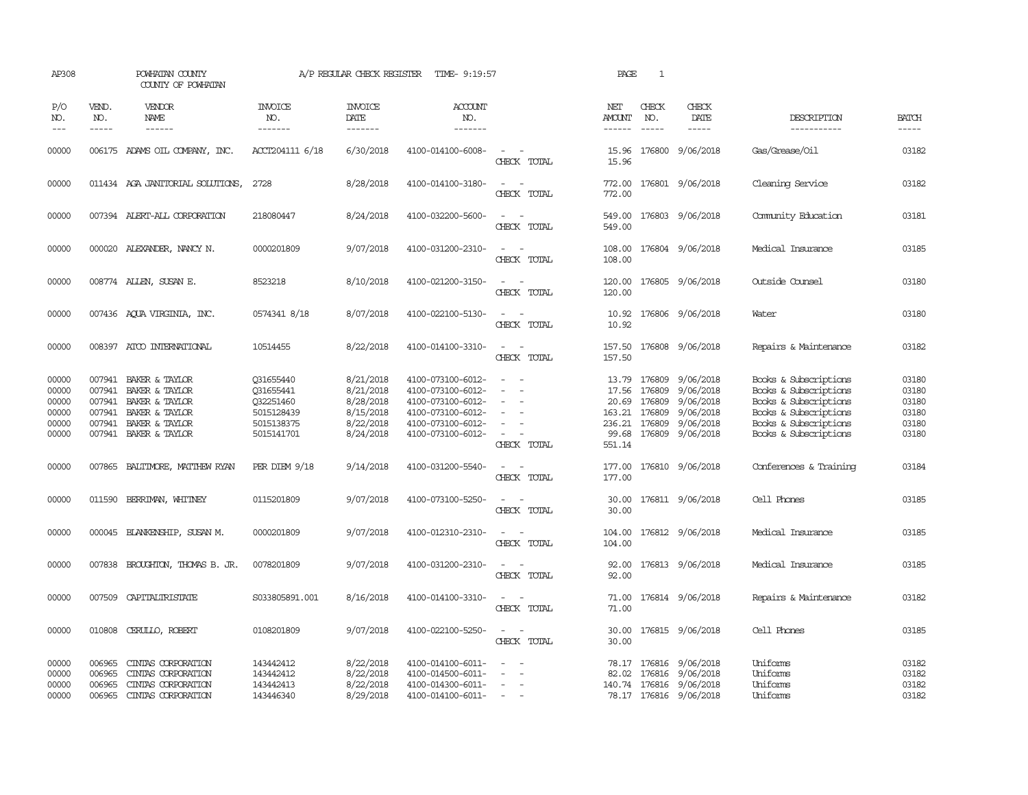| AP308                                              |                                      | POWHATAN COUNTY<br>COUNTY OF POWHATAN                                                                                  |                                                                               | A/P REGULAR CHECK REGISTER                                                 | TIME- 9:19:57                                                                                                              |                                                                                                                             | PAGE                                                                  | 1                                    |                                                                                          |                                                                                                                                                    |                                                    |
|----------------------------------------------------|--------------------------------------|------------------------------------------------------------------------------------------------------------------------|-------------------------------------------------------------------------------|----------------------------------------------------------------------------|----------------------------------------------------------------------------------------------------------------------------|-----------------------------------------------------------------------------------------------------------------------------|-----------------------------------------------------------------------|--------------------------------------|------------------------------------------------------------------------------------------|----------------------------------------------------------------------------------------------------------------------------------------------------|----------------------------------------------------|
| P/O<br>NO.<br>$---$                                | VEND.<br>NO.<br>$- - - - -$          | <b>VENDOR</b><br>NAME                                                                                                  | <b>INVOICE</b><br>NO.<br>-------                                              | <b>INVOICE</b><br><b>DATE</b><br>-------                                   | <b>ACCOUNT</b><br>NO.<br>-------                                                                                           |                                                                                                                             | NET<br><b>AMOUNT</b><br>------                                        | CHECK<br>NO.<br>$\frac{1}{2}$        | CHECK<br>DATE<br>-----                                                                   | DESCRIPTION<br>-----------                                                                                                                         | <b>BATCH</b><br>-----                              |
| 00000                                              |                                      | 006175 ADAMS OIL COMPANY, INC.                                                                                         | ACCT204111 6/18                                                               | 6/30/2018                                                                  | 4100-014100-6008-                                                                                                          | $\sim$<br>CHECK TOTAL                                                                                                       | 15.96<br>15.96                                                        |                                      | 176800 9/06/2018                                                                         | Gas/Grease/Oil                                                                                                                                     | 03182                                              |
| 00000                                              |                                      | 011434 AGA JANITORIAL SOLUTIONS,                                                                                       | 2728                                                                          | 8/28/2018                                                                  | 4100-014100-3180-                                                                                                          | $ -$<br>CHECK TOTAL                                                                                                         | 772.00                                                                |                                      | 772.00 176801 9/06/2018                                                                  | Cleaning Service                                                                                                                                   | 03182                                              |
| 00000                                              |                                      | 007394 ALERT-ALL CORPORATION                                                                                           | 218080447                                                                     | 8/24/2018                                                                  | 4100-032200-5600-                                                                                                          | $\sim$<br>CHECK TOTAL                                                                                                       | 549.00<br>549.00                                                      |                                      | 176803 9/06/2018                                                                         | Community Education                                                                                                                                | 03181                                              |
| 00000                                              |                                      | 000020 ALEXANDER, NANCY N.                                                                                             | 0000201809                                                                    | 9/07/2018                                                                  | 4100-031200-2310-                                                                                                          | $\sim$ $\sim$<br>CHECK TOTAL                                                                                                | 108.00<br>108.00                                                      |                                      | 176804 9/06/2018                                                                         | Medical Insurance                                                                                                                                  | 03185                                              |
| 00000                                              |                                      | 008774 ALLEN, SUSAN E.                                                                                                 | 8523218                                                                       | 8/10/2018                                                                  | 4100-021200-3150-                                                                                                          | $\sim$<br>$\sim$<br>CHECK TOTAL                                                                                             | 120.00<br>120.00                                                      |                                      | 176805 9/06/2018                                                                         | Outside Counsel                                                                                                                                    | 03180                                              |
| 00000                                              |                                      | 007436 AQUA VIRGINIA, INC.                                                                                             | 0574341 8/18                                                                  | 8/07/2018                                                                  | 4100-022100-5130-                                                                                                          | $\sim$<br>CHECK TOTAL                                                                                                       | 10.92                                                                 |                                      | 10.92 176806 9/06/2018                                                                   | Water                                                                                                                                              | 03180                                              |
| 00000                                              |                                      | 008397 ATCO INTERNATIONAL                                                                                              | 10514455                                                                      | 8/22/2018                                                                  | 4100-014100-3310-                                                                                                          | $\overline{\phantom{a}}$<br>$\sim$<br>CHECK TOTAL                                                                           | 157.50<br>157.50                                                      |                                      | 176808 9/06/2018                                                                         | Repairs & Maintenance                                                                                                                              | 03182                                              |
| 00000<br>00000<br>00000<br>00000<br>00000<br>00000 | 007941<br>007941<br>007941<br>007941 | BAKER & TAYLOR<br>007941 BAKER & TAYLOR<br>BAKER & TAYLOR<br>BAKER & TAYLOR<br>BAKER & TAYLOR<br>007941 BAKER & TAYLOR | Q31655440<br>031655441<br>Q32251460<br>5015128439<br>5015138375<br>5015141701 | 8/21/2018<br>8/21/2018<br>8/28/2018<br>8/15/2018<br>8/22/2018<br>8/24/2018 | 4100-073100-6012-<br>4100-073100-6012-<br>4100-073100-6012-<br>4100-073100-6012-<br>4100-073100-6012-<br>4100-073100-6012- | $\overline{\phantom{a}}$<br>CHECK TOTAL                                                                                     | 13.79<br>17.56<br>20.69<br>163.21 176809<br>236.21<br>99.68<br>551.14 | 176809<br>176809<br>176809<br>176809 | 9/06/2018<br>9/06/2018<br>9/06/2018<br>9/06/2018<br>9/06/2018<br>176809 9/06/2018        | Books & Subscriptions<br>Books & Subscriptions<br>Books & Subscriptions<br>Books & Subscriptions<br>Books & Subscriptions<br>Books & Subscriptions | 03180<br>03180<br>03180<br>03180<br>03180<br>03180 |
| 00000                                              |                                      | 007865 BALTIMORE, MATTHEW RYAN                                                                                         | PER DIEM 9/18                                                                 | 9/14/2018                                                                  | 4100-031200-5540-                                                                                                          | $\sim$ $\sim$<br>CHECK TOTAL                                                                                                | 177.00                                                                |                                      | 177.00 176810 9/06/2018                                                                  | Conferences & Training                                                                                                                             | 03184                                              |
| 00000                                              | 011590                               | BERRIMAN, WHITNEY                                                                                                      | 0115201809                                                                    | 9/07/2018                                                                  | 4100-073100-5250-                                                                                                          | CHECK TOTAL                                                                                                                 | 30.00<br>30.00                                                        |                                      | 176811 9/06/2018                                                                         | Cell Phones                                                                                                                                        | 03185                                              |
| 00000                                              |                                      | 000045 BLANKENSHIP, SUSAN M.                                                                                           | 0000201809                                                                    | 9/07/2018                                                                  | 4100-012310-2310-                                                                                                          | $\sim$<br>CHECK TOTAL                                                                                                       | 104.00<br>104.00                                                      |                                      | 176812 9/06/2018                                                                         | Medical Insurance                                                                                                                                  | 03185                                              |
| 00000                                              |                                      | 007838 BROUGHTON, THOMAS B. JR.                                                                                        | 0078201809                                                                    | 9/07/2018                                                                  | 4100-031200-2310-                                                                                                          | $\overline{\phantom{a}}$<br>$\sim$<br>CHECK TOTAL                                                                           | 92.00<br>92.00                                                        |                                      | 176813 9/06/2018                                                                         | Medical Insurance                                                                                                                                  | 03185                                              |
| 00000                                              |                                      | 007509 CAPITALIRISTATE                                                                                                 | S033805891.001                                                                | 8/16/2018                                                                  | 4100-014100-3310-                                                                                                          | $\frac{1}{2} \left( \frac{1}{2} \right) \left( \frac{1}{2} \right) = \frac{1}{2} \left( \frac{1}{2} \right)$<br>CHECK TOTAL | 71.00<br>71.00                                                        |                                      | 176814 9/06/2018                                                                         | Repairs & Maintenance                                                                                                                              | 03182                                              |
| 00000                                              |                                      | 010808 CERULLO, ROBERT                                                                                                 | 0108201809                                                                    | 9/07/2018                                                                  | 4100-022100-5250-                                                                                                          | $\frac{1}{2} \left( \frac{1}{2} \right) \left( \frac{1}{2} \right) = \frac{1}{2} \left( \frac{1}{2} \right)$<br>CHECK TOTAL | 30.00<br>30.00                                                        |                                      | 176815 9/06/2018                                                                         | Cell Phones                                                                                                                                        | 03185                                              |
| 00000<br>00000<br>00000<br>00000                   | 006965<br>006965<br>006965<br>006965 | CINIAS CORPORATION<br>CINIAS CORPORATION<br>CINIAS CORPORATION<br>CINIAS CORPORATION                                   | 143442412<br>143442412<br>143442413<br>143446340                              | 8/22/2018<br>8/22/2018<br>8/22/2018<br>8/29/2018                           | 4100-014100-6011-<br>4100-014500-6011-<br>4100-014300-6011-<br>4100-014100-6011-                                           | $\equiv$<br>$\sim$                                                                                                          |                                                                       | 82.02 176816                         | 78.17 176816 9/06/2018<br>9/06/2018<br>140.74 176816 9/06/2018<br>78.17 176816 9/06/2018 | Uniforms<br>Uniforms<br>Uniforms<br>Uniforms                                                                                                       | 03182<br>03182<br>03182<br>03182                   |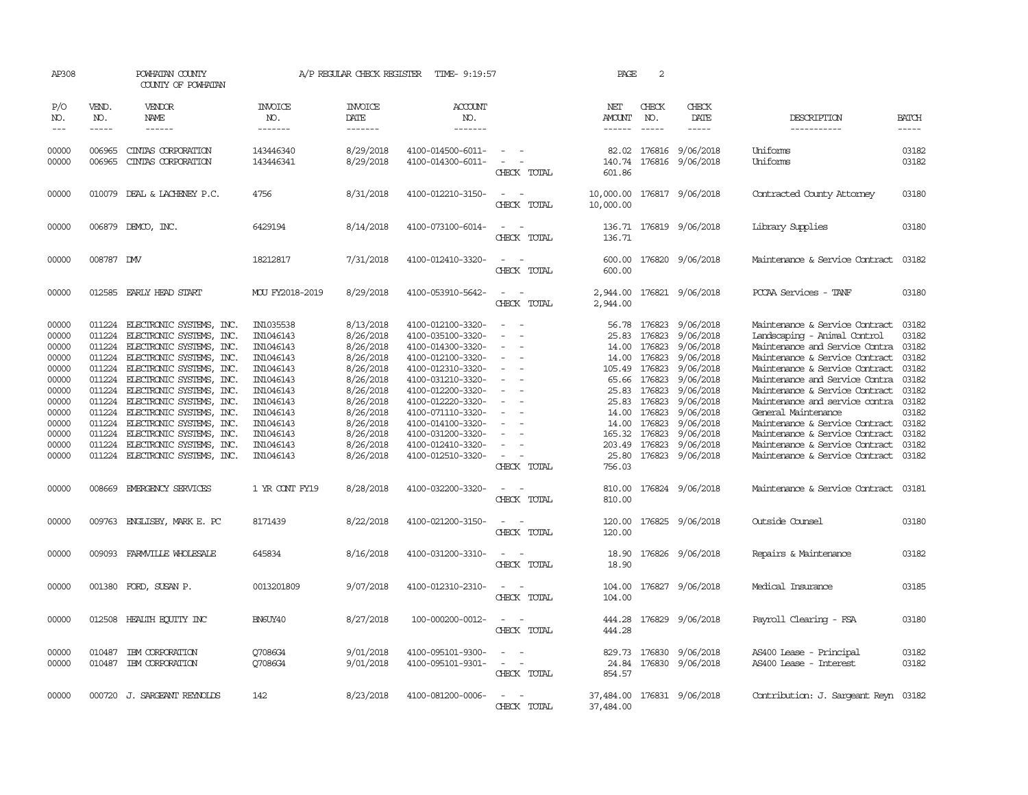| AP308                                                                                                                      |                                                                                        | POWHATAN COUNTY<br>COUNTY OF POWHATAN                                                                                                                                                                                                                                                                                                                                                                                                |                                                                                                                                                                                         | A/P REGULAR CHECK REGISTER                                                                                                                                                         | TIME- 9:19:57                                                                                                                                                                                                                                                                                      |                                 | PAGE                                                                                                        | 2                                                                                                                                        |                                                                                                                                                                                                  |                                                                                                                                                                                                                                                                                                                                                                                                                                                                             |                                                                                                                            |
|----------------------------------------------------------------------------------------------------------------------------|----------------------------------------------------------------------------------------|--------------------------------------------------------------------------------------------------------------------------------------------------------------------------------------------------------------------------------------------------------------------------------------------------------------------------------------------------------------------------------------------------------------------------------------|-----------------------------------------------------------------------------------------------------------------------------------------------------------------------------------------|------------------------------------------------------------------------------------------------------------------------------------------------------------------------------------|----------------------------------------------------------------------------------------------------------------------------------------------------------------------------------------------------------------------------------------------------------------------------------------------------|---------------------------------|-------------------------------------------------------------------------------------------------------------|------------------------------------------------------------------------------------------------------------------------------------------|--------------------------------------------------------------------------------------------------------------------------------------------------------------------------------------------------|-----------------------------------------------------------------------------------------------------------------------------------------------------------------------------------------------------------------------------------------------------------------------------------------------------------------------------------------------------------------------------------------------------------------------------------------------------------------------------|----------------------------------------------------------------------------------------------------------------------------|
| P/O<br>NO.<br>$---$                                                                                                        | VEND.<br>NO.<br>$- - - - -$                                                            | VENDOR<br>NAME<br>------                                                                                                                                                                                                                                                                                                                                                                                                             | <b>INVOICE</b><br>NO.<br>-------                                                                                                                                                        | <b>INVOICE</b><br>DATE<br>-------                                                                                                                                                  | <b>ACCOUNT</b><br>NO.<br>-------                                                                                                                                                                                                                                                                   |                                 | NET<br><b>AMOUNT</b><br>------                                                                              | CHECK<br>NO.                                                                                                                             | CHECK<br>DATE<br>-----                                                                                                                                                                           | DESCRIPTION<br>-----------                                                                                                                                                                                                                                                                                                                                                                                                                                                  | <b>BATCH</b><br>-----                                                                                                      |
| 00000<br>00000                                                                                                             | 006965<br>006965                                                                       | CINIAS CORPORATION<br>CINIAS CORPORATION                                                                                                                                                                                                                                                                                                                                                                                             | 143446340<br>143446341                                                                                                                                                                  | 8/29/2018<br>8/29/2018                                                                                                                                                             | 4100-014500-6011-<br>4100-014300-6011-                                                                                                                                                                                                                                                             | $\sim$<br>CHECK TOTAL           | 140.74<br>601.86                                                                                            | 176816                                                                                                                                   | 82.02 176816 9/06/2018<br>9/06/2018                                                                                                                                                              | Uniforms<br>Uniforms                                                                                                                                                                                                                                                                                                                                                                                                                                                        | 03182<br>03182                                                                                                             |
| 00000                                                                                                                      |                                                                                        | 010079 DEAL & LACHENEY P.C.                                                                                                                                                                                                                                                                                                                                                                                                          | 4756                                                                                                                                                                                    | 8/31/2018                                                                                                                                                                          | 4100-012210-3150-                                                                                                                                                                                                                                                                                  | $\sim$ 100 $\mu$<br>CHECK TOTAL | 10,000.00<br>10,000.00                                                                                      |                                                                                                                                          | 176817 9/06/2018                                                                                                                                                                                 | Contracted County Attorney                                                                                                                                                                                                                                                                                                                                                                                                                                                  | 03180                                                                                                                      |
| 00000                                                                                                                      |                                                                                        | 006879 DEMCO, INC.                                                                                                                                                                                                                                                                                                                                                                                                                   | 6429194                                                                                                                                                                                 | 8/14/2018                                                                                                                                                                          | 4100-073100-6014-                                                                                                                                                                                                                                                                                  | CHECK TOTAL                     | 136.71                                                                                                      |                                                                                                                                          | 136.71 176819 9/06/2018                                                                                                                                                                          | Library Supplies                                                                                                                                                                                                                                                                                                                                                                                                                                                            | 03180                                                                                                                      |
| 00000                                                                                                                      | 008787 DMV                                                                             |                                                                                                                                                                                                                                                                                                                                                                                                                                      | 18212817                                                                                                                                                                                | 7/31/2018                                                                                                                                                                          | 4100-012410-3320-                                                                                                                                                                                                                                                                                  | CHECK TOTAL                     | 600.00<br>600.00                                                                                            |                                                                                                                                          | 176820 9/06/2018                                                                                                                                                                                 | Maintenance & Service Contract                                                                                                                                                                                                                                                                                                                                                                                                                                              | 03182                                                                                                                      |
| 00000                                                                                                                      |                                                                                        | 012585 EARLY HEAD START                                                                                                                                                                                                                                                                                                                                                                                                              | MOU FY2018-2019                                                                                                                                                                         | 8/29/2018                                                                                                                                                                          | 4100-053910-5642-                                                                                                                                                                                                                                                                                  | CHECK TOTAL                     | 2,944.00<br>2,944.00                                                                                        |                                                                                                                                          | 176821 9/06/2018                                                                                                                                                                                 | PCCAA Services - TANF                                                                                                                                                                                                                                                                                                                                                                                                                                                       | 03180                                                                                                                      |
| 00000<br>00000<br>00000<br>00000<br>00000<br>00000<br>00000<br>00000<br>00000<br>00000<br>00000<br>00000<br>00000<br>00000 | 011224<br>011224<br>011224<br>011224<br>011224<br>011224<br>011224<br>011224<br>011224 | 011224 ELECTRONIC SYSTEMS, INC.<br>ELECTRONIC SYSTEMS,<br>INC.<br>ELECTRONIC SYSTEMS, INC.<br>ELECTRONIC SYSTEMS, INC.<br>ELECTRONIC SYSTEMS, INC.<br>011224 ELECTRONIC SYSTEMS, INC.<br>011224 ELECTRONIC SYSTEMS, INC.<br>ELECTRONIC SYSTEMS, INC.<br>011224 ELECTRONIC SYSTEMS, INC.<br>ELECTRONIC SYSTEMS, INC.<br>ELECTRONIC SYSTEMS, INC.<br>ELECTRONIC SYSTEMS, INC.<br>ELECTRONIC SYSTEMS, INC.<br>008669 EMERGENCY SERVICES | IN1035538<br>IN1046143<br>IN1046143<br>IN1046143<br>IN1046143<br>IN1046143<br>IN1046143<br>IN1046143<br>IN1046143<br>IN1046143<br>IN1046143<br>IN1046143<br>IN1046143<br>1 YR CONT FY19 | 8/13/2018<br>8/26/2018<br>8/26/2018<br>8/26/2018<br>8/26/2018<br>8/26/2018<br>8/26/2018<br>8/26/2018<br>8/26/2018<br>8/26/2018<br>8/26/2018<br>8/26/2018<br>8/26/2018<br>8/28/2018 | 4100-012100-3320-<br>4100-035100-3320-<br>4100-014300-3320-<br>4100-012100-3320-<br>4100-012310-3320-<br>4100-031210-3320-<br>4100-012200-3320-<br>4100-012220-3320-<br>4100-071110-3320-<br>4100-014100-3320-<br>4100-031200-3320-<br>4100-012410-3320-<br>4100-012510-3320-<br>4100-032200-3320- | $\sim$<br>CHECK TOTAL           | 25.83<br>14.00<br>14.00<br>105.49<br>65.66<br>25.83<br>25.83<br>14.00<br>14.00<br>25.80<br>756.03<br>810.00 | 56.78 176823<br>176823<br>176823<br>176823<br>176823<br>176823<br>176823<br>176823<br>176823<br>176823<br>165.32 176823<br>203.49 176823 | 9/06/2018<br>9/06/2018<br>9/06/2018<br>9/06/2018<br>9/06/2018<br>9/06/2018<br>9/06/2018<br>9/06/2018<br>9/06/2018<br>9/06/2018<br>9/06/2018<br>9/06/2018<br>176823 9/06/2018<br>176824 9/06/2018 | Maintenance & Service Contract<br>Landscaping - Animal Control<br>Maintenance and Service Contra<br>Maintenance & Service Contract<br>Maintenance & Service Contract<br>Maintenance and Service Contra<br>Maintenance & Service Contract<br>Maintenance and service contra<br>General Maintenance<br>Maintenance & Service Contract<br>Maintenance & Service Contract<br>Maintenance & Service Contract<br>Maintenance & Service Contract<br>Maintenance & Service Contract | 03182<br>03182<br>03182<br>03182<br>03182<br>03182<br>03182<br>03182<br>03182<br>03182<br>03182<br>03182<br>03182<br>03181 |
| 00000                                                                                                                      |                                                                                        | 009763 ENGLISBY, MARK E. PC                                                                                                                                                                                                                                                                                                                                                                                                          | 8171439                                                                                                                                                                                 | 8/22/2018                                                                                                                                                                          | 4100-021200-3150-                                                                                                                                                                                                                                                                                  | CHECK TOTAL<br>CHECK TOTAL      | 810.00<br>120.00<br>120.00                                                                                  |                                                                                                                                          | 176825 9/06/2018                                                                                                                                                                                 | Outside Counsel                                                                                                                                                                                                                                                                                                                                                                                                                                                             | 03180                                                                                                                      |
| 00000                                                                                                                      | 009093                                                                                 | FARMVILLE WHOLESALE                                                                                                                                                                                                                                                                                                                                                                                                                  | 645834                                                                                                                                                                                  | 8/16/2018                                                                                                                                                                          | 4100-031200-3310-                                                                                                                                                                                                                                                                                  | CHECK TOTAL                     | 18.90<br>18.90                                                                                              |                                                                                                                                          | 176826 9/06/2018                                                                                                                                                                                 | Repairs & Maintenance                                                                                                                                                                                                                                                                                                                                                                                                                                                       | 03182                                                                                                                      |
| 00000                                                                                                                      | 001380                                                                                 | FORD, SUSAN P.                                                                                                                                                                                                                                                                                                                                                                                                                       | 0013201809                                                                                                                                                                              | 9/07/2018                                                                                                                                                                          | 4100-012310-2310-                                                                                                                                                                                                                                                                                  | CHECK TOTAL                     | 104.00<br>104.00                                                                                            |                                                                                                                                          | 176827 9/06/2018                                                                                                                                                                                 | Medical Insurance                                                                                                                                                                                                                                                                                                                                                                                                                                                           | 03185                                                                                                                      |
| 00000                                                                                                                      |                                                                                        | 012508 HEALTH EQUITY INC                                                                                                                                                                                                                                                                                                                                                                                                             | BN6UY40                                                                                                                                                                                 | 8/27/2018                                                                                                                                                                          | 100-000200-0012-                                                                                                                                                                                                                                                                                   | $\sim$<br>CHECK TOTAL           | 444.28<br>444.28                                                                                            |                                                                                                                                          | 176829 9/06/2018                                                                                                                                                                                 | Payroll Clearing - FSA                                                                                                                                                                                                                                                                                                                                                                                                                                                      | 03180                                                                                                                      |
| 00000<br>00000                                                                                                             | 010487<br>010487                                                                       | IBM CORPORATION<br>IBM CORPORATION                                                                                                                                                                                                                                                                                                                                                                                                   | O7086G4<br>Q7086G4                                                                                                                                                                      | 9/01/2018<br>9/01/2018                                                                                                                                                             | 4100-095101-9300-<br>4100-095101-9301-                                                                                                                                                                                                                                                             | $\sim$<br>CHECK TOTAL           | 829.73<br>24.84<br>854.57                                                                                   |                                                                                                                                          | 176830 9/06/2018<br>176830 9/06/2018                                                                                                                                                             | AS400 Lease - Principal<br>AS400 Lease - Interest                                                                                                                                                                                                                                                                                                                                                                                                                           | 03182<br>03182                                                                                                             |
| 00000                                                                                                                      |                                                                                        | 000720 J. SARGEANT REYNOLDS                                                                                                                                                                                                                                                                                                                                                                                                          | 142                                                                                                                                                                                     | 8/23/2018                                                                                                                                                                          | 4100-081200-0006-                                                                                                                                                                                                                                                                                  | CHECK TOTAL                     | 37,484.00<br>37,484.00                                                                                      |                                                                                                                                          | 176831 9/06/2018                                                                                                                                                                                 | Contribution: J. Sargeant Reyn 03182                                                                                                                                                                                                                                                                                                                                                                                                                                        |                                                                                                                            |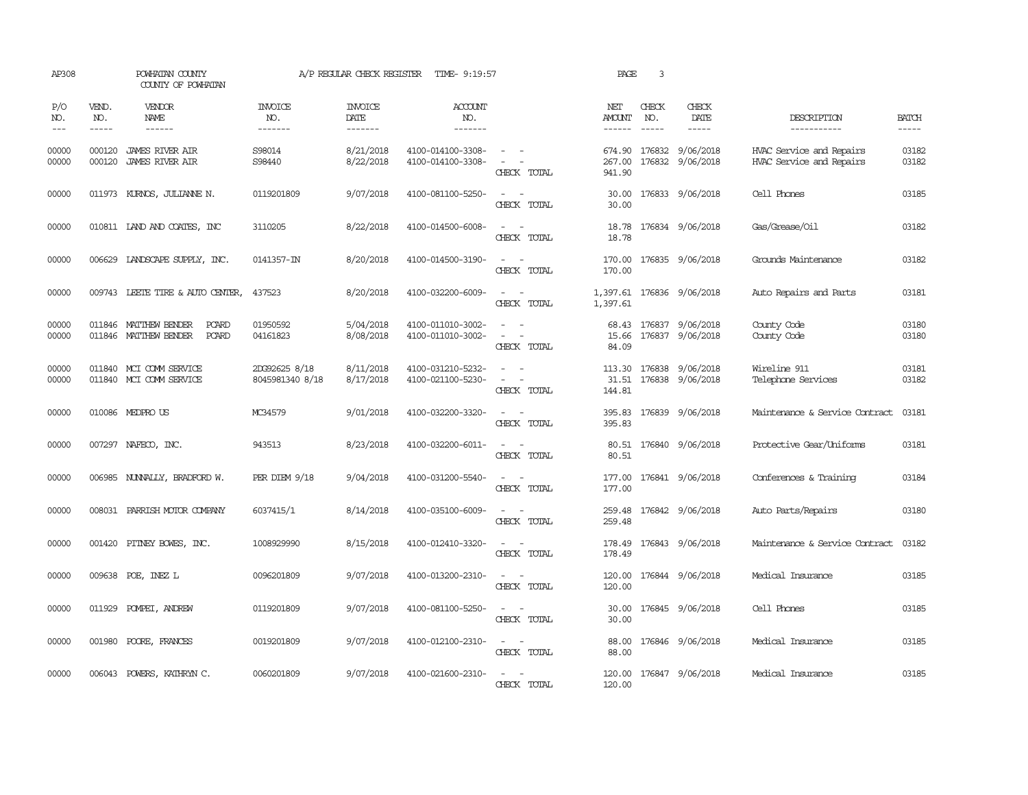| AP308               |                  | POWHATAN COUNTY<br>COUNTY OF POWHATAN                                   |                                          | A/P REGULAR CHECK REGISTER        | TIME- 9:19:57                            |                                                                                                                             | PAGE                                  | 3                             |                                                   |                                                      |                       |
|---------------------|------------------|-------------------------------------------------------------------------|------------------------------------------|-----------------------------------|------------------------------------------|-----------------------------------------------------------------------------------------------------------------------------|---------------------------------------|-------------------------------|---------------------------------------------------|------------------------------------------------------|-----------------------|
| P/O<br>NO.<br>$---$ | VEND.<br>NO.     | VENDOR<br><b>NAME</b><br>$- - - - - -$                                  | <b>INVOICE</b><br>NO.<br>$- - - - - - -$ | <b>INVOICE</b><br>DATE<br>------- | <b>ACCOUNT</b><br>NO.<br>$- - - - - - -$ |                                                                                                                             | NET<br><b>AMOUNT</b><br>$- - - - - -$ | CHECK<br>NO.<br>$\frac{1}{2}$ | CHECK<br>DATE                                     | DESCRIPTION<br>-----------                           | <b>BATCH</b><br>----- |
| 00000<br>00000      | 000120<br>000120 | <b>JAMES RIVER AIR</b><br><b>JAMES RIVER AIR</b>                        | S98014<br>S98440                         | 8/21/2018<br>8/22/2018            | 4100-014100-3308-<br>4100-014100-3308-   | CHECK TOTAL                                                                                                                 | 674.90<br>267.00<br>941.90            |                               | 176832 9/06/2018<br>176832 9/06/2018              | HVAC Service and Repairs<br>HVAC Service and Repairs | 03182<br>03182        |
| 00000               |                  | 011973 KURNOS, JULIANNE N.                                              | 0119201809                               | 9/07/2018                         | 4100-081100-5250-                        | $\overline{\phantom{a}}$<br>CHECK TOTAL                                                                                     | 30.00<br>30.00                        |                               | 176833 9/06/2018                                  | Cell Phones                                          | 03185                 |
| 00000               |                  | 010811 IAND AND COATES, INC                                             | 3110205                                  | 8/22/2018                         | 4100-014500-6008-                        | $\sim$<br>$\overline{\phantom{a}}$<br>CHECK TOTAL                                                                           | 18.78<br>18.78                        |                               | 176834 9/06/2018                                  | Gas/Grease/0il                                       | 03182                 |
| 00000               |                  | 006629 LANDSCAPE SUPPLY, INC.                                           | 0141357-IN                               | 8/20/2018                         | 4100-014500-3190-                        | $\overline{\phantom{a}}$<br>CHECK TOTAL                                                                                     | 170.00<br>170.00                      |                               | 176835 9/06/2018                                  | Grounds Maintenance                                  | 03182                 |
| 00000               | 009743           | LEETE TIRE & AUTO CENTER,                                               | 437523                                   | 8/20/2018                         | 4100-032200-6009-                        | CHECK TOTAL                                                                                                                 | 1,397.61                              |                               | 1,397.61 176836 9/06/2018                         | Auto Repairs and Parts                               | 03181                 |
| 00000<br>00000      | 011846           | <b>PCARD</b><br>MATTHEW BENDER<br>011846 MATTHEW BENDER<br><b>PCARD</b> | 01950592<br>04161823                     | 5/04/2018<br>8/08/2018            | 4100-011010-3002-<br>4100-011010-3002-   | CHECK TOTAL                                                                                                                 | 68.43<br>15.66<br>84.09               | 176837                        | 9/06/2018<br>176837 9/06/2018                     | County Code<br>County Code                           | 03180<br>03180        |
| 00000<br>00000      |                  | 011840 MCI COMM SERVICE<br>011840 MCI COMM SERVICE                      | 2DG92625 8/18<br>8045981340 8/18         | 8/11/2018<br>8/17/2018            | 4100-031210-5232-<br>4100-021100-5230-   | $\sim$<br>CHECK TOTAL                                                                                                       | 144.81                                |                               | 113.30 176838 9/06/2018<br>31.51 176838 9/06/2018 | Wireline 911<br>Telephone Services                   | 03181<br>03182        |
| 00000               |                  | 010086 MEDPRO US                                                        | MC34579                                  | 9/01/2018                         | 4100-032200-3320-                        | $\equiv$<br>$\sim$<br>CHECK TOTAL                                                                                           | 395.83<br>395.83                      |                               | 176839 9/06/2018                                  | Maintenance & Service Contract                       | 03181                 |
| 00000               |                  | 007297 NAFECO, INC.                                                     | 943513                                   | 8/23/2018                         | 4100-032200-6011-                        | $\frac{1}{2} \left( \frac{1}{2} \right) \left( \frac{1}{2} \right) = \frac{1}{2} \left( \frac{1}{2} \right)$<br>CHECK TOTAL | 80.51                                 |                               | 80.51 176840 9/06/2018                            | Protective Gear/Uniforms                             | 03181                 |
| 00000               |                  | 006985 NUNNALLY, BRADFORD W.                                            | PER DIEM 9/18                            | 9/04/2018                         | 4100-031200-5540-                        | $ -$<br>CHECK TOTAL                                                                                                         | 177.00<br>177.00                      |                               | 176841 9/06/2018                                  | Conferences & Training                               | 03184                 |
| 00000               | 008031           | PARRISH MOTOR COMPANY                                                   | 6037415/1                                | 8/14/2018                         | 4100-035100-6009-                        | $\sim$<br>CHECK TOTAL                                                                                                       | 259.48<br>259.48                      |                               | 176842 9/06/2018                                  | Auto Parts/Repairs                                   | 03180                 |
| 00000               | 001420           | PITNEY BOWES, INC.                                                      | 1008929990                               | 8/15/2018                         | 4100-012410-3320-                        | $\sim$ $\sim$<br>CHECK TOTAL                                                                                                | 178.49<br>178.49                      |                               | 176843 9/06/2018                                  | Maintenance & Service Contract                       | 03182                 |
| 00000               |                  | 009638 POE, INEZ L                                                      | 0096201809                               | 9/07/2018                         | 4100-013200-2310-                        | $ -$<br>CHECK TOTAL                                                                                                         | 120.00<br>120.00                      |                               | 176844 9/06/2018                                  | Medical Insurance                                    | 03185                 |
| 00000               |                  | 011929 POMPEI, ANDREW                                                   | 0119201809                               | 9/07/2018                         | 4100-081100-5250-                        | CHECK TOTAL                                                                                                                 | 30.00<br>30.00                        |                               | 176845 9/06/2018                                  | Cell Phones                                          | 03185                 |
| 00000               | 001980           | POORE, FRANCES                                                          | 0019201809                               | 9/07/2018                         | 4100-012100-2310-                        | CHECK TOTAL                                                                                                                 | 88.00<br>88.00                        |                               | 176846 9/06/2018                                  | Medical Insurance                                    | 03185                 |
| 00000               | 006043           | POWERS, KATHRYN C.                                                      | 0060201809                               | 9/07/2018                         | 4100-021600-2310-                        | CHECK TOTAL                                                                                                                 | 120.00<br>120.00                      |                               | 176847 9/06/2018                                  | Medical Insurance                                    | 03185                 |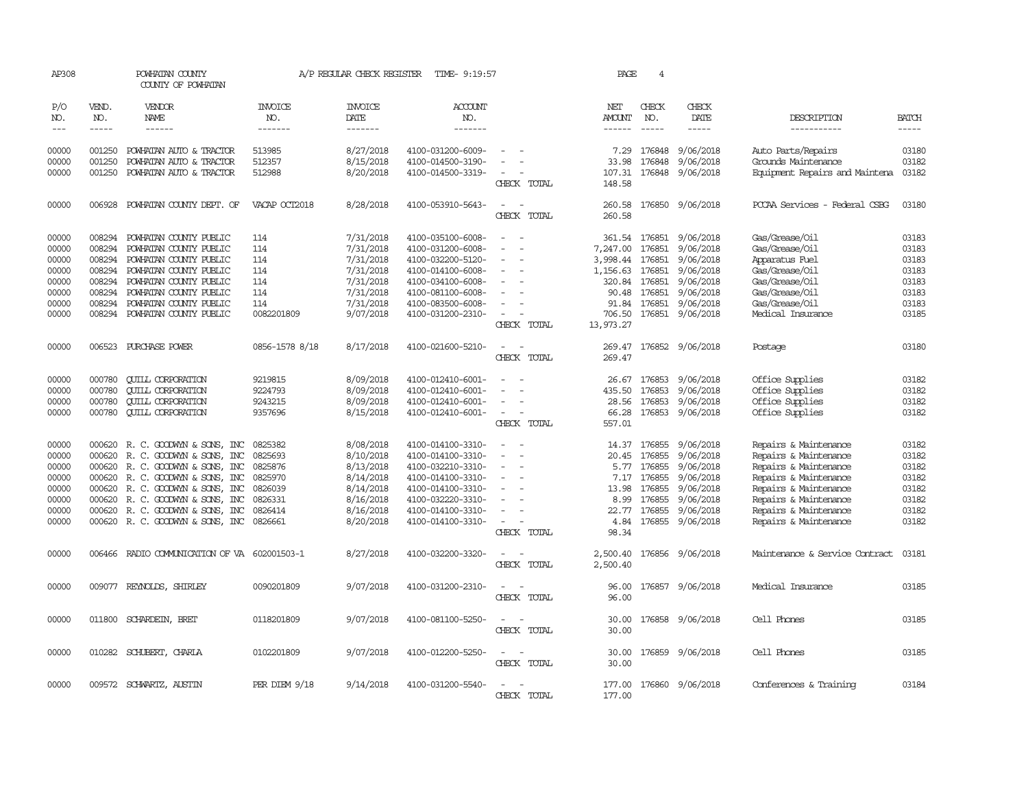| AP308      |              | POWHATAN COUNTY<br>COUNTY OF POWHATAN        |                       | A/P REGULAR CHECK REGISTER | TIME- 9:19:57     |                          | PAGE                 | 4             |                         |                                |              |
|------------|--------------|----------------------------------------------|-----------------------|----------------------------|-------------------|--------------------------|----------------------|---------------|-------------------------|--------------------------------|--------------|
| P/O<br>NO. | VEND.<br>NO. | VENDOR<br>NAME                               | <b>INVOICE</b><br>NO. | <b>INVOICE</b><br>DATE     | ACCOUNT<br>NO.    |                          | NET<br>AMOUNT        | CHECK<br>NO.  | CHECK<br>DATE           | DESCRIPTION                    | <b>BATCH</b> |
| $---$      |              | $- - - - - -$                                | --------              | -------                    | -------           |                          | $- - - - - -$        | $\frac{1}{2}$ | -----                   | -----------                    | $- - - - -$  |
| 00000      | 001250       | POWHATAN AUTO & TRACTOR                      | 513985                | 8/27/2018                  | 4100-031200-6009- |                          | 7.29                 | 176848        | 9/06/2018               | Auto Parts/Repairs             | 03180        |
| 00000      | 001250       | POWHATAN AUTO & TRACTOR                      | 512357                | 8/15/2018                  | 4100-014500-3190- |                          | 33.98                | 176848        | 9/06/2018               | Grounds Maintenance            | 03182        |
| 00000      | 001250       | POWHATAN AUTO & TRACTOR                      | 512988                | 8/20/2018                  | 4100-014500-3319- |                          | 107.31               |               | 176848 9/06/2018        | Equipment Repairs and Maintena | 03182        |
|            |              |                                              |                       |                            |                   | CHECK TOTAL              | 148.58               |               |                         |                                |              |
| 00000      | 006928       | POWHATAN COUNTY DEPT. OF                     | VACAP OCT2018         | 8/28/2018                  | 4100-053910-5643- | $\sim$<br>CHECK TOTAL    | 260.58<br>260.58     |               | 176850 9/06/2018        | PCCAA Services - Federal CSBG  | 03180        |
| 00000      | 008294       | POWHATAN COUNTY PUBLIC                       | 114                   | 7/31/2018                  | 4100-035100-6008- |                          |                      |               | 361.54 176851 9/06/2018 | Gas/Grease/0il                 | 03183        |
| 00000      | 008294       | POWHATAN COUNTY PUBLIC                       | 114                   | 7/31/2018                  | 4100-031200-6008- |                          | 7,247.00             | 176851        | 9/06/2018               | Gas/Grease/Oil                 | 03183        |
| 00000      | 008294       | POWHATAN COUNTY PUBLIC                       | 114                   | 7/31/2018                  | 4100-032200-5120- |                          | 3,998.44             | 176851        | 9/06/2018               | Apparatus Fuel                 | 03183        |
| 00000      | 008294       | POWHATAN COUNTY PUBLIC                       | 114                   | 7/31/2018                  | 4100-014100-6008- |                          | 1,156.63             | 176851        | 9/06/2018               | Gas/Grease/Oil                 | 03183        |
| 00000      | 008294       | POWHATAN COUNTY PUBLIC                       | 114                   | 7/31/2018                  | 4100-034100-6008- |                          | 320.84               | 176851        | 9/06/2018               | Gas/Grease/Oil                 | 03183        |
| 00000      | 008294       | POWHATAN COUNTY PUBLIC                       | 114                   | 7/31/2018                  | 4100-081100-6008- |                          | 90.48                | 176851        | 9/06/2018               | Gas/Grease/Oil                 | 03183        |
| 00000      | 008294       | POWHATAN COUNTY PUBLIC                       | 114                   | 7/31/2018                  | 4100-083500-6008- |                          | 91.84                | 176851        | 9/06/2018               | Gas/Grease/Oil                 | 03183        |
| 00000      |              | 008294 POWHATAN COUNTY PUBLIC                | 0082201809            | 9/07/2018                  | 4100-031200-2310- |                          | 706.50               |               | 176851 9/06/2018        | Medical Insurance              | 03185        |
|            |              |                                              |                       |                            |                   | CHECK TOTAL              | 13,973.27            |               |                         |                                |              |
| 00000      |              | 006523 PURCHASE POWER                        | 0856-1578 8/18        | 8/17/2018                  | 4100-021600-5210- | CHECK TOTAL              | 269.47<br>269.47     |               | 176852 9/06/2018        | Postage                        | 03180        |
|            |              |                                              |                       |                            |                   |                          |                      |               |                         |                                |              |
| 00000      | 000780       | <b>CUILL CORPORATION</b>                     | 9219815               | 8/09/2018                  | 4100-012410-6001- |                          | 26.67                |               | 176853 9/06/2018        | Office Supplies                | 03182        |
| 00000      | 000780       | <b>CUILL CORPORATION</b>                     | 9224793               | 8/09/2018                  | 4100-012410-6001- |                          | 435.50               | 176853        | 9/06/2018               | Office Supplies                | 03182        |
| 00000      | 000780       | <b>CUILL CORPORATION</b>                     | 9243215               | 8/09/2018                  | 4100-012410-6001- | $\equiv$                 | 28.56                | 176853        | 9/06/2018               | Office Supplies                | 03182        |
| 00000      | 000780       | <b>CUILL CORPORATION</b>                     | 9357696               | 8/15/2018                  | 4100-012410-6001- | $\sim$<br>CHECK TOTAL    | 66.28<br>557.01      |               | 176853 9/06/2018        | Office Supplies                | 03182        |
|            |              |                                              |                       |                            |                   |                          |                      |               |                         |                                |              |
| 00000      | 000620       | R. C. GOODWYN & SONS, INC                    | 0825382               | 8/08/2018                  | 4100-014100-3310- | $\equiv$                 | 14.37                | 176855        | 9/06/2018               | Repairs & Maintenance          | 03182        |
| 00000      | 000620       | R. C. GOODWIN & SONS, INC                    | 0825693               | 8/10/2018                  | 4100-014100-3310- |                          | 20.45                | 176855        | 9/06/2018               | Repairs & Maintenance          | 03182        |
| 00000      | 000620       | R. C. GOODWYN & SONS, INC                    | 0825876               | 8/13/2018                  | 4100-032210-3310- |                          | 5.77                 | 176855        | 9/06/2018               | Repairs & Maintenance          | 03182        |
| 00000      | 000620       | R. C. GOODWYN & SONS, INC                    | 0825970               | 8/14/2018                  | 4100-014100-3310- |                          | 7.17                 | 176855        | 9/06/2018               | Repairs & Maintenance          | 03182        |
| 00000      | 000620       | R. C. GOODWYN & SONS, INC                    | 0826039               | 8/14/2018                  | 4100-014100-3310- |                          | 13.98                | 176855        | 9/06/2018               | Repairs & Maintenance          | 03182        |
| 00000      | 000620       | R. C. GOODWIN & SONS, INC                    | 0826331               | 8/16/2018                  | 4100-032220-3310- |                          | 8.99                 | 176855        | 9/06/2018               | Repairs & Maintenance          | 03182        |
| 00000      | 000620       | R. C. GOODWYN & SONS, INC                    | 0826414               | 8/16/2018                  | 4100-014100-3310- |                          | 22.77                | 176855        | 9/06/2018               | Repairs & Maintenance          | 03182        |
| 00000      |              | 000620 R. C. GOODWYN & SONS, INC             | 0826661               | 8/20/2018                  | 4100-014100-3310- | $\sim$<br>CHECK TOTAL    | 4.84<br>98.34        | 176855        | 9/06/2018               | Repairs & Maintenance          | 03182        |
|            |              |                                              |                       |                            |                   |                          |                      |               |                         |                                |              |
| 00000      |              | 006466 RADIO COMMUNICATION OF VA 602001503-1 |                       | 8/27/2018                  | 4100-032200-3320- | CHECK TOTAL              | 2,500.40<br>2,500.40 |               | 176856 9/06/2018        | Maintenance & Service Contract | 03181        |
| 00000      |              | 009077 REYNOLDS, SHIRLEY                     | 0090201809            | 9/07/2018                  | 4100-031200-2310- | $\sim$                   | 96.00                |               | 176857 9/06/2018        | Medical Insurance              | 03185        |
|            |              |                                              |                       |                            |                   | CHECK TOTAL              | 96.00                |               |                         |                                |              |
| 00000      |              | 011800 SCHARDEIN, BRET                       | 0118201809            | 9/07/2018                  | 4100-081100-5250- | CHECK TOTAL              | 30.00<br>30.00       |               | 176858 9/06/2018        | Cell Phones                    | 03185        |
|            |              |                                              |                       |                            |                   |                          |                      |               |                         |                                |              |
| 00000      |              | 010282 SCHUBERT, CHARLA                      | 0102201809            | 9/07/2018                  | 4100-012200-5250- | $\overline{\phantom{a}}$ | 30.00                |               | 176859 9/06/2018        | Cell Phones                    | 03185        |
|            |              |                                              |                       |                            |                   | CHECK TOTAL              | 30.00                |               |                         |                                |              |
| 00000      |              | 009572 SCHWARTZ, AUSTIN                      | PER DIEM 9/18         | 9/14/2018                  | 4100-031200-5540- |                          |                      |               | 177.00 176860 9/06/2018 | Conferences & Training         | 03184        |
|            |              |                                              |                       |                            |                   | CHECK TOTAL              | 177.00               |               |                         |                                |              |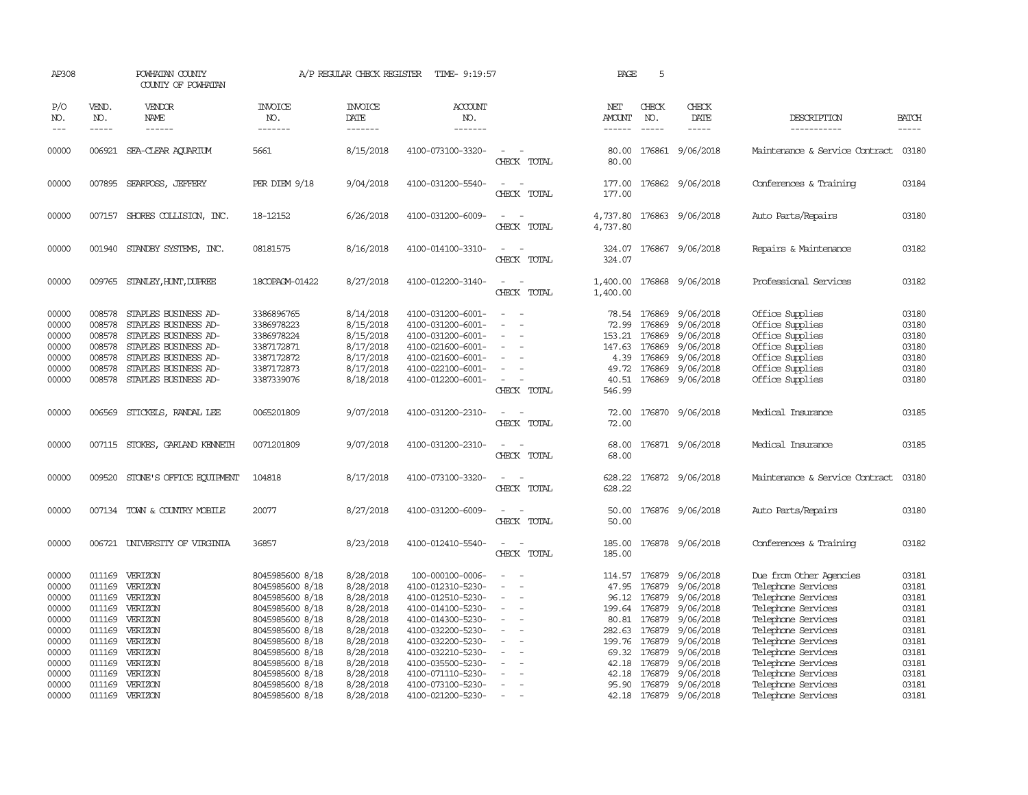| AP308                                                                         |                                                                    | POWHATAN COUNTY<br>COUNTY OF POWHATAN                                                                                                                                |                                                                                                                                                                         | A/P REGULAR CHECK REGISTER                                                                                        | TIME- 9:19:57                                                                                                                                                                            |                                                                                                                                                | PAGE                                                                     | 5                                                                                  |                                                                                                                          |                                                                                                                                                                                                         |                                                                               |
|-------------------------------------------------------------------------------|--------------------------------------------------------------------|----------------------------------------------------------------------------------------------------------------------------------------------------------------------|-------------------------------------------------------------------------------------------------------------------------------------------------------------------------|-------------------------------------------------------------------------------------------------------------------|------------------------------------------------------------------------------------------------------------------------------------------------------------------------------------------|------------------------------------------------------------------------------------------------------------------------------------------------|--------------------------------------------------------------------------|------------------------------------------------------------------------------------|--------------------------------------------------------------------------------------------------------------------------|---------------------------------------------------------------------------------------------------------------------------------------------------------------------------------------------------------|-------------------------------------------------------------------------------|
| P/O<br>NO.<br>$\frac{1}{2}$                                                   | VEND.<br>NO.<br>$- - - - -$                                        | VENDOR<br>NAME<br>------                                                                                                                                             | <b>INVOICE</b><br>NO.<br>-------                                                                                                                                        | <b>INVOICE</b><br>DATE<br>-------                                                                                 | ACCOUNT<br>NO.<br>-------                                                                                                                                                                |                                                                                                                                                | NET<br>AMOUNT<br>------                                                  | CHECK<br>NO.<br>$- - - - -$                                                        | CHECK<br>DATE<br>$- - - - -$                                                                                             | DESCRIPTION<br>-----------                                                                                                                                                                              | <b>BATCH</b><br>-----                                                         |
| 00000                                                                         |                                                                    | 006921 SEA-CLEAR AOUARIUM                                                                                                                                            | 5661                                                                                                                                                                    | 8/15/2018                                                                                                         | 4100-073100-3320-                                                                                                                                                                        | $\equiv$<br>CHECK TOTAL                                                                                                                        | 80.00<br>80.00                                                           |                                                                                    | 176861 9/06/2018                                                                                                         | Maintenance & Service Contract                                                                                                                                                                          | 03180                                                                         |
| 00000                                                                         |                                                                    | 007895 SEARFOSS, JEFFERY                                                                                                                                             | PER DIEM 9/18                                                                                                                                                           | 9/04/2018                                                                                                         | 4100-031200-5540-                                                                                                                                                                        | $\equiv$<br>CHECK TOTAL                                                                                                                        | 177.00<br>177.00                                                         |                                                                                    | 176862 9/06/2018                                                                                                         | Conferences & Training                                                                                                                                                                                  | 03184                                                                         |
| 00000                                                                         |                                                                    | 007157 SHORES COLLISION, INC.                                                                                                                                        | 18-12152                                                                                                                                                                | 6/26/2018                                                                                                         | 4100-031200-6009-                                                                                                                                                                        | $\equiv$<br>CHECK TOTAL                                                                                                                        | 4,737.80                                                                 |                                                                                    | 4,737.80 176863 9/06/2018                                                                                                | Auto Parts/Repairs                                                                                                                                                                                      | 03180                                                                         |
| 00000                                                                         |                                                                    | 001940 STANDBY SYSTEMS, INC.                                                                                                                                         | 08181575                                                                                                                                                                | 8/16/2018                                                                                                         | 4100-014100-3310-                                                                                                                                                                        | $\sim$<br>CHECK TOTAL                                                                                                                          | 324.07                                                                   |                                                                                    | 324.07 176867 9/06/2018                                                                                                  | Repairs & Maintenance                                                                                                                                                                                   | 03182                                                                         |
| 00000                                                                         |                                                                    | 009765 STANLEY, HUNT, DUPREE                                                                                                                                         | 18COPAGM-01422                                                                                                                                                          | 8/27/2018                                                                                                         | 4100-012200-3140-                                                                                                                                                                        | $\sim$<br>CHECK TOTAL                                                                                                                          | 1,400.00                                                                 |                                                                                    | 1,400.00 176868 9/06/2018                                                                                                | Professional Services                                                                                                                                                                                   | 03182                                                                         |
| 00000<br>00000<br>00000<br>00000<br>00000<br>00000<br>00000                   | 008578<br>008578<br>008578<br>008578<br>008578<br>008578<br>008578 | STAPLES BUSINESS AD-<br>STAPLES BUSINESS AD-<br>STAPLES BUSINESS AD-<br>STAPLES BUSINESS AD-<br>STAPLES BUSINESS AD-<br>STAPLES BUSINESS AD-<br>STAPLES BUSINESS AD- | 3386896765<br>3386978223<br>3386978224<br>3387172871<br>3387172872<br>3387172873<br>3387339076                                                                          | 8/14/2018<br>8/15/2018<br>8/15/2018<br>8/17/2018<br>8/17/2018<br>8/17/2018<br>8/18/2018                           | 4100-031200-6001-<br>4100-031200-6001-<br>4100-031200-6001-<br>4100-021600-6001-<br>4100-021600-6001-<br>4100-022100-6001-<br>4100-012200-6001-                                          | $\sim$<br>$\overline{\phantom{a}}$<br>$\sim$<br>$\equiv$<br>$\overline{\phantom{a}}$<br>CHECK TOTAL                                            | 72.99<br>153.21<br>147.63<br>4.39<br>49.72<br>40.51<br>546.99            | 78.54 176869<br>176869<br>176869<br>176869<br>176869<br>176869<br>176869           | 9/06/2018<br>9/06/2018<br>9/06/2018<br>9/06/2018<br>9/06/2018<br>9/06/2018<br>9/06/2018                                  | Office Supplies<br>Office Supplies<br>Office Supplies<br>Office Supplies<br>Office Supplies<br>Office Supplies<br>Office Supplies                                                                       | 03180<br>03180<br>03180<br>03180<br>03180<br>03180<br>03180                   |
| 00000                                                                         | 006569                                                             | STICKELS, RANDAL LEE                                                                                                                                                 | 0065201809                                                                                                                                                              | 9/07/2018                                                                                                         | 4100-031200-2310-                                                                                                                                                                        | $\equiv$<br>CHECK TOTAL                                                                                                                        | 72.00<br>72.00                                                           |                                                                                    | 176870 9/06/2018                                                                                                         | Medical Insurance                                                                                                                                                                                       | 03185                                                                         |
| 00000                                                                         |                                                                    | 007115 STOKES, GARLAND KENNETH                                                                                                                                       | 0071201809                                                                                                                                                              | 9/07/2018                                                                                                         | 4100-031200-2310-                                                                                                                                                                        | $\sim$<br>CHECK TOTAL                                                                                                                          | 68.00<br>68.00                                                           |                                                                                    | 176871 9/06/2018                                                                                                         | Medical Insurance                                                                                                                                                                                       | 03185                                                                         |
| 00000                                                                         |                                                                    | 009520 STONE'S OFFICE EQUIPMENT                                                                                                                                      | 104818                                                                                                                                                                  | 8/17/2018                                                                                                         | 4100-073100-3320-                                                                                                                                                                        | $\sim$<br>CHECK TOTAL                                                                                                                          | 628.22<br>628.22                                                         |                                                                                    | 176872 9/06/2018                                                                                                         | Maintenance & Service Contract                                                                                                                                                                          | 03180                                                                         |
| 00000                                                                         |                                                                    | 007134 TOWN & COUNTRY MOBILE                                                                                                                                         | 20077                                                                                                                                                                   | 8/27/2018                                                                                                         | 4100-031200-6009-                                                                                                                                                                        | $\overline{\phantom{a}}$<br>CHECK TOTAL                                                                                                        | 50.00<br>50.00                                                           |                                                                                    | 176876 9/06/2018                                                                                                         | Auto Parts/Repairs                                                                                                                                                                                      | 03180                                                                         |
| 00000                                                                         |                                                                    | 006721 UNIVERSITY OF VIRGINIA                                                                                                                                        | 36857                                                                                                                                                                   | 8/23/2018                                                                                                         | 4100-012410-5540-                                                                                                                                                                        | $\sim$ 10 $\pm$<br>CHECK TOTAL                                                                                                                 | 185.00<br>185.00                                                         |                                                                                    | 176878 9/06/2018                                                                                                         | Conferences & Training                                                                                                                                                                                  | 03182                                                                         |
| 00000<br>00000<br>00000<br>00000<br>00000<br>00000<br>00000<br>00000<br>00000 | 011169<br>011169<br>011169<br>011169<br>011169<br>011169           | VERIZON<br>VERIZON<br>VERIZON<br>011169 VERIZON<br>VERIZON<br>011169 VERIZON<br>VERIZON<br>VERIZON<br>011169 VERIZON                                                 | 8045985600 8/18<br>8045985600 8/18<br>8045985600 8/18<br>8045985600 8/18<br>8045985600 8/18<br>8045985600 8/18<br>8045985600 8/18<br>8045985600 8/18<br>8045985600 8/18 | 8/28/2018<br>8/28/2018<br>8/28/2018<br>8/28/2018<br>8/28/2018<br>8/28/2018<br>8/28/2018<br>8/28/2018<br>8/28/2018 | 100-000100-0006-<br>4100-012310-5230-<br>4100-012510-5230-<br>4100-014100-5230-<br>4100-014300-5230-<br>4100-032200-5230-<br>4100-032200-5230-<br>4100-032210-5230-<br>4100-035500-5230- | $\equiv$<br>$\overline{\phantom{a}}$<br>$\overline{\phantom{a}}$<br>$\equiv$<br>$\overline{\phantom{a}}$<br>$\sim$<br>$\overline{\phantom{a}}$ | 114.57<br>47.95<br>96.12<br>199.64<br>282.63<br>199.76<br>69.32<br>42.18 | 176879<br>176879<br>176879<br>80.81 176879<br>176879<br>176879<br>176879<br>176879 | 176879 9/06/2018<br>9/06/2018<br>9/06/2018<br>9/06/2018<br>9/06/2018<br>9/06/2018<br>9/06/2018<br>9/06/2018<br>9/06/2018 | Due from Other Agencies<br>Telephone Services<br>Telephone Services<br>Telephone Services<br>Telephone Services<br>Telephone Services<br>Telephone Services<br>Telephone Services<br>Telephone Services | 03181<br>03181<br>03181<br>03181<br>03181<br>03181<br>03181<br>03181<br>03181 |
| 00000<br>00000<br>00000                                                       | 011169<br>011169                                                   | VERIZON<br>011169 VERIZON<br>VERIZON                                                                                                                                 | 8045985600 8/18<br>8045985600 8/18<br>8045985600 8/18                                                                                                                   | 8/28/2018<br>8/28/2018<br>8/28/2018                                                                               | 4100-071110-5230-<br>4100-073100-5230-<br>4100-021200-5230-                                                                                                                              | $\sim$<br>$\sim$                                                                                                                               | 42.18<br>95.90<br>42.18                                                  | 176879                                                                             | 9/06/2018<br>176879 9/06/2018<br>176879 9/06/2018                                                                        | Telephone Services<br>Telephone Services<br>Telephone Services                                                                                                                                          | 03181<br>03181<br>03181                                                       |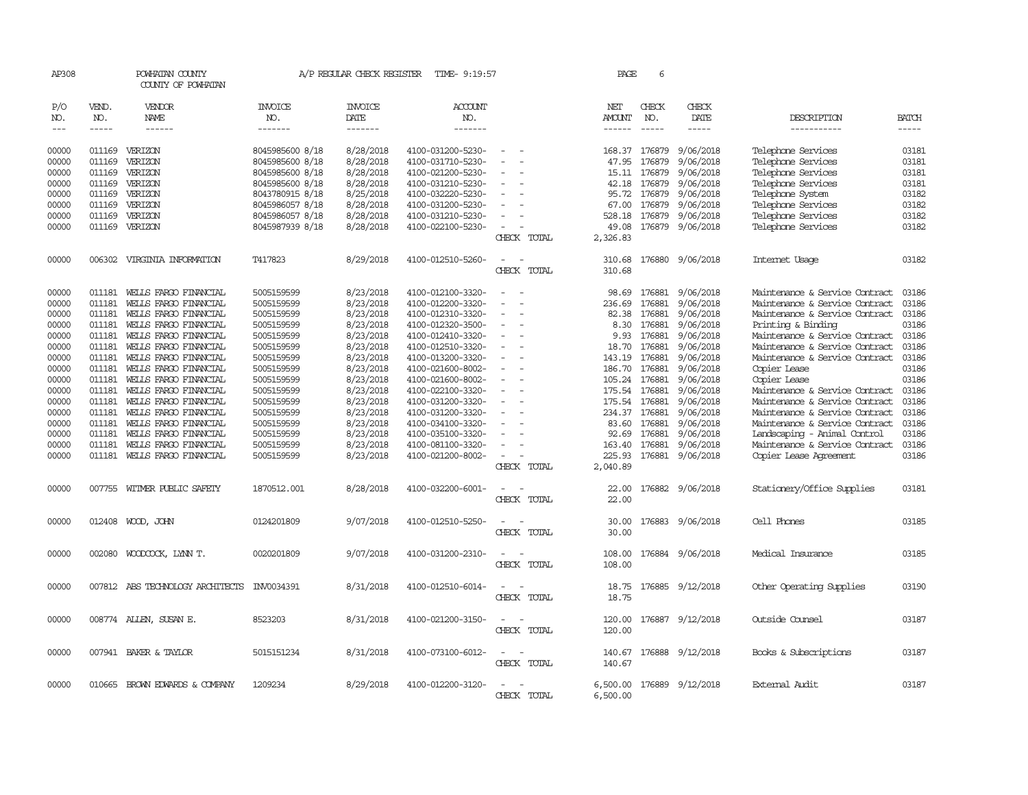| AP308                |                    | POWHATAN COUNTY<br>COUNTY OF POWHATAN          |                          | A/P REGULAR CHECK REGISTER | TIME- 9:19:57                          |                          |             | PAGE                    | 6                  |                        |                                                                  |                |
|----------------------|--------------------|------------------------------------------------|--------------------------|----------------------------|----------------------------------------|--------------------------|-------------|-------------------------|--------------------|------------------------|------------------------------------------------------------------|----------------|
| P/O                  | VEND.              | VENDOR                                         | <b>INVOICE</b>           | <b>INVOICE</b>             | <b>ACCOUNT</b>                         |                          |             | NET                     | CHECK              | CHECK                  |                                                                  |                |
| NO.<br>$\frac{1}{2}$ | NO.<br>$- - - - -$ | <b>NAME</b><br>------                          | NO.<br>-------           | <b>DATE</b><br>-------     | NO.<br>-------                         |                          |             | AMOUNT<br>$- - - - - -$ | NO.<br>$- - - - -$ | DATE<br>-----          | DESCRIPTION<br>-----------                                       | BATCH<br>----- |
|                      |                    |                                                |                          |                            |                                        |                          |             |                         |                    |                        |                                                                  |                |
| 00000                |                    | 011169 VERIZON                                 | 8045985600 8/18          | 8/28/2018                  | 4100-031200-5230-                      | $\overline{\phantom{a}}$ |             |                         | 168.37 176879      | 9/06/2018              | Telephone Services                                               | 03181          |
| 00000                | 011169             | VERIZON                                        | 8045985600 8/18          | 8/28/2018                  | 4100-031710-5230-                      |                          |             | 47.95                   | 176879             | 9/06/2018              | Telephone Services                                               | 03181          |
| 00000                | 011169             | VERIZON                                        | 8045985600 8/18          | 8/28/2018                  | 4100-021200-5230-                      |                          |             | 15.11                   | 176879             | 9/06/2018              | Telephone Services                                               | 03181          |
| 00000                | 011169             | VERIZON                                        | 8045985600 8/18          | 8/28/2018                  | 4100-031210-5230-                      |                          |             | 42.18                   | 176879             | 9/06/2018              | Telephone Services                                               | 03181          |
| 00000                | 011169             | VERIZON                                        | 8043780915 8/18          | 8/25/2018                  | 4100-032220-5230-                      |                          |             | 95.72                   | 176879             | 9/06/2018              | Telephone System                                                 | 03182          |
| 00000                | 011169             | VERIZON                                        | 8045986057 8/18          | 8/28/2018                  | 4100-031200-5230-                      |                          |             | 67.00                   | 176879             | 9/06/2018              | Telephone Services                                               | 03182          |
| 00000                | 011169             | VERIZON                                        | 8045986057 8/18          | 8/28/2018                  | 4100-031210-5230-                      |                          |             | 528.18                  | 176879             | 9/06/2018              | Telephone Services                                               | 03182          |
| 00000                |                    | 011169 VERIZON                                 | 8045987939 8/18          | 8/28/2018                  | 4100-022100-5230-                      |                          |             | 49.08                   |                    | 176879 9/06/2018       | Telephone Services                                               | 03182          |
|                      |                    |                                                |                          |                            |                                        |                          | CHECK TOTAL | 2,326.83                |                    |                        |                                                                  |                |
| 00000                | 006302             | VIRGINIA INFORMATION                           | T417823                  | 8/29/2018                  | 4100-012510-5260-                      |                          |             | 310.68                  |                    | 176880 9/06/2018       | Internet Usage                                                   | 03182          |
|                      |                    |                                                |                          |                            |                                        |                          | CHECK TOTAL | 310.68                  |                    |                        |                                                                  |                |
| 00000                | 011181             | WELLS FARGO FINANCIAL                          | 5005159599               | 8/23/2018                  | 4100-012100-3320-                      |                          |             | 98.69                   | 176881             | 9/06/2018              | Maintenance & Service Contract                                   | 03186          |
| 00000                | 011181             | WELLS FARGO FINANCIAL                          | 5005159599               | 8/23/2018                  | 4100-012200-3320-                      | $\equiv$                 |             | 236.69                  | 176881             | 9/06/2018              | Maintenance & Service Contract                                   | 03186          |
| 00000                | 011181             | WELLS FARGO FINANCIAL                          | 5005159599               | 8/23/2018                  | 4100-012310-3320-                      |                          |             | 82.38                   | 176881             | 9/06/2018              | Maintenance & Service Contract                                   | 03186          |
| 00000                | 011181             | WELLS FARGO FINANCIAL                          | 5005159599               | 8/23/2018                  | 4100-012320-3500-                      |                          |             | 8.30                    | 176881             | 9/06/2018              | Printing & Binding                                               | 03186          |
| 00000                | 011181             | WELLS FARGO FINANCIAL                          | 5005159599               | 8/23/2018                  | 4100-012410-3320-                      |                          |             | 9.93                    | 176881             | 9/06/2018              | Maintenance & Service Contract                                   | 03186          |
| 00000                | 011181             | WELLS FARGO FINANCIAL                          | 5005159599               | 8/23/2018                  | 4100-012510-3320-                      |                          |             | 18.70                   | 176881             | 9/06/2018              | Maintenance & Service Contract                                   | 03186          |
| 00000                | 011181             | WELLS FARGO FINANCIAL                          | 5005159599               | 8/23/2018                  | 4100-013200-3320-                      |                          |             | 143.19                  | 176881             | 9/06/2018              | Maintenance & Service Contract                                   | 03186          |
| 00000                | 011181             | WELLS FARGO FINANCIAL                          | 5005159599               | 8/23/2018                  | 4100-021600-8002-                      |                          |             | 186.70                  | 176881             | 9/06/2018              | Copier Lease                                                     | 03186          |
| 00000                | 011181             | WELLS FARGO FINANCIAL                          | 5005159599               | 8/23/2018                  | 4100-021600-8002-                      |                          |             | 105.24 176881           |                    | 9/06/2018              | Copier Lease                                                     | 03186          |
| 00000<br>00000       | 011181<br>011181   | WELLS FARGO FINANCIAL<br>WEILS FARGO FINANCIAL | 5005159599               | 8/23/2018<br>8/23/2018     | 4100-022100-3320-                      |                          |             | 175.54 176881<br>175.54 | 176881             | 9/06/2018<br>9/06/2018 | Maintenance & Service Contract<br>Maintenance & Service Contract | 03186<br>03186 |
| 00000                | 011181             | WELLS FARGO FINANCIAL                          | 5005159599<br>5005159599 | 8/23/2018                  | 4100-031200-3320-<br>4100-031200-3320- |                          |             | 234.37                  | 176881             | 9/06/2018              | Maintenance & Service Contract                                   | 03186          |
| 00000                | 011181             | WELLS FARGO FINANCIAL                          | 5005159599               | 8/23/2018                  | 4100-034100-3320-                      |                          |             | 83.60                   | 176881             | 9/06/2018              | Maintenance & Service Contract                                   | 03186          |
| 00000                | 011181             | WELLS FARGO FINANCIAL                          | 5005159599               | 8/23/2018                  | 4100-035100-3320-                      |                          |             | 92.69                   | 176881             | 9/06/2018              | Landscaping - Animal Control                                     | 03186          |
| 00000                | 011181             | WELLS FARGO FINANCIAL                          | 5005159599               | 8/23/2018                  | 4100-081100-3320-                      |                          |             | 163.40                  | 176881             | 9/06/2018              | Maintenance & Service Contract                                   | 03186          |
| 00000                |                    | 011181 WELLS FARGO FINANCIAL                   | 5005159599               | 8/23/2018                  | 4100-021200-8002-                      | $\equiv$                 |             | 225.93                  |                    | 176881 9/06/2018       | Copier Lease Agreement                                           | 03186          |
|                      |                    |                                                |                          |                            |                                        |                          | CHECK TOTAL | 2,040.89                |                    |                        |                                                                  |                |
|                      |                    |                                                |                          |                            |                                        |                          |             |                         |                    |                        |                                                                  |                |
| 00000                |                    | 007755 WITMER PUBLIC SAFETY                    | 1870512.001              | 8/28/2018                  | 4100-032200-6001-                      | $\equiv$                 |             | 22.00                   |                    | 176882 9/06/2018       | Stationery/Office Supplies                                       | 03181          |
|                      |                    |                                                |                          |                            |                                        |                          | CHECK TOTAL | 22.00                   |                    |                        |                                                                  |                |
| 00000                |                    | 012408 WOOD, JOHN                              | 0124201809               | 9/07/2018                  | 4100-012510-5250-                      |                          |             | 30.00                   |                    | 176883 9/06/2018       | Cell Phones                                                      | 03185          |
|                      |                    |                                                |                          |                            |                                        |                          | CHECK TOTAL | 30.00                   |                    |                        |                                                                  |                |
|                      |                    |                                                |                          |                            |                                        |                          |             |                         |                    |                        |                                                                  |                |
| 00000                |                    | 002080 WOODCOCK, LYNN T.                       | 0020201809               | 9/07/2018                  | 4100-031200-2310-                      | $\equiv$                 | CHECK TOTAL | 108.00<br>108.00        |                    | 176884 9/06/2018       | Medical Insurance                                                | 03185          |
|                      |                    |                                                |                          |                            |                                        |                          |             |                         |                    |                        |                                                                  |                |
| 00000                |                    | 007812 ABS TECHNOLOGY ARCHITECTS               | INV0034391               | 8/31/2018                  | 4100-012510-6014-                      |                          |             | 18.75                   |                    | 176885 9/12/2018       | Other Operating Supplies                                         | 03190          |
|                      |                    |                                                |                          |                            |                                        |                          | CHECK TOTAL | 18.75                   |                    |                        |                                                                  |                |
| 00000                |                    | 008774 ALLEN, SUSAN E.                         | 8523203                  | 8/31/2018                  | 4100-021200-3150-                      |                          |             | 120.00                  | 176887             | 9/12/2018              | Outside Counsel                                                  | 03187          |
|                      |                    |                                                |                          |                            |                                        |                          | CHECK TOTAL | 120.00                  |                    |                        |                                                                  |                |
| 00000                |                    | 007941 BAKER & TAYLOR                          | 5015151234               | 8/31/2018                  | 4100-073100-6012-                      | $\overline{\phantom{a}}$ |             | 140.67                  | 176888             | 9/12/2018              | Books & Subscriptions                                            | 03187          |
|                      |                    |                                                |                          |                            |                                        |                          | CHECK TOTAL | 140.67                  |                    |                        |                                                                  |                |
|                      |                    |                                                |                          |                            |                                        |                          |             |                         |                    |                        | External Audit                                                   |                |
| 00000                |                    | 010665 BROWN EDWARDS & COMPANY                 | 1209234                  | 8/29/2018                  | 4100-012200-3120-                      |                          | CHECK TOTAL | 6,500.00                |                    | 176889 9/12/2018       |                                                                  | 03187          |
|                      |                    |                                                |                          |                            |                                        |                          |             | 6,500.00                |                    |                        |                                                                  |                |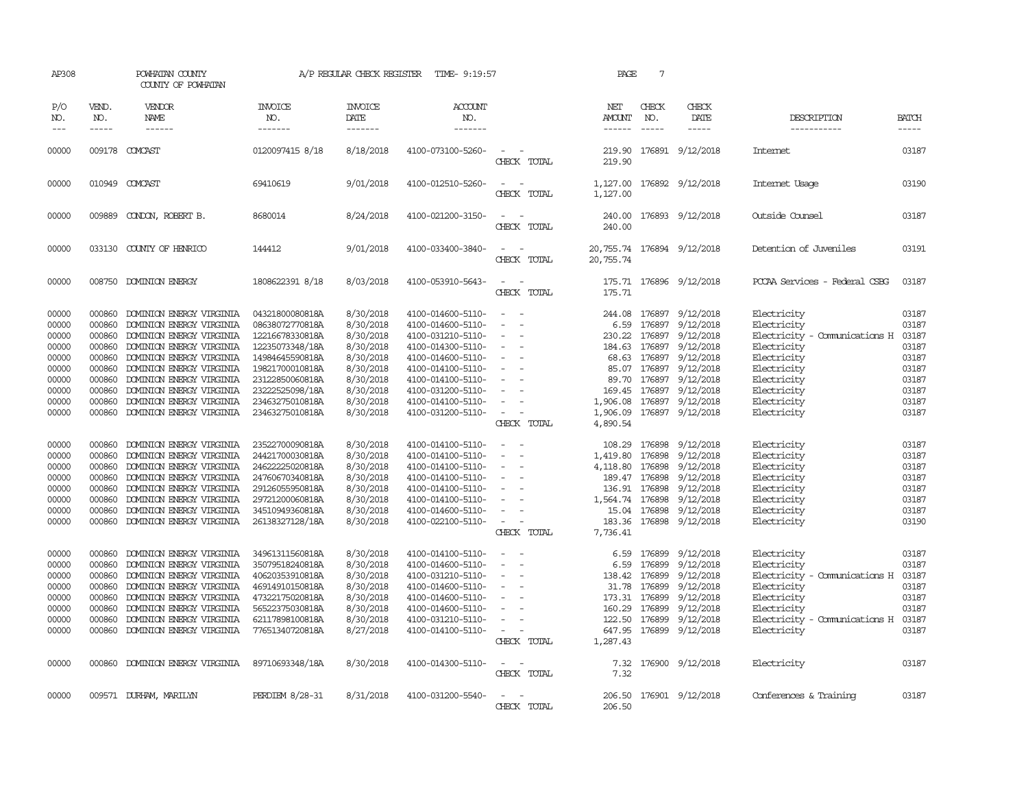| AP308                                                                                  |                                                                                                  | POWHATAN COUNTY<br>COUNTY OF POWHATAN                                                                                                                                                                                                                                                |                                                                                                                                                                                            | A/P REGULAR CHECK REGISTER                                                                                                     | TIME- 9:19:57                                                                                                                                                                                                  |                                                                                                                                                                                       | PAGE                                                                    | 7                                                                                      |                                                                                                                                                                                                           |                                                                                                                                                                      |                                                                                        |
|----------------------------------------------------------------------------------------|--------------------------------------------------------------------------------------------------|--------------------------------------------------------------------------------------------------------------------------------------------------------------------------------------------------------------------------------------------------------------------------------------|--------------------------------------------------------------------------------------------------------------------------------------------------------------------------------------------|--------------------------------------------------------------------------------------------------------------------------------|----------------------------------------------------------------------------------------------------------------------------------------------------------------------------------------------------------------|---------------------------------------------------------------------------------------------------------------------------------------------------------------------------------------|-------------------------------------------------------------------------|----------------------------------------------------------------------------------------|-----------------------------------------------------------------------------------------------------------------------------------------------------------------------------------------------------------|----------------------------------------------------------------------------------------------------------------------------------------------------------------------|----------------------------------------------------------------------------------------|
| P/O<br>NO.<br>$\frac{1}{2}$                                                            | VEND.<br>NO.<br>$- - - - -$                                                                      | VENDOR<br><b>NAME</b><br>------                                                                                                                                                                                                                                                      | INVOICE<br>NO.<br>-------                                                                                                                                                                  | <b>INVOICE</b><br>DATE<br>--------                                                                                             | ACCOUNT<br>NO.<br>-------                                                                                                                                                                                      |                                                                                                                                                                                       | NET<br>AMOUNT<br>$- - - - - -$                                          | CHECK<br>NO.<br>$- - - - -$                                                            | CHECK<br>DATE<br>$- - - - -$                                                                                                                                                                              | DESCRIPTION<br>-----------                                                                                                                                           | <b>BATCH</b><br>-----                                                                  |
| 00000                                                                                  |                                                                                                  | 009178 COMCAST                                                                                                                                                                                                                                                                       | 0120097415 8/18                                                                                                                                                                            | 8/18/2018                                                                                                                      | 4100-073100-5260-                                                                                                                                                                                              | $\equiv$<br>CHECK TOTAL                                                                                                                                                               | 219.90<br>219.90                                                        |                                                                                        | 176891 9/12/2018                                                                                                                                                                                          | Internet                                                                                                                                                             | 03187                                                                                  |
| 00000                                                                                  |                                                                                                  | 010949 COMCAST                                                                                                                                                                                                                                                                       | 69410619                                                                                                                                                                                   | 9/01/2018                                                                                                                      | 4100-012510-5260-                                                                                                                                                                                              | $\sim$<br>$\sim$<br>CHECK TOTAL                                                                                                                                                       | 1,127.00<br>1,127.00                                                    |                                                                                        | 176892 9/12/2018                                                                                                                                                                                          | Internet Usage                                                                                                                                                       | 03190                                                                                  |
| 00000                                                                                  | 009889                                                                                           | CONDON, ROBERT B.                                                                                                                                                                                                                                                                    | 8680014                                                                                                                                                                                    | 8/24/2018                                                                                                                      | 4100-021200-3150-                                                                                                                                                                                              | $\sim$<br>$\sim$<br>CHECK TOTAL                                                                                                                                                       | 240.00<br>240.00                                                        |                                                                                        | 176893 9/12/2018                                                                                                                                                                                          | Outside Counsel                                                                                                                                                      | 03187                                                                                  |
| 00000                                                                                  |                                                                                                  | 033130 COUNTY OF HENRICO                                                                                                                                                                                                                                                             | 144412                                                                                                                                                                                     | 9/01/2018                                                                                                                      | 4100-033400-3840-                                                                                                                                                                                              | $\equiv$<br>CHECK TOTAL                                                                                                                                                               | 20,755.74                                                               |                                                                                        | 20,755.74 176894 9/12/2018                                                                                                                                                                                | Detention of Juveniles                                                                                                                                               | 03191                                                                                  |
| 00000                                                                                  | 008750                                                                                           | <b>DOMINION ENERGY</b>                                                                                                                                                                                                                                                               | 1808622391 8/18                                                                                                                                                                            | 8/03/2018                                                                                                                      | 4100-053910-5643-                                                                                                                                                                                              | $\equiv$<br>CHECK TOTAL                                                                                                                                                               | 175.71<br>175.71                                                        |                                                                                        | 176896 9/12/2018                                                                                                                                                                                          | PCCAA Services - Federal CSBG                                                                                                                                        | 03187                                                                                  |
| 00000<br>00000<br>00000<br>00000<br>00000<br>00000<br>00000<br>00000<br>00000<br>00000 | 000860<br>000860<br>000860<br>000860<br>000860<br>000860<br>000860<br>000860<br>000860<br>000860 | DOMINION ENERGY VIRGINIA<br>DOMINION ENERGY VIRGINIA<br>DOMINION ENERGY VIRGINIA<br>DOMINION ENERGY VIRGINIA<br>DOMINION ENERGY VIRGINIA<br>DOMINION ENERGY VIRGINIA<br>DOMINION ENERGY VIRGINIA<br>DOMINION ENERGY VIRGINIA<br>DOMINION ENERGY VIRGINIA<br>DOMINION ENERGY VIRGINIA | 04321800080818A<br>08638072770818A<br>12216678330818A<br>12235073348/18A<br>14984645590818A<br>19821700010818A<br>23122850060818A<br>23222525098/18A<br>23463275010818A<br>23463275010818A | 8/30/2018<br>8/30/2018<br>8/30/2018<br>8/30/2018<br>8/30/2018<br>8/30/2018<br>8/30/2018<br>8/30/2018<br>8/30/2018<br>8/30/2018 | 4100-014600-5110-<br>4100-014600-5110-<br>4100-031210-5110-<br>4100-014300-5110-<br>4100-014600-5110-<br>4100-014100-5110-<br>4100-014100-5110-<br>4100-031200-5110-<br>4100-014100-5110-<br>4100-031200-5110- | $\overline{\phantom{a}}$<br>$\overline{\phantom{0}}$<br>$\sim$<br>$\overline{\phantom{a}}$<br>$\sim$<br>$\overline{\phantom{a}}$<br>$\overline{\phantom{a}}$<br>$\sim$<br>CHECK TOTAL | 244.08<br>6.59<br>184.63<br>89.70<br>1,906.08<br>1,906.09<br>4,890.54   | 176897<br>176897<br>176897                                                             | 9/12/2018<br>9/12/2018<br>230.22 176897 9/12/2018<br>176897 9/12/2018<br>68.63 176897 9/12/2018<br>85.07 176897 9/12/2018<br>176897 9/12/2018<br>169.45 176897 9/12/2018<br>9/12/2018<br>176897 9/12/2018 | Electricity<br>Electricity<br>Electricity - Comunications H<br>Electricity<br>Electricity<br>Electricity<br>Electricity<br>Electricity<br>Electricity<br>Electricity | 03187<br>03187<br>03187<br>03187<br>03187<br>03187<br>03187<br>03187<br>03187<br>03187 |
| 00000<br>00000<br>00000<br>00000<br>00000<br>00000<br>00000<br>00000                   | 000860<br>000860<br>000860<br>000860<br>000860<br>000860<br>000860<br>000860                     | DOMINION ENERGY VIRGINIA<br>DOMINION ENERGY VIRGINIA<br>DOMINION ENERGY VIRGINIA<br>DOMINION ENERGY VIRGINIA<br>DOMINION ENERGY VIRGINIA<br>DOMINION ENERGY VIRGINIA<br>DOMINION ENERGY VIRGINIA<br>DOMINION ENERGY VIRGINIA                                                         | 23522700090818A<br>24421700030818A<br>24622225020818A<br>24760670340818A<br>29126055950818A<br>29721200060818A<br>34510949360818A<br>26138327128/18A                                       | 8/30/2018<br>8/30/2018<br>8/30/2018<br>8/30/2018<br>8/30/2018<br>8/30/2018<br>8/30/2018<br>8/30/2018                           | 4100-014100-5110-<br>4100-014100-5110-<br>4100-014100-5110-<br>4100-014100-5110-<br>4100-014100-5110-<br>4100-014100-5110-<br>4100-014600-5110-<br>4100-022100-5110-                                           | $\sim$<br>$\sim$<br>$\sim$<br>$\sim$<br>$\sim$<br>CHECK TOTAL                                                                                                                         | 108.29<br>1,419.80<br>4,118.80<br>136.91<br>1,564.74 176898<br>7,736.41 | 176898<br>176898<br>176898<br>189.47 176898<br>176898<br>15.04 176898<br>183.36 176898 | 9/12/2018<br>9/12/2018<br>9/12/2018<br>9/12/2018<br>9/12/2018<br>9/12/2018<br>9/12/2018<br>9/12/2018                                                                                                      | Electricity<br>Electricity<br>Electricity<br>Electricity<br>Electricity<br>Electricity<br>Electricity<br>Electricity                                                 | 03187<br>03187<br>03187<br>03187<br>03187<br>03187<br>03187<br>03190                   |
| 00000<br>00000<br>00000<br>00000<br>00000<br>00000<br>00000<br>00000                   | 000860<br>000860<br>000860<br>000860<br>000860<br>000860<br>000860<br>000860                     | DOMINION ENERGY VIRGINIA<br>DOMINION ENERGY VIRGINIA<br>DOMINION ENERGY VIRGINIA<br>DOMINION ENERGY VIRGINIA<br>DOMINION ENERGY VIRGINIA<br>DOMINION ENERGY VIRGINIA<br>DOMINION ENERGY VIRGINIA<br>DOMINION ENERGY VIRGINIA                                                         | 34961311560818A<br>35079518240818A<br>40620353910818A<br>46914910150818A<br>47322175020818A<br>56522375030818A<br>62117898100818A<br>77651340720818A                                       | 8/30/2018<br>8/30/2018<br>8/30/2018<br>8/30/2018<br>8/30/2018<br>8/30/2018<br>8/30/2018<br>8/27/2018                           | 4100-014100-5110-<br>4100-014600-5110-<br>4100-031210-5110-<br>4100-014600-5110-<br>4100-014600-5110-<br>4100-014600-5110-<br>4100-031210-5110-<br>4100-014100-5110-                                           | $\equiv$<br>$\sim$<br>$\sim$<br>$\sim$<br>$\sim$<br>$\equiv$<br>$\sim$<br>CHECK TOTAL                                                                                                 | 6.59<br>6.59<br>31.78<br>160.29<br>122.50<br>647.95<br>1,287.43         | 176899<br>176899<br>176899<br>173.31 176899<br>176899<br>176899                        | 9/12/2018<br>9/12/2018<br>138.42 176899 9/12/2018<br>9/12/2018<br>9/12/2018<br>9/12/2018<br>9/12/2018<br>176899 9/12/2018                                                                                 | Electricity<br>Electricity<br>Electricity - Comunications H<br>Electricity<br>Electricity<br>Electricity<br>Electricity - Comunications H<br>Electricity             | 03187<br>03187<br>03187<br>03187<br>03187<br>03187<br>03187<br>03187                   |
| 00000                                                                                  |                                                                                                  | 000860 DOMINION ENERGY VIRGINIA                                                                                                                                                                                                                                                      | 89710693348/18A                                                                                                                                                                            | 8/30/2018                                                                                                                      | 4100-014300-5110-                                                                                                                                                                                              | $\sim$<br>CHECK TOTAL                                                                                                                                                                 | 7.32<br>7.32                                                            |                                                                                        | 176900 9/12/2018                                                                                                                                                                                          | Electricity                                                                                                                                                          | 03187                                                                                  |
| 00000                                                                                  |                                                                                                  | 009571 DURHAM, MARILYN                                                                                                                                                                                                                                                               | PERDIEM 8/28-31                                                                                                                                                                            | 8/31/2018                                                                                                                      | 4100-031200-5540-                                                                                                                                                                                              | $\equiv$<br>CHECK TOTAL                                                                                                                                                               | 206.50                                                                  |                                                                                        | 206.50 176901 9/12/2018                                                                                                                                                                                   | Conferences & Training                                                                                                                                               | 03187                                                                                  |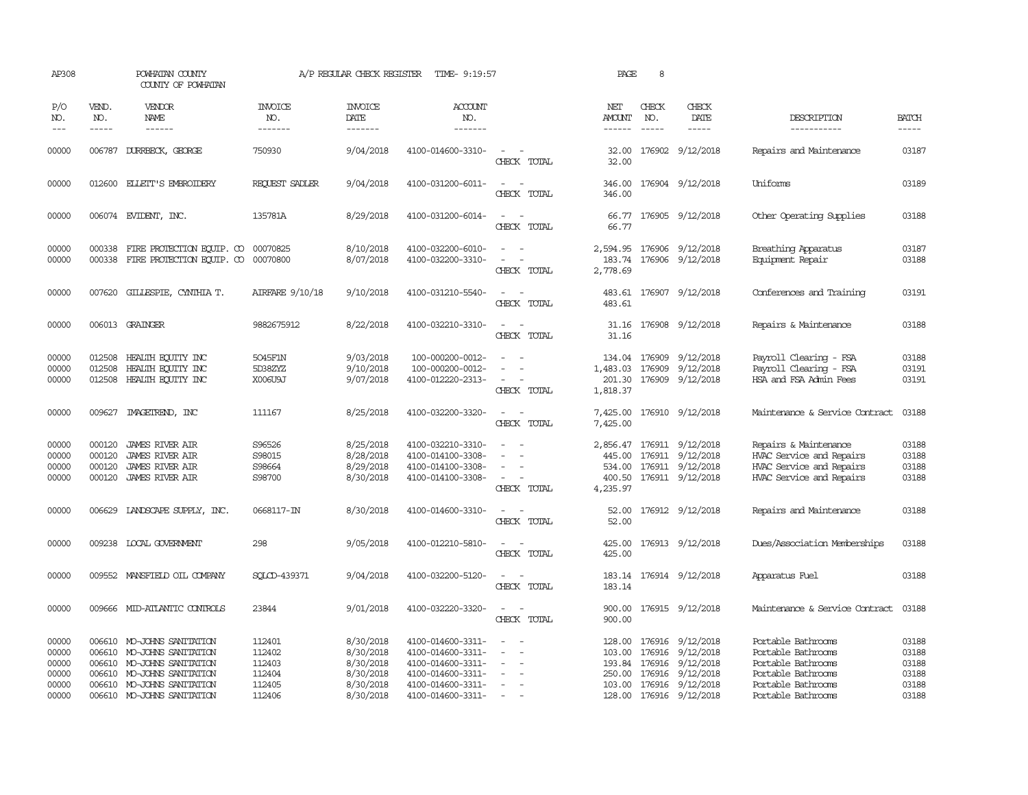| AP308                                              |                             | POWHATAN COUNTY<br>COUNTY OF POWHATAN                                                                                                                       |                                                          | A/P REGULAR CHECK REGISTER                                                 | TIME- 9:19:57                                                                                                              |                                                                               | PAGE                                     | 8                             |                                                                                                                                                  |                                                                                                                                  |                                                    |
|----------------------------------------------------|-----------------------------|-------------------------------------------------------------------------------------------------------------------------------------------------------------|----------------------------------------------------------|----------------------------------------------------------------------------|----------------------------------------------------------------------------------------------------------------------------|-------------------------------------------------------------------------------|------------------------------------------|-------------------------------|--------------------------------------------------------------------------------------------------------------------------------------------------|----------------------------------------------------------------------------------------------------------------------------------|----------------------------------------------------|
| P/O<br>NO.<br>$---$                                | VEND.<br>NO.<br>$- - - - -$ | <b>VENDOR</b><br>NAME<br>$- - - - - -$                                                                                                                      | <b>INVOICE</b><br>NO.<br>-------                         | <b>INVOICE</b><br>DATE<br>-------                                          | <b>ACCOUNT</b><br>NO.<br>-------                                                                                           |                                                                               | NET<br><b>AMOUNT</b><br>------           | CHECK<br>NO.<br>$\frac{1}{2}$ | CHECK<br>DATE<br>$- - - - -$                                                                                                                     | DESCRIPTION<br>-----------                                                                                                       | <b>BATCH</b><br>-----                              |
| 00000                                              | 006787                      | DURRBECK, GEORGE                                                                                                                                            | 750930                                                   | 9/04/2018                                                                  | 4100-014600-3310-                                                                                                          | $\sim$<br>CHECK TOTAL                                                         | 32.00<br>32.00                           |                               | 176902 9/12/2018                                                                                                                                 | Repairs and Maintenance                                                                                                          | 03187                                              |
| 00000                                              |                             | 012600 ELLETT'S EMBROIDERY                                                                                                                                  | REQUEST SADLER                                           | 9/04/2018                                                                  | 4100-031200-6011-                                                                                                          | $\overline{\phantom{a}}$<br>$\sim$<br>CHECK TOTAL                             | 346.00<br>346.00                         |                               | 176904 9/12/2018                                                                                                                                 | Uniforms                                                                                                                         | 03189                                              |
| 00000                                              |                             | 006074 EVIDENT, INC.                                                                                                                                        | 135781A                                                  | 8/29/2018                                                                  | 4100-031200-6014-                                                                                                          | CHECK TOTAL                                                                   | 66.77                                    |                               | 66.77 176905 9/12/2018                                                                                                                           | Other Operating Supplies                                                                                                         | 03188                                              |
| 00000<br>00000                                     | 000338<br>000338            | FIRE PROTECTION EQUIP. CO<br>FIRE PROTECTION EQUIP. CO                                                                                                      | 00070825<br>00070800                                     | 8/10/2018<br>8/07/2018                                                     | 4100-032200-6010-<br>4100-032200-3310-                                                                                     | $\sim$<br>CHECK TOTAL                                                         | 183.74<br>2,778.69                       |                               | 2,594.95 176906 9/12/2018<br>176906 9/12/2018                                                                                                    | Breathing Apparatus<br>Equipment Repair                                                                                          | 03187<br>03188                                     |
| 00000                                              |                             | 007620 GILLESPIE, CYNIHIA T.                                                                                                                                | AIRFARE 9/10/18                                          | 9/10/2018                                                                  | 4100-031210-5540-                                                                                                          | $\sim$<br>CHECK TOTAL                                                         | 483.61                                   |                               | 483.61 176907 9/12/2018                                                                                                                          | Conferences and Training                                                                                                         | 03191                                              |
| 00000                                              |                             | 006013 GRAINGER                                                                                                                                             | 9882675912                                               | 8/22/2018                                                                  | 4100-032210-3310-                                                                                                          | $\sim$<br>CHECK TOTAL                                                         | 31.16<br>31.16                           |                               | 176908 9/12/2018                                                                                                                                 | Repairs & Maintenance                                                                                                            | 03188                                              |
| 00000<br>00000<br>00000                            | 012508<br>012508<br>012508  | HEALTH ECUTTY INC<br>HEALTH ECUTTY INC<br>HEALTH EQUITY INC                                                                                                 | 5045F1N<br>5D38ZYZ<br>X006U9J                            | 9/03/2018<br>9/10/2018<br>9/07/2018                                        | 100-000200-0012-<br>100-000200-0012-<br>4100-012220-2313-                                                                  | $\overline{\phantom{a}}$<br>$\overline{\phantom{a}}$<br>$\sim$<br>CHECK TOTAL | 134.04<br>1,483.03<br>201.30<br>1,818.37 | 176909                        | 9/12/2018<br>176909 9/12/2018<br>176909 9/12/2018                                                                                                | Payroll Clearing - FSA<br>Payroll Clearing - FSA<br>HSA and FSA Admin Fees                                                       | 03188<br>03191<br>03191                            |
| 00000                                              | 009627                      | IMAGEIREND, INC                                                                                                                                             | 111167                                                   | 8/25/2018                                                                  | 4100-032200-3320-                                                                                                          | CHECK TOTAL                                                                   | 7,425.00<br>7,425.00                     |                               | 176910 9/12/2018                                                                                                                                 | Maintenance & Service Contract                                                                                                   | 03188                                              |
| 00000<br>00000<br>00000<br>00000                   | 000120<br>000120<br>000120  | <b>JAMES RIVER AIR</b><br><b>JAMES RIVER AIR</b><br><b>JAMES RIVER AIR</b><br>000120 JAMES RIVER AIR                                                        | S96526<br>S98015<br>S98664<br>S98700                     | 8/25/2018<br>8/28/2018<br>8/29/2018<br>8/30/2018                           | 4100-032210-3310-<br>4100-014100-3308-<br>4100-014100-3308-<br>4100-014100-3308-                                           | $\equiv$<br>$\sim$<br>CHECK TOTAL                                             | 445.00<br>4,235.97                       |                               | 2,856.47 176911 9/12/2018<br>176911 9/12/2018<br>534.00 176911 9/12/2018<br>400.50 176911 9/12/2018                                              | Repairs & Maintenance<br>HVAC Service and Repairs<br>HVAC Service and Repairs<br>HVAC Service and Repairs                        | 03188<br>03188<br>03188<br>03188                   |
| 00000                                              | 006629                      | LANDSCAPE SUPPLY, INC.                                                                                                                                      | 0668117-IN                                               | 8/30/2018                                                                  | 4100-014600-3310-                                                                                                          | CHECK TOTAL                                                                   | 52.00<br>52.00                           |                               | 176912 9/12/2018                                                                                                                                 | Repairs and Maintenance                                                                                                          | 03188                                              |
| 00000                                              | 009238                      | LOCAL GOVERNMENT                                                                                                                                            | 298                                                      | 9/05/2018                                                                  | 4100-012210-5810-                                                                                                          | CHECK TOTAL                                                                   | 425.00<br>425.00                         |                               | 176913 9/12/2018                                                                                                                                 | Dues/Association Memberships                                                                                                     | 03188                                              |
| 00000                                              | 009552                      | MANSFIELD OIL COMPANY                                                                                                                                       | SOLCD-439371                                             | 9/04/2018                                                                  | 4100-032200-5120-                                                                                                          | CHECK TOTAL                                                                   | 183.14                                   |                               | 183.14 176914 9/12/2018                                                                                                                          | Apparatus Fuel                                                                                                                   | 03188                                              |
| 00000                                              | 009666                      | MID-ATLANTIC CONTROLS                                                                                                                                       | 23844                                                    | 9/01/2018                                                                  | 4100-032220-3320-                                                                                                          | CHECK TOTAL                                                                   | 900.00<br>900.00                         |                               | 176915 9/12/2018                                                                                                                                 | Maintenance & Service Contract                                                                                                   | 03188                                              |
| 00000<br>00000<br>00000<br>00000<br>00000<br>00000 | 006610<br>006610<br>006610  | MO-JOHNS SANITATION<br>006610 MO-JOHNS SANITATION<br>MO-JOHNS SANITATION<br>MO-JOHNS SANITATION<br>006610 MO-JOHNS SANITATION<br>006610 MO-JOHNS SANITATION | 112401<br>112402<br>112403<br>112404<br>112405<br>112406 | 8/30/2018<br>8/30/2018<br>8/30/2018<br>8/30/2018<br>8/30/2018<br>8/30/2018 | 4100-014600-3311-<br>4100-014600-3311-<br>4100-014600-3311-<br>4100-014600-3311-<br>4100-014600-3311-<br>4100-014600-3311- | $\sim$                                                                        | 128.00<br>250.00                         |                               | 176916 9/12/2018<br>103.00 176916 9/12/2018<br>193.84 176916 9/12/2018<br>176916 9/12/2018<br>103.00 176916 9/12/2018<br>128.00 176916 9/12/2018 | Portable Bathrooms<br>Portable Bathrooms<br>Portable Bathrooms<br>Portable Bathrooms<br>Portable Bathrooms<br>Portable Bathrooms | 03188<br>03188<br>03188<br>03188<br>03188<br>03188 |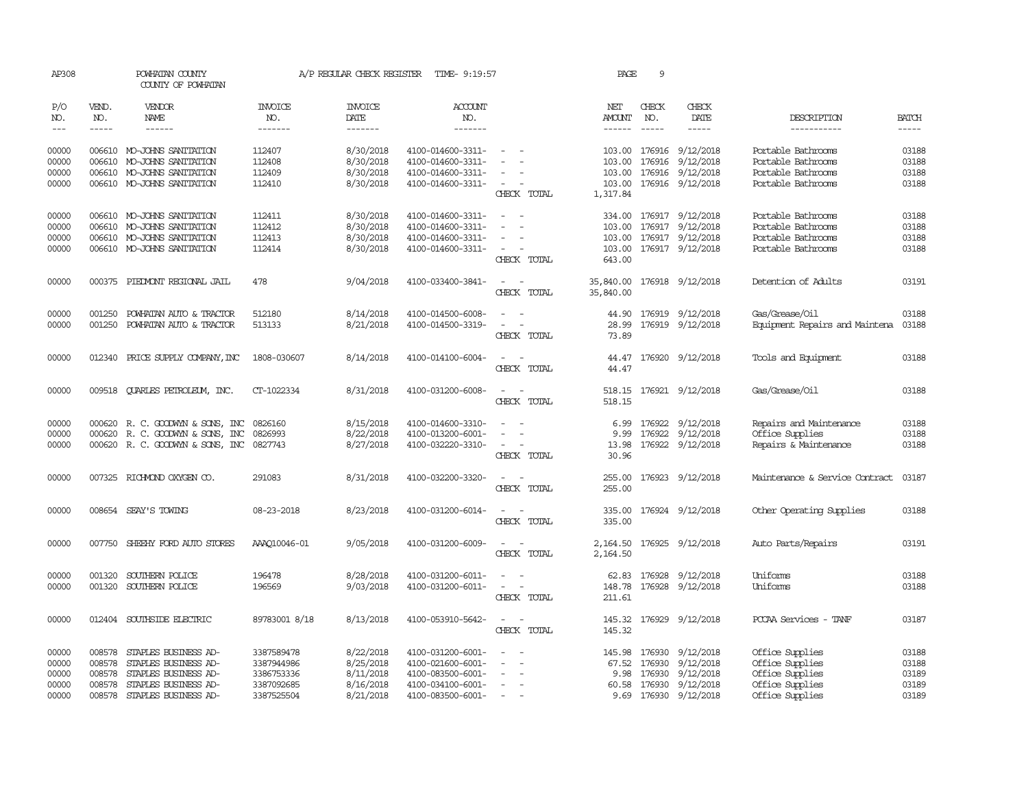| AP308                   |                            | POWHATAN COUNTY<br>COUNTY OF POWHATAN                                                                                                                                                                                                                                                                                                                                                                                                                                      |                                        | A/P REGULAR CHECK REGISTER          | TIME- 9:19:57                                               |                                                                     | PAGE                                    | 9                               |                                                   |                                                                |                         |
|-------------------------|----------------------------|----------------------------------------------------------------------------------------------------------------------------------------------------------------------------------------------------------------------------------------------------------------------------------------------------------------------------------------------------------------------------------------------------------------------------------------------------------------------------|----------------------------------------|-------------------------------------|-------------------------------------------------------------|---------------------------------------------------------------------|-----------------------------------------|---------------------------------|---------------------------------------------------|----------------------------------------------------------------|-------------------------|
| P/O<br>NO.              | VEND.<br>NO.               | <b>VENDOR</b><br>NAME                                                                                                                                                                                                                                                                                                                                                                                                                                                      | <b>INVOICE</b><br>NO.                  | <b>INVOICE</b><br>DATE              | ACCOUNT<br>NO.                                              |                                                                     | NET<br>AMOUNT                           | CHECK<br>NO.                    | CHECK<br>DATE                                     | DESCRIPTION                                                    | <b>BATCH</b>            |
| $---$                   | $\frac{1}{2}$              | $\frac{1}{2} \left( \frac{1}{2} \right) \left( \frac{1}{2} \right) \left( \frac{1}{2} \right) \left( \frac{1}{2} \right) \left( \frac{1}{2} \right) \left( \frac{1}{2} \right) \left( \frac{1}{2} \right) \left( \frac{1}{2} \right) \left( \frac{1}{2} \right) \left( \frac{1}{2} \right) \left( \frac{1}{2} \right) \left( \frac{1}{2} \right) \left( \frac{1}{2} \right) \left( \frac{1}{2} \right) \left( \frac{1}{2} \right) \left( \frac{1}{2} \right) \left( \frac$ | -------                                | -------                             | -------                                                     |                                                                     | $- - - - - -$                           | $\frac{1}{2}$                   | -----                                             | -----------                                                    | -----                   |
| 00000<br>00000<br>00000 | 006610                     | 006610 MO-JOHNS SANITATION<br>MO-JOHNS SANITATION<br>006610 MO-JOHNS SANITATION                                                                                                                                                                                                                                                                                                                                                                                            | 112407<br>112408<br>112409             | 8/30/2018<br>8/30/2018<br>8/30/2018 | 4100-014600-3311-<br>4100-014600-3311-<br>4100-014600-3311- | $\sim$                                                              | 103.00<br>103.00                        | 176916<br>176916                | 103.00 176916 9/12/2018<br>9/12/2018<br>9/12/2018 | Portable Bathrooms<br>Portable Bathrooms<br>Portable Bathrooms | 03188<br>03188<br>03188 |
| 00000                   |                            | 006610 MO-JOHNS SANITATION                                                                                                                                                                                                                                                                                                                                                                                                                                                 | 112410                                 | 8/30/2018                           | 4100-014600-3311-                                           | $\sim$<br>CHECK TOTAL                                               | 1,317.84                                |                                 | 103.00 176916 9/12/2018                           | Portable Bathrooms                                             | 03188                   |
| 00000<br>00000          | 006610                     | 006610 MO-JOHNS SANITATION<br>MO-JOHNS SANITATION                                                                                                                                                                                                                                                                                                                                                                                                                          | 112411<br>112412                       | 8/30/2018<br>8/30/2018              | 4100-014600-3311-<br>4100-014600-3311-                      | $\sim$<br>$\sim$<br>$\sim$<br>$\overline{\phantom{a}}$              | 103.00                                  |                                 | 334.00 176917 9/12/2018<br>176917 9/12/2018       | Portable Bathrooms<br>Portable Bathrooms                       | 03188<br>03188          |
| 00000<br>00000          |                            | 006610 MO-JOHNS SANITATION<br>006610 MO-JOHNS SANITATION                                                                                                                                                                                                                                                                                                                                                                                                                   | 112413<br>112414                       | 8/30/2018<br>8/30/2018              | 4100-014600-3311-<br>4100-014600-3311-                      | $\overline{\phantom{a}}$<br>CHECK TOTAL                             | 103.00<br>643.00                        |                                 | 176917 9/12/2018<br>103.00 176917 9/12/2018       | Portable Bathrooms<br>Portable Bathrooms                       | 03188<br>03188          |
| 00000                   |                            | 000375 PIEDMONT REGIONAL JAIL                                                                                                                                                                                                                                                                                                                                                                                                                                              | 478                                    | 9/04/2018                           | 4100-033400-3841-                                           | $\sim$ 100 $\sim$<br>CHECK TOTAL                                    | 35,840.00 176918 9/12/2018<br>35,840.00 |                                 |                                                   | Detention of Adults                                            | 03191                   |
| 00000<br>00000          | 001250<br>001250           | POWHATAN AUTO & TRACTOR<br>POWHATAN AUTO & TRACTOR                                                                                                                                                                                                                                                                                                                                                                                                                         | 512180<br>513133                       | 8/14/2018<br>8/21/2018              | 4100-014500-6008-<br>4100-014500-3319-                      | CHECK TOTAL                                                         | 44.90<br>28.99<br>73.89                 |                                 | 176919 9/12/2018<br>176919 9/12/2018              | Gas/Grease/Oil<br>Equipment Repairs and Maintena               | 03188<br>03188          |
| 00000                   |                            | 012340 PRICE SUPPLY COMPANY, INC                                                                                                                                                                                                                                                                                                                                                                                                                                           | 1808-030607                            | 8/14/2018                           | 4100-014100-6004-                                           | CHECK TOTAL                                                         | 44.47                                   |                                 | 44.47 176920 9/12/2018                            | Tools and Equipment                                            | 03188                   |
| 00000                   |                            | 009518 QUARLES PETROLEUM, INC.                                                                                                                                                                                                                                                                                                                                                                                                                                             | CT-1022334                             | 8/31/2018                           | 4100-031200-6008-                                           | CHECK TOTAL                                                         | 518.15                                  |                                 | 518.15 176921 9/12/2018                           | Gas/Grease/Oil                                                 | 03188                   |
| 00000<br>00000          |                            | 000620 R. C. GOODWYN & SONS, INC<br>000620 R.C. GOODWYN & SONS, INC                                                                                                                                                                                                                                                                                                                                                                                                        | 0826160<br>0826993                     | 8/15/2018<br>8/22/2018              | 4100-014600-3310-<br>4100-013200-6001-                      |                                                                     | 6.99                                    | 176922<br>9.99 176922           | 9/12/2018<br>9/12/2018                            | Repairs and Maintenance<br>Office Supplies                     | 03188<br>03188          |
| 00000                   |                            | 000620 R.C. GOODWYN & SONS, INC 0827743                                                                                                                                                                                                                                                                                                                                                                                                                                    |                                        | 8/27/2018                           | 4100-032220-3310-                                           | $\sim$<br>CHECK TOTAL                                               | 30.96                                   |                                 | 13.98 176922 9/12/2018                            | Repairs & Maintenance                                          | 03188                   |
| 00000                   |                            | 007325 RICHMOND OXYGEN CO.                                                                                                                                                                                                                                                                                                                                                                                                                                                 | 291083                                 | 8/31/2018                           | 4100-032200-3320-                                           | CHECK TOTAL                                                         | 255.00<br>255.00                        |                                 | 176923 9/12/2018                                  | Maintenance & Service Contract                                 | 03187                   |
| 00000                   |                            | 008654 SEAY'S TOWING                                                                                                                                                                                                                                                                                                                                                                                                                                                       | 08-23-2018                             | 8/23/2018                           | 4100-031200-6014-                                           | CHECK TOTAL                                                         | 335.00<br>335.00                        |                                 | 176924 9/12/2018                                  | Other Operating Supplies                                       | 03188                   |
| 00000                   | 007750                     | SHEEHY FORD AUTO STORES                                                                                                                                                                                                                                                                                                                                                                                                                                                    | AAA010046-01                           | 9/05/2018                           | 4100-031200-6009-                                           | CHECK TOTAL                                                         | 2,164.50                                |                                 | 2, 164.50 176925 9/12/2018                        | Auto Parts/Repairs                                             | 03191                   |
| 00000<br>00000          | 001320                     | SOUTHERN POLICE<br>001320 SOUTHERN POLICE                                                                                                                                                                                                                                                                                                                                                                                                                                  | 196478<br>196569                       | 8/28/2018<br>9/03/2018              | 4100-031200-6011-<br>4100-031200-6011-                      | $\sim$ $\sim$<br>CHECK TOTAL                                        | 62.83<br>211.61                         | 176928                          | 9/12/2018<br>148.78 176928 9/12/2018              | Uniforms<br>Uniforms                                           | 03188<br>03188          |
| 00000                   |                            | 012404 SOUTHSIDE ELECTRIC                                                                                                                                                                                                                                                                                                                                                                                                                                                  | 89783001 8/18                          | 8/13/2018                           | 4100-053910-5642-                                           | $\overline{\phantom{a}}$<br>$\overline{\phantom{a}}$<br>CHECK TOTAL | 145.32                                  |                                 | 145.32 176929 9/12/2018                           | PCCAA Services - TANF                                          | 03187                   |
| 00000<br>00000<br>00000 | 008578<br>008578<br>008578 | STAPLES BUSINESS AD-<br>STAPLES BUSINESS AD-<br>STAPLES BUSINESS AD-                                                                                                                                                                                                                                                                                                                                                                                                       | 3387589478<br>3387944986<br>3386753336 | 8/22/2018<br>8/25/2018<br>8/11/2018 | 4100-031200-6001-<br>4100-021600-6001-<br>4100-083500-6001- |                                                                     | 145.98<br>67.52                         | 176930<br>176930<br>9.98 176930 | 9/12/2018<br>9/12/2018<br>9/12/2018               | Office Supplies<br>Office Supplies<br>Office Supplies          | 03188<br>03188<br>03189 |
| 00000<br>00000          | 008578<br>008578           | STAPLES BUSINESS AD-<br>STAPLES BUSINESS AD-                                                                                                                                                                                                                                                                                                                                                                                                                               | 3387092685<br>3387525504               | 8/16/2018<br>8/21/2018              | 4100-034100-6001-<br>4100-083500-6001-                      | $\overline{\phantom{a}}$<br>$\overline{\phantom{a}}$                |                                         | 60.58 176930                    | 9/12/2018<br>9.69 176930 9/12/2018                | Office Supplies<br>Office Supplies                             | 03189<br>03189          |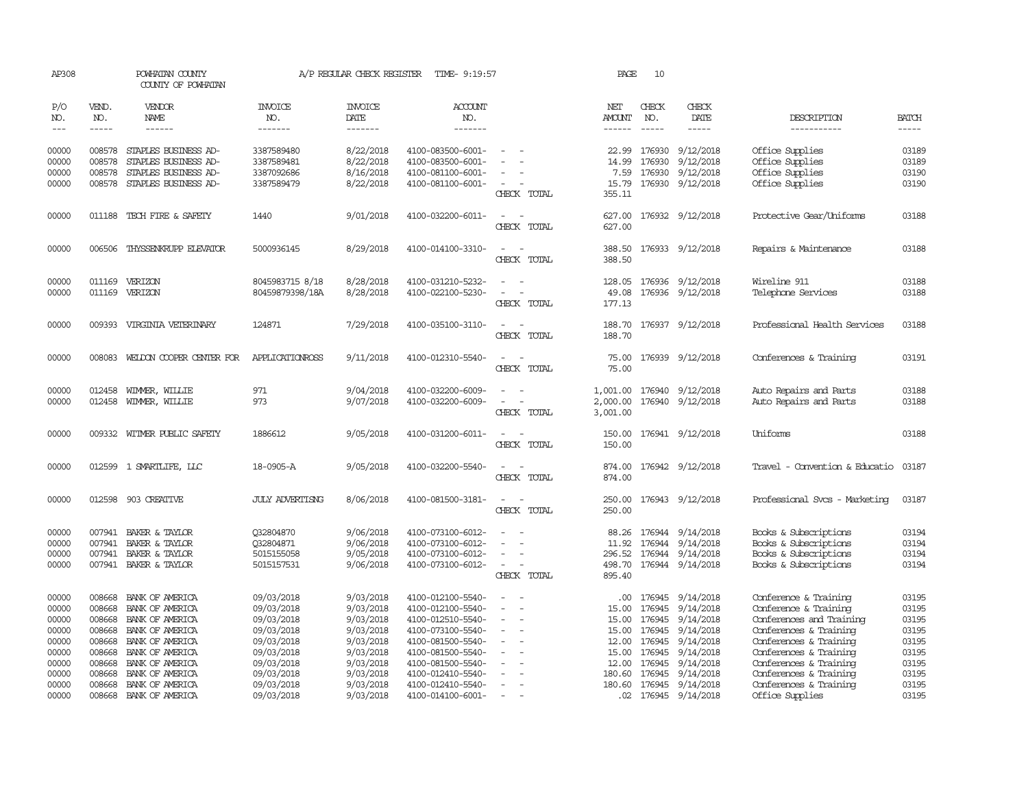| AP308                   |                            | POWHATAN COUNTY<br>COUNTY OF POWHATAN                                |                                        | A/P REGULAR CHECK REGISTER          | TIME- 9:19:57                                               |                                         | PAGE                             | 10                         |                                                   |                                                                         |                         |
|-------------------------|----------------------------|----------------------------------------------------------------------|----------------------------------------|-------------------------------------|-------------------------------------------------------------|-----------------------------------------|----------------------------------|----------------------------|---------------------------------------------------|-------------------------------------------------------------------------|-------------------------|
| P/O<br>NO.              | VEND.<br>NO.               | <b>VENDOR</b><br>NAME                                                | <b>INVOICE</b><br>NO.                  | <b>INVOICE</b><br>DATE              | <b>ACCOUNT</b><br>NO.                                       |                                         | NET<br>AMOUNT                    | CHECK<br>NO.               | CHECK<br>DATE                                     | DESCRIPTION                                                             | <b>BATCH</b>            |
| $---$                   | $\cdots \cdots \cdots$     | $- - - - - -$                                                        | --------                               | -------                             | -------                                                     |                                         | $- - - - - -$                    | $\frac{1}{2}$              | -----                                             | -----------                                                             |                         |
| 00000<br>00000<br>00000 | 008578<br>008578<br>008578 | STAPLES BUSINESS AD-<br>STAPLES BUSINESS AD-<br>STAPLES BUSINESS AD- | 3387589480<br>3387589481<br>3387092686 | 8/22/2018<br>8/22/2018<br>8/16/2018 | 4100-083500-6001-<br>4100-083500-6001-<br>4100-081100-6001- | $\overline{\phantom{a}}$                | 22.99<br>14.99<br>7.59           | 176930<br>176930<br>176930 | 9/12/2018<br>9/12/2018<br>9/12/2018               | Office Supplies<br>Office Supplies<br>Office Supplies                   | 03189<br>03189<br>03190 |
| 00000                   |                            | 008578 STAPLES BUSINESS AD-                                          | 3387589479                             | 8/22/2018                           | 4100-081100-6001-                                           | $\overline{\phantom{a}}$<br>CHECK TOTAL | 355.11                           |                            | 15.79 176930 9/12/2018                            | Office Supplies                                                         | 03190                   |
| 00000                   |                            | 011188 TECH FIRE & SAFETY                                            | 1440                                   | 9/01/2018                           | 4100-032200-6011-                                           | $\sim$<br>$\sim$<br>CHECK TOTAL         | 627.00<br>627.00                 |                            | 176932 9/12/2018                                  | Protective Gear/Uniforms                                                | 03188                   |
| 00000                   |                            | 006506 THYSSENKRUPP ELEVATOR                                         | 5000936145                             | 8/29/2018                           | 4100-014100-3310-                                           | CHECK TOTAL                             | 388.50<br>388.50                 |                            | 176933 9/12/2018                                  | Repairs & Maintenance                                                   | 03188                   |
| 00000<br>00000          | 011169                     | VERIZON<br>011169 VERIZON                                            | 8045983715 8/18<br>80459879398/18A     | 8/28/2018<br>8/28/2018              | 4100-031210-5232-<br>4100-022100-5230-                      | CHECK TOTAL                             | 128.05<br>49.08<br>177.13        |                            | 176936 9/12/2018<br>176936 9/12/2018              | Wireline 911<br>Telephone Services                                      | 03188<br>03188          |
| 00000                   |                            | 009393 VIRGINIA VEIERINARY                                           | 124871                                 | 7/29/2018                           | 4100-035100-3110-                                           | CHECK TOTAL                             | 188.70<br>188.70                 |                            | 176937 9/12/2018                                  | Professional Health Services                                            | 03188                   |
| 00000                   | 008083                     | WELDON COOPER CENTER FOR                                             | APPLICATIONROSS                        | 9/11/2018                           | 4100-012310-5540-                                           | CHECK TOTAL                             | 75.00<br>75.00                   |                            | 176939 9/12/2018                                  | Conferences & Training                                                  | 03191                   |
| 00000<br>00000          | 012458<br>012458           | WIMMER, WILLIE<br>WIMMER, WILLIE                                     | 971<br>973                             | 9/04/2018<br>9/07/2018              | 4100-032200-6009-<br>4100-032200-6009-                      | $\equiv$<br>CHECK TOTAL                 | 1,001.00<br>2,000.00<br>3,001.00 |                            | 176940 9/12/2018<br>176940 9/12/2018              | Auto Repairs and Parts<br>Auto Repairs and Parts                        | 03188<br>03188          |
| 00000                   |                            | 009332 WITMER PUBLIC SAFETY                                          | 1886612                                | 9/05/2018                           | 4100-031200-6011-                                           | CHECK TOTAL                             | 150.00<br>150.00                 |                            | 176941 9/12/2018                                  | Uniforms                                                                | 03188                   |
| 00000                   |                            | 012599 1 SMARTLIFE, LLC                                              | 18-0905-A                              | 9/05/2018                           | 4100-032200-5540-                                           | $\sim$<br>CHECK TOTAL                   | 874.00                           |                            | 874.00 176942 9/12/2018                           | Travel - Convention & Educatio                                          | 03187                   |
| 00000                   |                            | 012598 903 CREATTVE                                                  | <b>JULY ADVERTISNG</b>                 | 8/06/2018                           | 4100-081500-3181-                                           | - -<br>CHECK TOTAL                      | 250.00                           |                            | 250.00 176943 9/12/2018                           | Professional Svcs - Marketing                                           | 03187                   |
| 00000<br>00000<br>00000 | 007941<br>007941<br>007941 | BAKER & TAYLOR<br>BAKER & TAYLOR<br>BAKER & TAYLOR                   | Q32804870<br>Q32804871<br>5015155058   | 9/06/2018<br>9/06/2018<br>9/05/2018 | 4100-073100-6012-<br>4100-073100-6012-<br>4100-073100-6012- |                                         | 88.26<br>11.92<br>296.52         | 176944                     | 176944 9/14/2018<br>9/14/2018<br>176944 9/14/2018 | Books & Subscriptions<br>Books & Subscriptions<br>Books & Subscriptions | 03194<br>03194<br>03194 |
| 00000                   |                            | 007941 BAKER & TAYLOR                                                | 5015157531                             | 9/06/2018                           | 4100-073100-6012-                                           | $\overline{a}$<br>CHECK TOTAL           | 498.70<br>895.40                 |                            | 176944 9/14/2018                                  | Books & Subscriptions                                                   | 03194                   |
| 00000                   | 008668                     | BANK OF AMERICA                                                      | 09/03/2018                             | 9/03/2018                           | 4100-012100-5540-                                           | $\overline{\phantom{a}}$                | .00                              | 176945                     | 9/14/2018                                         | Conference & Training                                                   | 03195                   |
| 00000                   | 008668                     | BANK OF AMERICA                                                      | 09/03/2018                             | 9/03/2018                           | 4100-012100-5540-                                           |                                         | 15.00                            | 176945                     | 9/14/2018                                         | Conference & Training                                                   | 03195                   |
| 00000                   | 008668                     | BANK OF AMERICA                                                      | 09/03/2018                             | 9/03/2018                           | 4100-012510-5540-                                           |                                         | 15.00                            | 176945                     | 9/14/2018                                         | Conferences and Training                                                | 03195                   |
| 00000                   |                            | 008668 BANK OF AMERICA                                               | 09/03/2018                             | 9/03/2018                           | 4100-073100-5540-                                           | $\overline{\phantom{a}}$                |                                  | 15.00 176945               | 9/14/2018                                         | Conferences & Training                                                  | 03195                   |
| 00000                   | 008668                     | BANK OF AMERICA                                                      | 09/03/2018                             | 9/03/2018                           | 4100-081500-5540-                                           |                                         | 12.00                            | 176945                     | 9/14/2018                                         | Conferences & Training                                                  | 03195                   |
| 00000                   | 008668                     | BANK OF AMERICA                                                      | 09/03/2018                             | 9/03/2018                           | 4100-081500-5540-                                           |                                         | 15.00                            | 176945                     | 9/14/2018                                         | Conferences & Training                                                  | 03195                   |
| 00000                   | 008668                     | BANK OF AMERICA                                                      | 09/03/2018                             | 9/03/2018                           | 4100-081500-5540-                                           |                                         | 12.00                            | 176945                     | 9/14/2018                                         | Conferences & Training                                                  | 03195                   |
| 00000<br>00000          | 008668                     | BANK OF AMERICA<br>008668 BANK OF AMERICA                            | 09/03/2018<br>09/03/2018               | 9/03/2018<br>9/03/2018              | 4100-012410-5540-<br>4100-012410-5540-                      | $\sim$                                  | 180.60                           | 176945                     | 9/14/2018<br>180.60 176945 9/14/2018              | Conferences & Training<br>Conferences & Training                        | 03195<br>03195          |
| 00000                   |                            | 008668 BANK OF AMERICA                                               | 09/03/2018                             | 9/03/2018                           | 4100-014100-6001-                                           | $\sim$                                  |                                  |                            | .02 176945 9/14/2018                              | Office Supplies                                                         | 03195                   |
|                         |                            |                                                                      |                                        |                                     |                                                             |                                         |                                  |                            |                                                   |                                                                         |                         |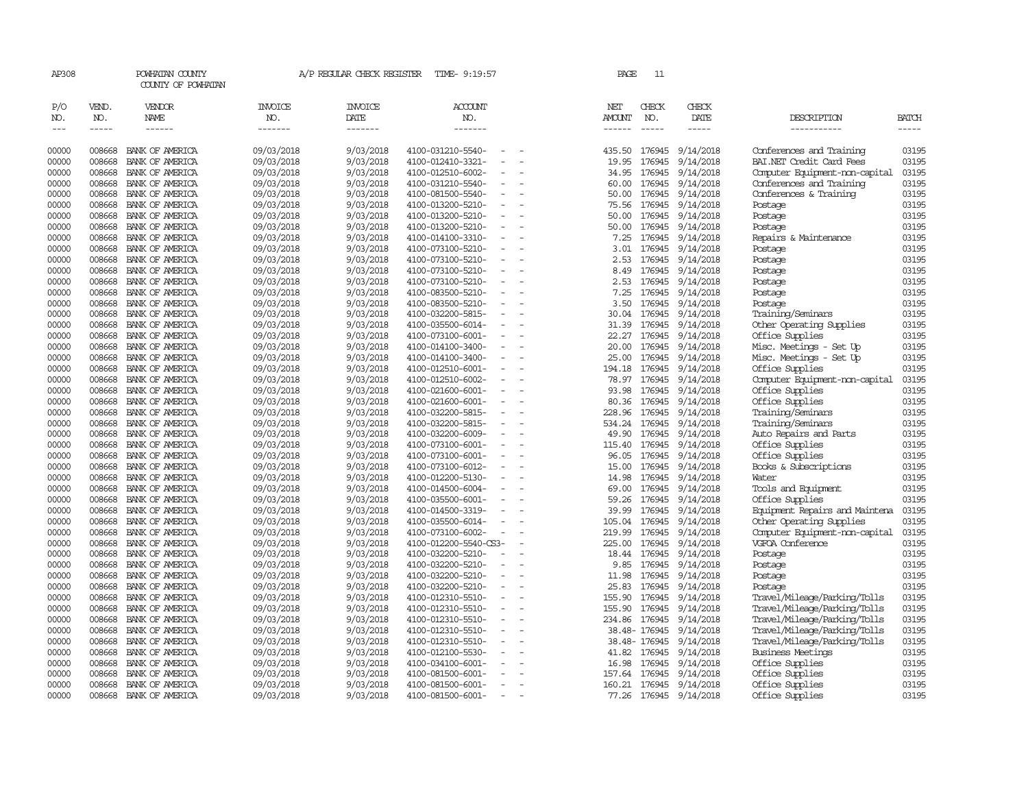| AP308                       |                             | POWHATAN COUNTY<br>COUNTY OF POWHATAN |                                  | A/P REGULAR CHECK REGISTER        | TIME- 9:19:57                                                          |                          | PAGE                           | 11                            |                              |                                                    |                             |
|-----------------------------|-----------------------------|---------------------------------------|----------------------------------|-----------------------------------|------------------------------------------------------------------------|--------------------------|--------------------------------|-------------------------------|------------------------------|----------------------------------------------------|-----------------------------|
| P/O<br>NO.<br>$\frac{1}{2}$ | VEND.<br>NO.<br>$- - - - -$ | VENDOR<br>NAME<br>$- - - - - -$       | <b>INVOICE</b><br>NO.<br>------- | <b>INVOICE</b><br>DATE<br>------- | <b>ACCOUNT</b><br>NO.<br>-------                                       |                          | NET<br>AMOUNT<br>$- - - - - -$ | CHECK<br>NO.<br>$\frac{1}{2}$ | CHECK<br>DATE<br>$- - - - -$ | DESCRIPTION<br>-----------                         | <b>BATCH</b><br>$- - - - -$ |
| 00000                       | 008668                      | BANK OF AMERICA                       | 09/03/2018                       | 9/03/2018                         | 4100-031210-5540-                                                      |                          | 435.50                         | 176945                        | 9/14/2018                    | Conferences and Training                           | 03195                       |
| 00000                       | 008668                      | BANK OF AMERICA                       | 09/03/2018                       | 9/03/2018                         | 4100-012410-3321-                                                      |                          | 19.95                          | 176945                        | 9/14/2018                    | BAI.NET Credit Card Fees                           | 03195                       |
| 00000                       | 008668                      | BANK OF AMERICA                       | 09/03/2018                       | 9/03/2018                         | 4100-012510-6002-                                                      | $\equiv$                 | 34.95                          | 176945                        | 9/14/2018                    | Computer Equipment-non-capital                     | 03195                       |
| 00000                       | 008668                      | BANK OF AMERICA                       | 09/03/2018                       | 9/03/2018                         | 4100-031210-5540-                                                      |                          | 60.00                          | 176945                        | 9/14/2018                    | Conferences and Training                           | 03195                       |
| 00000                       | 008668                      | BANK OF AMERICA                       | 09/03/2018                       | 9/03/2018                         | 4100-081500-5540-                                                      |                          | 50.00                          | 176945                        | 9/14/2018                    | Conferences & Training                             | 03195                       |
| 00000                       | 008668                      | BANK OF AMERICA                       | 09/03/2018                       | 9/03/2018                         | 4100-013200-5210-                                                      |                          | 75.56                          | 176945                        | 9/14/2018                    | Postage                                            | 03195                       |
| 00000                       | 008668                      | BANK OF AMERICA                       | 09/03/2018                       | 9/03/2018                         | 4100-013200-5210-                                                      |                          | 50.00                          | 176945                        | 9/14/2018                    | Postage                                            | 03195                       |
| 00000                       | 008668                      | BANK OF AMERICA                       | 09/03/2018                       | 9/03/2018                         | 4100-013200-5210-                                                      |                          | 50.00                          | 176945                        | 9/14/2018                    | Postage                                            | 03195                       |
| 00000                       | 008668                      | BANK OF AMERICA                       | 09/03/2018                       | 9/03/2018                         | 4100-014100-3310-                                                      |                          | 7.25                           | 176945                        | 9/14/2018                    | Repairs & Maintenance                              | 03195                       |
| 00000                       | 008668                      | BANK OF AMERICA                       | 09/03/2018                       | 9/03/2018                         | 4100-073100-5210-                                                      | $\equiv$                 |                                | 3.01 176945                   | 9/14/2018                    | Postage                                            | 03195                       |
| 00000<br>00000              | 008668<br>008668            | BANK OF AMERICA<br>BANK OF AMERICA    | 09/03/2018                       | 9/03/2018                         | 4100-073100-5210-<br>4100-073100-5210-                                 |                          | 2.53                           | 176945<br>176945              | 9/14/2018                    | Postage                                            | 03195<br>03195              |
| 00000                       | 008668                      | BANK OF AMERICA                       | 09/03/2018                       | 9/03/2018<br>9/03/2018            | 4100-073100-5210-                                                      |                          | 8.49<br>2.53                   | 176945                        | 9/14/2018<br>9/14/2018       | Postage                                            | 03195                       |
| 00000                       | 008668                      | BANK OF AMERICA                       | 09/03/2018<br>09/03/2018         | 9/03/2018                         | 4100-083500-5210-<br>$\equiv$                                          |                          | 7.25                           | 176945                        | 9/14/2018                    | Postage<br>Postage                                 | 03195                       |
| 00000                       | 008668                      | BANK OF AMERICA                       | 09/03/2018                       | 9/03/2018                         | 4100-083500-5210-                                                      |                          | 3.50                           | 176945                        | 9/14/2018                    | Postage                                            | 03195                       |
| 00000                       | 008668                      | BANK OF AMERICA                       | 09/03/2018                       | 9/03/2018                         | 4100-032200-5815-                                                      |                          | 30.04                          | 176945                        | 9/14/2018                    | Training/Seminars                                  | 03195                       |
| 00000                       | 008668                      | BANK OF AMERICA                       | 09/03/2018                       | 9/03/2018                         | 4100-035500-6014-                                                      | $\overline{\phantom{a}}$ | 31.39                          | 176945                        | 9/14/2018                    | Other Operating Supplies                           | 03195                       |
| 00000                       | 008668                      | BANK OF AMERICA                       | 09/03/2018                       | 9/03/2018                         | 4100-073100-6001-                                                      |                          | 22.27                          | 176945                        | 9/14/2018                    | Office Supplies                                    | 03195                       |
| 00000                       | 008668                      | BANK OF AMERICA                       | 09/03/2018                       | 9/03/2018                         | 4100-014100-3400-                                                      |                          | 20.00                          | 176945                        | 9/14/2018                    | Misc. Meetings - Set Up                            | 03195                       |
| 00000                       | 008668                      | BANK OF AMERICA                       | 09/03/2018                       | 9/03/2018                         | 4100-014100-3400-                                                      |                          | 25.00                          | 176945                        | 9/14/2018                    | Misc. Meetings - Set Up                            | 03195                       |
| 00000                       | 008668                      | BANK OF AMERICA                       | 09/03/2018                       | 9/03/2018                         | 4100-012510-6001-                                                      |                          | 194.18                         | 176945                        | 9/14/2018                    | Office Supplies                                    | 03195                       |
| 00000                       | 008668                      | BANK OF AMERICA                       | 09/03/2018                       | 9/03/2018                         | 4100-012510-6002-                                                      |                          | 78.97                          | 176945                        | 9/14/2018                    | Computer Equipment-non-capital                     | 03195                       |
| 00000                       | 008668                      | BANK OF AMERICA                       | 09/03/2018                       | 9/03/2018                         | 4100-021600-6001-                                                      |                          | 93.98                          | 176945                        | 9/14/2018                    | Office Supplies                                    | 03195                       |
| 00000                       | 008668                      | BANK OF AMERICA                       | 09/03/2018                       | 9/03/2018                         | 4100-021600-6001-                                                      | $\overline{\phantom{a}}$ | 80.36                          | 176945                        | 9/14/2018                    | Office Supplies                                    | 03195                       |
| 00000                       | 008668                      | BANK OF AMERICA                       | 09/03/2018                       | 9/03/2018                         | 4100-032200-5815-                                                      |                          | 228.96                         | 176945                        | 9/14/2018                    | Training/Seminars                                  | 03195                       |
| 00000                       | 008668                      | BANK OF AMERICA                       | 09/03/2018                       | 9/03/2018                         | 4100-032200-5815-                                                      | $\sim$                   |                                | 534.24 176945                 | 9/14/2018                    | Training/Seminars                                  | 03195                       |
| 00000                       | 008668                      | BANK OF AMERICA                       | 09/03/2018                       | 9/03/2018                         | 4100-032200-6009-                                                      | $\equiv$                 | 49.90                          | 176945                        | 9/14/2018                    | Auto Repairs and Parts                             | 03195                       |
| 00000                       | 008668                      | BANK OF AMERICA                       | 09/03/2018                       | 9/03/2018                         | 4100-073100-6001-                                                      | $\overline{\phantom{a}}$ | 115.40                         | 176945                        | 9/14/2018                    | Office Supplies                                    | 03195                       |
| 00000                       | 008668                      | BANK OF AMERICA                       | 09/03/2018                       | 9/03/2018                         | 4100-073100-6001-                                                      | $\equiv$                 | 96.05                          | 176945                        | 9/14/2018                    | Office Supplies                                    | 03195                       |
| 00000                       | 008668                      | BANK OF AMERICA                       | 09/03/2018                       | 9/03/2018                         | 4100-073100-6012-                                                      |                          | 15.00                          | 176945                        | 9/14/2018                    | Books & Subscriptions                              | 03195                       |
| 00000                       | 008668                      | BANK OF AMERICA                       | 09/03/2018                       | 9/03/2018                         | 4100-012200-5130-                                                      | $\equiv$                 | 14.98                          | 176945                        | 9/14/2018                    | Water                                              | 03195                       |
| 00000                       | 008668                      | BANK OF AMERICA                       | 09/03/2018                       | 9/03/2018                         | 4100-014500-6004-                                                      |                          | 69.00                          | 176945                        | 9/14/2018                    | Tools and Equipment                                | 03195                       |
| 00000                       | 008668                      | BANK OF AMERICA                       | 09/03/2018                       | 9/03/2018                         | 4100-035500-6001-                                                      |                          | 59.26                          | 176945                        | 9/14/2018                    | Office Supplies                                    | 03195                       |
| 00000                       | 008668                      | BANK OF AMERICA                       | 09/03/2018                       | 9/03/2018                         | 4100-014500-3319-                                                      |                          | 39.99                          | 176945                        | 9/14/2018                    | Equipment Repairs and Maintena                     | 03195                       |
| 00000                       | 008668                      | BANK OF AMERICA                       | 09/03/2018                       | 9/03/2018                         | 4100-035500-6014-                                                      | $\equiv$                 |                                | 105.04 176945                 | 9/14/2018                    | Other Operating Supplies                           | 03195                       |
| 00000<br>00000              | 008668<br>008668            | BANK OF AMERICA<br>BANK OF AMERICA    | 09/03/2018                       | 9/03/2018<br>9/03/2018            | 4100-073100-6002-<br>$\overline{\phantom{a}}$<br>4100-012200-5540-CS3- |                          | 219.99<br>225.00               | 176945<br>176945              | 9/14/2018                    | Computer Equipment-non-capital<br>VGFOA Conference | 03195<br>03195              |
| 00000                       | 008668                      | BANK OF AMERICA                       | 09/03/2018<br>09/03/2018         | 9/03/2018                         | 4100-032200-5210-                                                      | $\equiv$                 |                                | 18.44 176945                  | 9/14/2018<br>9/14/2018       | Postage                                            | 03195                       |
| 00000                       | 008668                      | BANK OF AMERICA                       | 09/03/2018                       | 9/03/2018                         | 4100-032200-5210-                                                      |                          | 9.85                           | 176945                        | 9/14/2018                    | Postage                                            | 03195                       |
| 00000                       | 008668                      | BANK OF AMERICA                       | 09/03/2018                       | 9/03/2018                         | 4100-032200-5210-                                                      | $\equiv$                 | 11.98                          | 176945                        | 9/14/2018                    | Postage                                            | 03195                       |
| 00000                       | 008668                      | BANK OF AMERICA                       | 09/03/2018                       | 9/03/2018                         | 4100-032200-5210-                                                      |                          | 25.83                          | 176945                        | 9/14/2018                    | Postage                                            | 03195                       |
| 00000                       | 008668                      | BANK OF AMERICA                       | 09/03/2018                       | 9/03/2018                         | 4100-012310-5510-                                                      | $\overline{\phantom{a}}$ | 155.90                         | 176945                        | 9/14/2018                    | Travel/Mileage/Parking/Tolls                       | 03195                       |
| 00000                       | 008668                      | BANK OF AMERICA                       | 09/03/2018                       | 9/03/2018                         | 4100-012310-5510-                                                      |                          | 155.90                         | 176945                        | 9/14/2018                    | Travel/Mileage/Parking/Tolls                       | 03195                       |
| 00000                       | 008668                      | BANK OF AMERICA                       | 09/03/2018                       | 9/03/2018                         | 4100-012310-5510-                                                      |                          | 234.86                         | 176945                        | 9/14/2018                    | Travel/Mileage/Parking/Tolls                       | 03195                       |
| 00000                       | 008668                      | BANK OF AMERICA                       | 09/03/2018                       | 9/03/2018                         | 4100-012310-5510-                                                      | $\overline{\phantom{a}}$ |                                | 38.48-176945                  | 9/14/2018                    | Travel/Mileage/Parking/Tolls                       | 03195                       |
| 00000                       | 008668                      | BANK OF AMERICA                       | 09/03/2018                       | 9/03/2018                         | 4100-012310-5510-                                                      |                          |                                | 38.48-176945                  | 9/14/2018                    | Travel/Mileage/Parking/Tolls                       | 03195                       |
| 00000                       | 008668                      | BANK OF AMERICA                       | 09/03/2018                       | 9/03/2018                         | 4100-012100-5530-                                                      |                          |                                | 41.82 176945                  | 9/14/2018                    | <b>Business Meetings</b>                           | 03195                       |
| 00000                       | 008668                      | BANK OF AMERICA                       | 09/03/2018                       | 9/03/2018                         | 4100-034100-6001-                                                      |                          | 16.98                          | 176945                        | 9/14/2018                    | Office Supplies                                    | 03195                       |
| 00000                       | 008668                      | BANK OF AMERICA                       | 09/03/2018                       | 9/03/2018                         | 4100-081500-6001-                                                      |                          | 157.64                         | 176945                        | 9/14/2018                    | Office Supplies                                    | 03195                       |
| 00000                       | 008668                      | BANK OF AMERICA                       | 09/03/2018                       | 9/03/2018                         | 4100-081500-6001-                                                      |                          | 160.21                         |                               | 176945 9/14/2018             | Office Supplies                                    | 03195                       |
| 00000                       | 008668                      | BANK OF AMERICA                       | 09/03/2018                       | 9/03/2018                         | 4100-081500-6001-<br>$\sim$                                            |                          |                                |                               | 77.26 176945 9/14/2018       | Office Supplies                                    | 03195                       |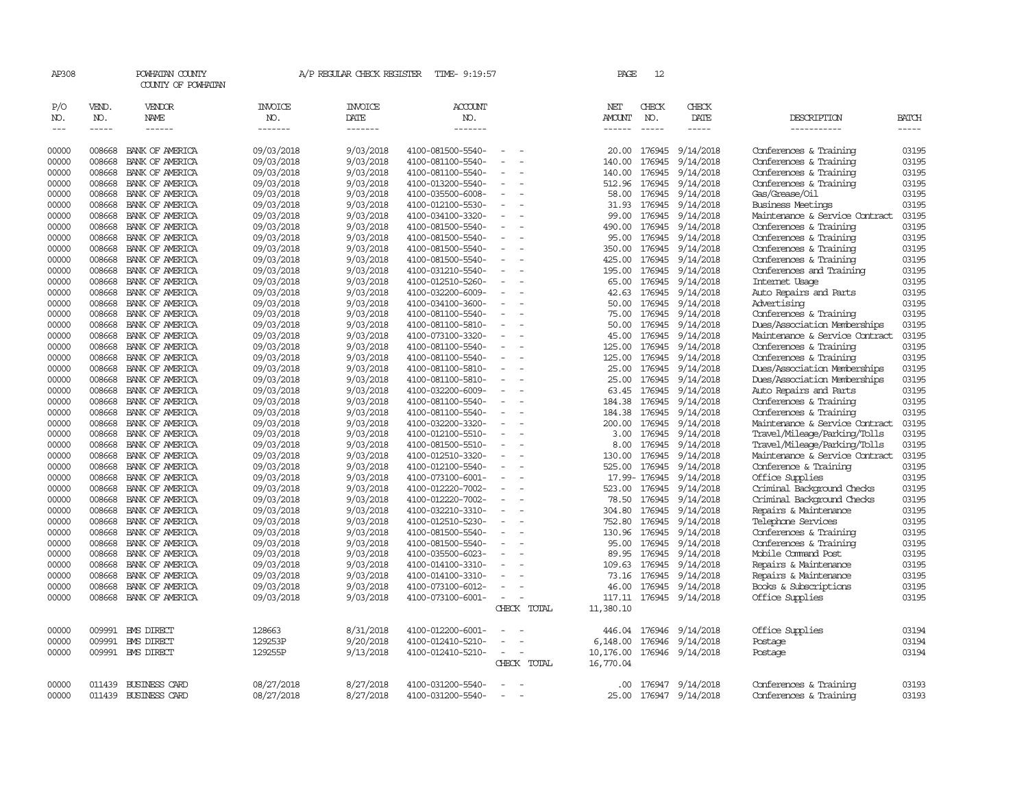| AP308          |                  | POWHATAN COUNTY<br>COUNTY OF POWHATAN |                          | A/P REGULAR CHECK REGISTER | TIME- 9:19:57                          |                          |             | PAGE            | 12           |                               |                                                        |                |
|----------------|------------------|---------------------------------------|--------------------------|----------------------------|----------------------------------------|--------------------------|-------------|-----------------|--------------|-------------------------------|--------------------------------------------------------|----------------|
| P/O<br>NO.     | VEND.<br>NO.     | VENDOR<br>NAME                        | <b>INVOICE</b><br>NO.    | <b>INVOICE</b><br>DATE     | <b>ACCOUNT</b><br>NO.                  |                          |             | NET<br>AMOUNT   | CHECK<br>NO. | CHECK<br>DATE                 | DESCRIPTION                                            | <b>BATCH</b>   |
| $\frac{1}{2}$  | $- - - - -$      | ------                                | -------                  | -------                    | -------                                |                          |             | ------          |              | $- - - - -$                   | -----------                                            | -----          |
| 00000          | 008668           | BANK OF AMERICA                       | 09/03/2018               | 9/03/2018                  | 4100-081500-5540-                      | $\equiv$                 |             | 20.00           | 176945       | 9/14/2018                     | Conferences & Training                                 | 03195          |
| 00000          | 008668           | BANK OF AMERICA                       | 09/03/2018               | 9/03/2018                  | 4100-081100-5540-                      |                          |             | 140.00          | 176945       | 9/14/2018                     | Conferences & Training                                 | 03195          |
| 00000          | 008668           | BANK OF AMERICA                       | 09/03/2018               | 9/03/2018                  | 4100-081100-5540-                      |                          |             | 140.00          | 176945       | 9/14/2018                     | Conferences & Training                                 | 03195          |
| 00000          | 008668           | BANK OF AMERICA                       | 09/03/2018               | 9/03/2018                  | 4100-013200-5540-                      | $\overline{\phantom{a}}$ |             | 512.96          | 176945       | 9/14/2018                     | Conferences & Training                                 | 03195          |
| 00000          | 008668           | BANK OF AMERICA                       | 09/03/2018               | 9/03/2018                  | 4100-035500-6008-                      | $\equiv$                 |             | 58.00           | 176945       | 9/14/2018                     | Gas/Grease/Oil                                         | 03195          |
| 00000          | 008668           | BANK OF AMERICA                       | 09/03/2018               | 9/03/2018                  | 4100-012100-5530-                      |                          |             | 31.93           |              | 176945 9/14/2018              | <b>Business Meetings</b>                               | 03195          |
| 00000          | 008668           | BANK OF AMERICA                       | 09/03/2018               | 9/03/2018                  | 4100-034100-3320-                      | $\equiv$                 |             | 99.00           | 176945       | 9/14/2018                     | Maintenance & Service Contract                         | 03195          |
| 00000          | 008668           | BANK OF AMERICA                       | 09/03/2018               | 9/03/2018                  | 4100-081500-5540-                      |                          |             | 490.00          | 176945       | 9/14/2018                     | Conferences & Training                                 | 03195          |
| 00000          | 008668           | BANK OF AMERICA                       | 09/03/2018               | 9/03/2018                  | 4100-081500-5540-                      |                          |             | 95.00           | 176945       | 9/14/2018                     | Conferences & Training                                 | 03195          |
| 00000          | 008668           | BANK OF AMERICA                       | 09/03/2018               | 9/03/2018                  | 4100-081500-5540-                      | $\sim$                   |             | 350.00          | 176945       | 9/14/2018                     | Conferences & Training                                 | 03195          |
| 00000          | 008668           | BANK OF AMERICA                       | 09/03/2018               | 9/03/2018                  | 4100-081500-5540-                      | $\overline{\phantom{a}}$ |             | 425.00          | 176945       | 9/14/2018                     | Conferences & Training                                 | 03195          |
| 00000          | 008668           | BANK OF AMERICA                       | 09/03/2018               | 9/03/2018                  | 4100-031210-5540-                      |                          |             | 195.00          | 176945       | 9/14/2018                     | Conferences and Training                               | 03195          |
| 00000          | 008668           | BANK OF AMERICA                       | 09/03/2018               | 9/03/2018                  | 4100-012510-5260-                      |                          |             | 65.00           |              | 176945 9/14/2018              | Internet Usage                                         | 03195          |
| 00000          | 008668           | BANK OF AMERICA                       | 09/03/2018               | 9/03/2018                  | 4100-032200-6009-                      | $\sim$                   |             | 42.63           | 176945       | 9/14/2018                     | Auto Repairs and Parts                                 | 03195          |
| 00000          | 008668           | BANK OF AMERICA                       | 09/03/2018               | 9/03/2018                  | 4100-034100-3600-                      |                          |             | 50.00           | 176945       | 9/14/2018                     | Advertising                                            | 03195          |
| 00000          | 008668           | BANK OF AMERICA                       | 09/03/2018               | 9/03/2018                  | 4100-081100-5540-                      |                          |             | 75.00           | 176945       | 9/14/2018                     | Conferences & Training                                 | 03195          |
| 00000          | 008668           | BANK OF AMERICA                       | 09/03/2018               | 9/03/2018                  | 4100-081100-5810-                      |                          |             | 50.00           | 176945       | 9/14/2018                     | Dues/Association Memberships                           | 03195          |
| 00000          | 008668           | BANK OF AMERICA                       | 09/03/2018               | 9/03/2018                  | 4100-073100-3320-                      | $\sim$                   |             | 45.00           |              | 176945 9/14/2018              | Maintenance & Service Contract                         | 03195          |
| 00000          | 008668           | BANK OF AMERICA                       | 09/03/2018               | 9/03/2018                  | 4100-081100-5540-                      |                          |             | 125.00          | 176945       | 9/14/2018                     | Conferences & Training                                 | 03195<br>03195 |
| 00000<br>00000 | 008668<br>008668 | BANK OF AMERICA<br>BANK OF AMERICA    | 09/03/2018               | 9/03/2018<br>9/03/2018     | 4100-081100-5540-<br>4100-081100-5810- | $\sim$                   |             | 125.00<br>25.00 | 176945       | 176945 9/14/2018<br>9/14/2018 | Conferences & Training<br>Dues/Association Memberships | 03195          |
| 00000          | 008668           | BANK OF AMERICA                       | 09/03/2018<br>09/03/2018 | 9/03/2018                  | 4100-081100-5810-                      |                          |             | 25.00           | 176945       | 9/14/2018                     | Dues/Association Memberships                           | 03195          |
| 00000          | 008668           | BANK OF AMERICA                       | 09/03/2018               | 9/03/2018                  | 4100-032200-6009-                      |                          |             | 63.45           | 176945       | 9/14/2018                     | Auto Repairs and Parts                                 | 03195          |
| 00000          | 008668           | BANK OF AMERICA                       | 09/03/2018               | 9/03/2018                  | 4100-081100-5540-                      |                          |             | 184.38          | 176945       | 9/14/2018                     | Conferences & Training                                 | 03195          |
| 00000          | 008668           | BANK OF AMERICA                       | 09/03/2018               | 9/03/2018                  | 4100-081100-5540-                      | $\overline{\phantom{a}}$ |             | 184.38          | 176945       | 9/14/2018                     | Conferences & Training                                 | 03195          |
| 00000          | 008668           | BANK OF AMERICA                       | 09/03/2018               | 9/03/2018                  | 4100-032200-3320-                      |                          |             | 200.00          | 176945       | 9/14/2018                     | Maintenance & Service Contract                         | 03195          |
| 00000          | 008668           | BANK OF AMERICA                       | 09/03/2018               | 9/03/2018                  | 4100-012100-5510-                      |                          |             | 3.00            | 176945       | 9/14/2018                     | Travel/Mileage/Parking/Tolls                           | 03195          |
| 00000          | 008668           | BANK OF AMERICA                       | 09/03/2018               | 9/03/2018                  | 4100-081500-5510-                      | $\equiv$                 |             | 8.00            | 176945       | 9/14/2018                     | Travel/Mileage/Parking/Tolls                           | 03195          |
| 00000          | 008668           | BANK OF AMERICA                       | 09/03/2018               | 9/03/2018                  | 4100-012510-3320-                      | $\equiv$                 |             | 130.00          | 176945       | 9/14/2018                     | Maintenance & Service Contract                         | 03195          |
| 00000          | 008668           | BANK OF AMERICA                       | 09/03/2018               | 9/03/2018                  | 4100-012100-5540-                      | $\equiv$                 |             | 525.00          | 176945       | 9/14/2018                     | Conference & Training                                  | 03195          |
| 00000          | 008668           | BANK OF AMERICA                       | 09/03/2018               | 9/03/2018                  | 4100-073100-6001-                      | $\overline{\phantom{a}}$ |             |                 | 17.99-176945 | 9/14/2018                     | Office Supplies                                        | 03195          |
| 00000          | 008668           | BANK OF AMERICA                       | 09/03/2018               | 9/03/2018                  | 4100-012220-7002-                      | $\overline{\phantom{a}}$ |             | 523.00          |              | 176945 9/14/2018              | Criminal Background Checks                             | 03195          |
| 00000          | 008668           | BANK OF AMERICA                       | 09/03/2018               | 9/03/2018                  | 4100-012220-7002-                      | $\equiv$                 |             | 78.50           | 176945       | 9/14/2018                     | Criminal Background Checks                             | 03195          |
| 00000          | 008668           | BANK OF AMERICA                       | 09/03/2018               | 9/03/2018                  | 4100-032210-3310-                      |                          |             | 304.80          |              | 176945 9/14/2018              | Repairs & Maintenance                                  | 03195          |
| 00000          | 008668           | BANK OF AMERICA                       | 09/03/2018               | 9/03/2018                  | 4100-012510-5230-                      | $\overline{\phantom{a}}$ |             | 752.80          | 176945       | 9/14/2018                     | Telephone Services                                     | 03195          |
| 00000          | 008668           | BANK OF AMERICA                       | 09/03/2018               | 9/03/2018                  | 4100-081500-5540-                      |                          |             | 130.96          | 176945       | 9/14/2018                     | Conferences & Training                                 | 03195          |
| 00000          | 008668           | BANK OF AMERICA                       | 09/03/2018               | 9/03/2018                  | 4100-081500-5540-                      |                          |             | 95.00           | 176945       | 9/14/2018                     | Conferences & Training                                 | 03195          |
| 00000          | 008668           | BANK OF AMERICA                       | 09/03/2018               | 9/03/2018                  | 4100-035500-6023-                      | $\equiv$                 |             | 89.95           | 176945       | 9/14/2018                     | Mobile Command Post                                    | 03195          |
| 00000          | 008668           | BANK OF AMERICA                       | 09/03/2018               | 9/03/2018                  | 4100-014100-3310-                      | $\sim$                   |             | 109.63          |              | 176945 9/14/2018              | Repairs & Maintenance                                  | 03195          |
| 00000          | 008668           | BANK OF AMERICA                       | 09/03/2018               | 9/03/2018                  | 4100-014100-3310-                      |                          |             | 73.16           | 176945       | 9/14/2018                     | Repairs & Maintenance                                  | 03195          |
| 00000          | 008668           | BANK OF AMERICA                       | 09/03/2018               | 9/03/2018                  | 4100-073100-6012-                      |                          |             | 46.00           |              | 176945 9/14/2018              | Books & Subscriptions                                  | 03195          |
| 00000          | 008668           | BANK OF AMERICA                       | 09/03/2018               | 9/03/2018                  | 4100-073100-6001-                      | $\omega$                 |             | 117.11          |              | 176945 9/14/2018              | Office Supplies                                        | 03195          |
|                |                  |                                       |                          |                            |                                        |                          | CHECK TOTAL | 11,380.10       |              |                               |                                                        |                |
| 00000          | 009991           | <b>EMS DIRECT</b>                     | 128663                   | 8/31/2018                  | 4100-012200-6001-                      |                          |             | 446.04          | 176946       | 9/14/2018                     | Office Supplies                                        | 03194          |
| 00000          | 009991           | <b>EMS DIRECT</b>                     | 129253P                  | 9/20/2018                  | 4100-012410-5210-                      | $\equiv$                 |             | 6,148.00        | 176946       | 9/14/2018                     | Postage                                                | 03194          |
| 00000          |                  | 009991 BMS DIRECT                     | 129255P                  | 9/13/2018                  | 4100-012410-5210-                      | $\overline{\phantom{a}}$ |             | 10,176.00       |              | 176946 9/14/2018              | Postage                                                | 03194          |
|                |                  |                                       |                          |                            |                                        |                          | CHECK TOTAL | 16,770.04       |              |                               |                                                        |                |
|                |                  |                                       |                          |                            |                                        |                          |             |                 |              |                               |                                                        |                |
| 00000          | 011439           | <b>BUSINESS CARD</b>                  | 08/27/2018               | 8/27/2018                  | 4100-031200-5540-                      | $\overline{\phantom{a}}$ |             | .00             |              | 176947 9/14/2018              | Conferences & Training                                 | 03193          |
| 00000          | 011439           | <b>BUSINESS CARD</b>                  | 08/27/2018               | 8/27/2018                  | 4100-031200-5540-                      | $\sim$                   |             | 25.00           |              | 176947 9/14/2018              | Conferences & Training                                 | 03193          |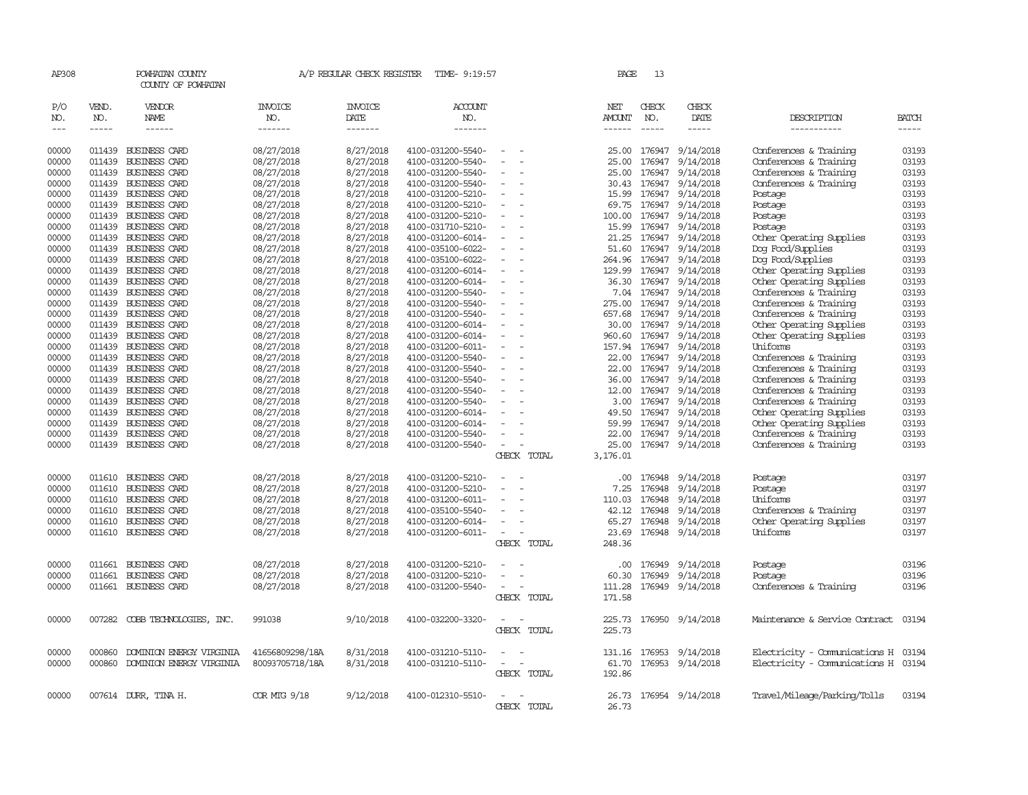| AP308                       |                               | POWHATAN COUNTY<br>COUNTY OF POWHATAN |                                  | A/P REGULAR CHECK REGISTER                | TIME- 9:19:57                    |                                                      | PAGE                           | 13                            |                         |                                     |                             |
|-----------------------------|-------------------------------|---------------------------------------|----------------------------------|-------------------------------------------|----------------------------------|------------------------------------------------------|--------------------------------|-------------------------------|-------------------------|-------------------------------------|-----------------------------|
| P/O<br>NO.<br>$\frac{1}{2}$ | VEND.<br>NO.<br>$\frac{1}{2}$ | VENDOR<br>NAME<br>------              | <b>INVOICE</b><br>NO.<br>------- | <b>INVOICE</b><br>DATE<br>$- - - - - - -$ | <b>ACCOUNT</b><br>NO.<br>------- |                                                      | NET<br>AMOUNT<br>$- - - - - -$ | CHECK<br>NO.<br>$\frac{1}{2}$ | CHECK<br>DATE<br>-----  | DESCRIPTION<br>-----------          | <b>BATCH</b><br>$- - - - -$ |
| 00000                       | 011439                        | <b>BUSINESS CARD</b>                  | 08/27/2018                       | 8/27/2018                                 | 4100-031200-5540-                |                                                      | 25.00                          | 176947                        | 9/14/2018               | Conferences & Training              | 03193                       |
| 00000                       | 011439                        | BUSINESS CARD                         | 08/27/2018                       | 8/27/2018                                 | 4100-031200-5540-                |                                                      | 25.00                          | 176947                        | 9/14/2018               | Conferences & Training              | 03193                       |
| 00000                       | 011439                        | BUSINESS CARD                         | 08/27/2018                       | 8/27/2018                                 | 4100-031200-5540-                | $\overline{\phantom{a}}$                             | 25.00                          | 176947                        | 9/14/2018               | Conferences & Training              | 03193                       |
| 00000                       |                               | 011439 BUSINESS CARD                  | 08/27/2018                       | 8/27/2018                                 | 4100-031200-5540-                | $\overline{\phantom{a}}$                             | 30.43                          | 176947                        | 9/14/2018               | Conferences & Training              | 03193                       |
| 00000                       | 011439                        | <b>BUSINESS CARD</b>                  | 08/27/2018                       | 8/27/2018                                 | 4100-031200-5210-                |                                                      | 15.99                          | 176947                        | 9/14/2018               | Postage                             | 03193                       |
| 00000                       | 011439                        | <b>BUSINESS CARD</b>                  | 08/27/2018                       | 8/27/2018                                 | 4100-031200-5210-                |                                                      | 69.75                          | 176947                        | 9/14/2018               | Postage                             | 03193                       |
| 00000                       |                               | 011439 BUSINESS CARD                  | 08/27/2018                       | 8/27/2018                                 | 4100-031200-5210-                | $\overline{\phantom{a}}$<br>$\overline{\phantom{a}}$ |                                | 100.00 176947                 | 9/14/2018               | Postage                             | 03193                       |
| 00000                       |                               | 011439 BUSINESS CARD                  | 08/27/2018                       | 8/27/2018                                 | 4100-031710-5210-                |                                                      |                                | 15.99 176947                  | 9/14/2018               | Postage                             | 03193                       |
| 00000                       |                               | 011439 BUSINESS CARD                  | 08/27/2018                       | 8/27/2018                                 | 4100-031200-6014-                | $\overline{\phantom{a}}$                             | 21.25                          | 176947                        | 9/14/2018               | Other Operating Supplies            | 03193                       |
| 00000                       |                               | 011439 BUSINESS CARD                  | 08/27/2018                       | 8/27/2018                                 | 4100-035100-6022-                |                                                      | 51.60                          | 176947                        | 9/14/2018               | Dog Food/Supplies                   | 03193                       |
| 00000                       |                               | 011439 BUSINESS CARD                  | 08/27/2018                       | 8/27/2018                                 | 4100-035100-6022-                | $\sim$                                               | 264.96                         | 176947                        | 9/14/2018               | Dog Food/Supplies                   | 03193                       |
| 00000                       |                               | 011439 BUSINESS CARD                  | 08/27/2018                       | 8/27/2018                                 | 4100-031200-6014-                | $\overline{\phantom{a}}$                             | 129.99                         | 176947                        | 9/14/2018               | Other Operating Supplies            | 03193                       |
| 00000                       |                               | 011439 BUSINESS CARD                  |                                  | 8/27/2018                                 |                                  |                                                      |                                | 36.30 176947                  | 9/14/2018               |                                     | 03193                       |
| 00000                       |                               | 011439 BUSINESS CARD                  | 08/27/2018                       | 8/27/2018                                 | 4100-031200-6014-                | $\overline{\phantom{a}}$                             |                                |                               | 9/14/2018               | Other Operating Supplies            | 03193                       |
|                             |                               | 011439 BUSINESS CARD                  | 08/27/2018                       | 8/27/2018                                 | 4100-031200-5540-                | $\overline{\phantom{a}}$                             | 7.04                           | 176947<br>275.00 176947       |                         | Conferences & Training              | 03193                       |
| 00000                       |                               |                                       | 08/27/2018                       |                                           | 4100-031200-5540-                |                                                      |                                |                               | 9/14/2018               | Conferences & Training              |                             |
| 00000                       | 011439                        | <b>BUSINESS CARD</b>                  | 08/27/2018                       | 8/27/2018                                 | 4100-031200-5540-                | $\overline{\phantom{a}}$                             | 657.68                         | 176947                        | 9/14/2018               | Conferences & Training              | 03193                       |
| 00000                       |                               | 011439 BUSINESS CARD                  | 08/27/2018                       | 8/27/2018                                 | 4100-031200-6014-                |                                                      |                                | 30.00 176947                  | 9/14/2018               | Other Operating Supplies            | 03193                       |
| 00000                       |                               | 011439 BUSINESS CARD                  | 08/27/2018                       | 8/27/2018                                 | 4100-031200-6014-                | $\overline{\phantom{a}}$                             |                                | 960.60 176947                 | 9/14/2018               | Other Operating Supplies            | 03193                       |
| 00000                       |                               | 011439 BUSINESS CARD                  | 08/27/2018                       | 8/27/2018                                 | 4100-031200-6011-                | $\overline{\phantom{a}}$                             | 157.94                         | 176947                        | 9/14/2018               | Uniforms                            | 03193                       |
| 00000                       |                               | 011439 BUSINESS CARD                  | 08/27/2018                       | 8/27/2018                                 | 4100-031200-5540-                | $\equiv$                                             | 22.00                          | 176947                        | 9/14/2018               | Conferences & Training              | 03193                       |
| 00000                       |                               | 011439 BUSINESS CARD                  | 08/27/2018                       | 8/27/2018                                 | 4100-031200-5540-                |                                                      | 22.00                          | 176947                        | 9/14/2018               | Conferences & Training              | 03193                       |
| 00000                       |                               | 011439 BUSINESS CARD                  | 08/27/2018                       | 8/27/2018                                 | 4100-031200-5540-                | $\equiv$<br>$\overline{\phantom{a}}$                 |                                | 36.00 176947                  | 9/14/2018               | Conferences & Training              | 03193                       |
| 00000                       |                               | 011439 BUSINESS CARD                  | 08/27/2018                       | 8/27/2018                                 | 4100-031200-5540-                |                                                      | 12.00                          | 176947                        | 9/14/2018               | Conferences & Training              | 03193                       |
| 00000                       | 011439                        | <b>BUSINESS CARD</b>                  | 08/27/2018                       | 8/27/2018                                 | 4100-031200-5540-                | $\overline{\phantom{a}}$                             | 3.00                           | 176947                        | 9/14/2018               | Conferences & Training              | 03193                       |
| 00000                       | 011439                        | BUSINESS CARD                         | 08/27/2018                       | 8/27/2018                                 | 4100-031200-6014-                |                                                      | 49.50                          | 176947                        | 9/14/2018               | Other Operating Supplies            | 03193                       |
| 00000                       |                               | 011439 BUSINESS CARD                  | 08/27/2018                       | 8/27/2018                                 | 4100-031200-6014-                | $\sim$                                               |                                | 59.99 176947                  | 9/14/2018               | Other Operating Supplies            | 03193                       |
| 00000                       |                               | 011439 BUSINESS CARD                  | 08/27/2018                       | 8/27/2018                                 | 4100-031200-5540-                |                                                      | 22.00                          | 176947                        | 9/14/2018               | Conferences & Training              | 03193                       |
| 00000                       |                               | 011439 BUSINESS CARD                  | 08/27/2018                       | 8/27/2018                                 | 4100-031200-5540-                | $\sim$                                               | 25.00                          |                               | 176947 9/14/2018        | Conferences & Training              | 03193                       |
|                             |                               |                                       |                                  |                                           |                                  | CHECK TOTAL                                          | 3,176.01                       |                               |                         |                                     |                             |
| 00000                       | 011610                        | <b>BUSINESS CARD</b>                  | 08/27/2018                       | 8/27/2018                                 | 4100-031200-5210-                |                                                      | $.00 \times$                   | 176948                        | 9/14/2018               | Postage                             | 03197                       |
| 00000                       | 011610                        | <b>BUSINESS CARD</b>                  | 08/27/2018                       | 8/27/2018                                 | 4100-031200-5210-                |                                                      | 7.25                           | 176948                        | 9/14/2018               | Postage                             | 03197                       |
| 00000                       | 011610                        | BUSINESS CARD                         | 08/27/2018                       | 8/27/2018                                 | 4100-031200-6011-                | $\overline{\phantom{a}}$                             | 110.03                         | 176948                        | 9/14/2018               | Uniforms                            | 03197                       |
| 00000                       | 011610                        | BUSINESS CARD                         | 08/27/2018                       | 8/27/2018                                 | 4100-035100-5540-                |                                                      | 42.12                          | 176948                        | 9/14/2018               | Conferences & Training              | 03197                       |
| 00000                       | 011610                        | <b>BUSINESS CARD</b>                  | 08/27/2018                       | 8/27/2018                                 | 4100-031200-6014-                |                                                      | 65.27                          | 176948                        | 9/14/2018               | Other Operating Supplies            | 03197                       |
| 00000                       |                               | 011610 BUSINESS CARD                  | 08/27/2018                       | 8/27/2018                                 | 4100-031200-6011-                |                                                      | 23.69                          |                               | 176948 9/14/2018        | Uniforms                            | 03197                       |
|                             |                               |                                       |                                  |                                           |                                  | CHECK TOTAL                                          | 248.36                         |                               |                         |                                     |                             |
| 00000                       | 011661                        | <b>BUSINESS CARD</b>                  | 08/27/2018                       | 8/27/2018                                 | 4100-031200-5210-                |                                                      | .00                            | 176949                        | 9/14/2018               | Postage                             | 03196                       |
| 00000                       | 011661                        | BUSINESS CARD                         | 08/27/2018                       | 8/27/2018                                 | 4100-031200-5210-                |                                                      | 60.30                          | 176949                        | 9/14/2018               | Postage                             | 03196                       |
| 00000                       |                               | 011661 BUSINESS CARD                  | 08/27/2018                       | 8/27/2018                                 | 4100-031200-5540-                | $\sim$                                               | 111.28                         |                               | 176949 9/14/2018        | Conferences & Training              | 03196                       |
|                             |                               |                                       |                                  |                                           |                                  | CHECK TOTAL                                          | 171.58                         |                               |                         |                                     |                             |
| 00000                       | 007282                        | COBB TECHNOLOGIES, INC.               | 991038                           | 9/10/2018                                 | 4100-032200-3320-                |                                                      | 225.73                         |                               | 176950 9/14/2018        | Maintenance & Service Contract      | 03194                       |
|                             |                               |                                       |                                  |                                           |                                  | CHECK TOTAL                                          | 225.73                         |                               |                         |                                     |                             |
| 00000                       | 000860                        | DOMINION ENERGY VIRGINIA              | 41656809298/18A                  | 8/31/2018                                 | 4100-031210-5110-                |                                                      |                                |                               | 131.16 176953 9/14/2018 | Electricity - Comunications H 03194 |                             |
| 00000                       |                               | 000860 DOMINION ENERGY VIRGINIA       | 80093705718/18A                  | 8/31/2018                                 | 4100-031210-5110-                | $\overline{\phantom{a}}$                             |                                |                               | 61.70 176953 9/14/2018  | Electricity - Comunications H 03194 |                             |
|                             |                               |                                       |                                  |                                           |                                  | CHECK TOTAL                                          | 192.86                         |                               |                         |                                     |                             |
| 00000                       |                               | 007614 DURR, TINA H.                  | COR MTG 9/18                     | 9/12/2018                                 | 4100-012310-5510-                |                                                      |                                |                               | 26.73 176954 9/14/2018  | Travel/Mileage/Parking/Tolls        | 03194                       |
|                             |                               |                                       |                                  |                                           |                                  | CHECK<br>TOTAL                                       | 26.73                          |                               |                         |                                     |                             |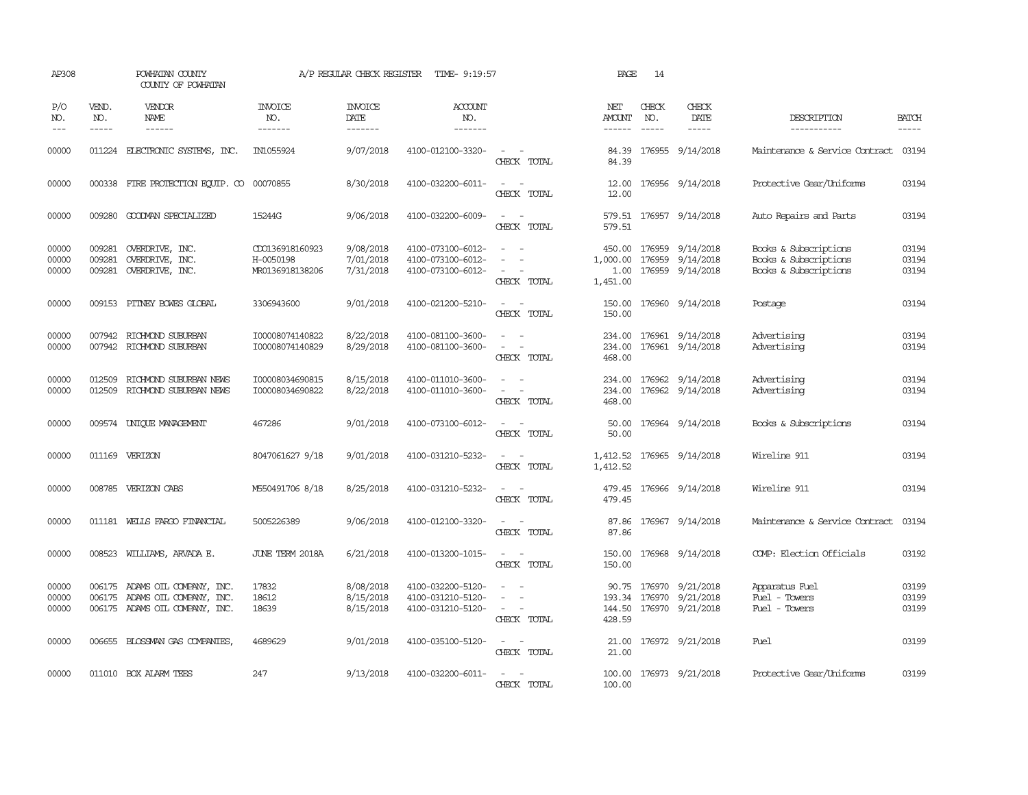| AP308                   |                               | POWHATAN COUNTY<br>COUNTY OF POWHATAN                                                |                                                 | A/P REGULAR CHECK REGISTER          | TIME- 9:19:57                                               |                                                                                                                                                 | PAGE                           | 14                          |                                                                                                                                                                                                                                                                                                                                                                                                                                                                                                      |                                                                         |                         |
|-------------------------|-------------------------------|--------------------------------------------------------------------------------------|-------------------------------------------------|-------------------------------------|-------------------------------------------------------------|-------------------------------------------------------------------------------------------------------------------------------------------------|--------------------------------|-----------------------------|------------------------------------------------------------------------------------------------------------------------------------------------------------------------------------------------------------------------------------------------------------------------------------------------------------------------------------------------------------------------------------------------------------------------------------------------------------------------------------------------------|-------------------------------------------------------------------------|-------------------------|
| P/O<br>NO.<br>$ -$      | VEND.<br>NO.<br>$\frac{1}{2}$ | VENDOR<br><b>NAME</b>                                                                | INVOICE<br>NO.<br>-------                       | <b>INVOICE</b><br>DATE<br>-------   | <b>ACCOUNT</b><br>NO.<br>-------                            |                                                                                                                                                 | NET<br>AMOUNT<br>$- - - - - -$ | CHECK<br>NO.<br>$- - - - -$ | CHECK<br>DATE<br>$\begin{tabular}{ccccc} \multicolumn{2}{c}{} & \multicolumn{2}{c}{} & \multicolumn{2}{c}{} & \multicolumn{2}{c}{} & \multicolumn{2}{c}{} & \multicolumn{2}{c}{} & \multicolumn{2}{c}{} & \multicolumn{2}{c}{} & \multicolumn{2}{c}{} & \multicolumn{2}{c}{} & \multicolumn{2}{c}{} & \multicolumn{2}{c}{} & \multicolumn{2}{c}{} & \multicolumn{2}{c}{} & \multicolumn{2}{c}{} & \multicolumn{2}{c}{} & \multicolumn{2}{c}{} & \multicolumn{2}{c}{} & \multicolumn{2}{c}{} & \mult$ | DESCRIPTION<br>-----------                                              | <b>BATCH</b><br>-----   |
| 00000                   |                               | 011224 ELECTRONIC SYSTEMS, INC.                                                      | IN1055924                                       | 9/07/2018                           | 4100-012100-3320-                                           | $\overline{\phantom{a}}$<br>CHECK TOTAL                                                                                                         | 84.39<br>84.39                 |                             | 176955 9/14/2018                                                                                                                                                                                                                                                                                                                                                                                                                                                                                     | Maintenance & Service Contract 03194                                    |                         |
| 00000                   |                               | 000338 FIRE PROTECTION EQUIP. CO                                                     | 00070855                                        | 8/30/2018                           | 4100-032200-6011-                                           | $\sim$<br>CHECK TOTAL                                                                                                                           | 12.00<br>12.00                 |                             | 176956 9/14/2018                                                                                                                                                                                                                                                                                                                                                                                                                                                                                     | Protective Gear/Uniforms                                                | 03194                   |
| 00000                   |                               | 009280 GOODWAN SPECIALIZED                                                           | 15244G                                          | 9/06/2018                           | 4100-032200-6009-                                           | $\equiv$<br>CHECK TOTAL                                                                                                                         | 579.51                         |                             | 579.51 176957 9/14/2018                                                                                                                                                                                                                                                                                                                                                                                                                                                                              | Auto Repairs and Parts                                                  | 03194                   |
| 00000<br>00000<br>00000 | 009281                        | 009281 OVERDRIVE, INC.<br>OVERDRIVE, INC.<br>009281 OVERDRIVE, INC.                  | CD0136918160923<br>H-0050198<br>MR0136918138206 | 9/08/2018<br>7/01/2018<br>7/31/2018 | 4100-073100-6012-<br>4100-073100-6012-<br>4100-073100-6012- | $\sim$ $\sim$<br>CHECK TOTAL                                                                                                                    | 1,000.00<br>1,451.00           |                             | 450.00 176959 9/14/2018<br>176959 9/14/2018<br>1.00 176959 9/14/2018                                                                                                                                                                                                                                                                                                                                                                                                                                 | Books & Subscriptions<br>Books & Subscriptions<br>Books & Subscriptions | 03194<br>03194<br>03194 |
| 00000                   |                               | 009153 PITNEY BOWES GLOBAL                                                           | 3306943600                                      | 9/01/2018                           | 4100-021200-5210-                                           | $ -$<br>CHECK TOTAL                                                                                                                             | 150.00                         |                             | 150.00 176960 9/14/2018                                                                                                                                                                                                                                                                                                                                                                                                                                                                              | Postage                                                                 | 03194                   |
| 00000<br>00000          |                               | 007942 RICHMOND SUBURBAN<br>007942 RICHMOND SUBURBAN                                 | I00008074140822<br>I00008074140829              | 8/22/2018<br>8/29/2018              | 4100-081100-3600-<br>4100-081100-3600-                      | $\sim$<br>$\sim$<br>$\frac{1}{2} \left( \frac{1}{2} \right) \left( \frac{1}{2} \right) = \frac{1}{2} \left( \frac{1}{2} \right)$<br>CHECK TOTAL | 234.00<br>468.00               |                             | 234.00 176961 9/14/2018<br>176961 9/14/2018                                                                                                                                                                                                                                                                                                                                                                                                                                                          | Advertising<br>Advertising                                              | 03194<br>03194          |
| 00000<br>00000          | 012509                        | RICHMOND SUBURBAN NEWS<br>012509 RICHMOND SUBURBAN NEWS                              | I00008034690815<br>I00008034690822              | 8/15/2018<br>8/22/2018              | 4100-011010-3600-<br>4100-011010-3600-                      | $\overline{\phantom{a}}$<br>CHECK TOTAL                                                                                                         | 234.00<br>234.00<br>468.00     |                             | 176962 9/14/2018<br>176962 9/14/2018                                                                                                                                                                                                                                                                                                                                                                                                                                                                 | Advertising<br>Advertising                                              | 03194<br>03194          |
| 00000                   |                               | 009574 UNIQUE MANAGEMENT                                                             | 467286                                          | 9/01/2018                           | 4100-073100-6012-                                           | $\sim$<br>CHECK TOTAL                                                                                                                           | 50.00                          |                             | 50.00 176964 9/14/2018                                                                                                                                                                                                                                                                                                                                                                                                                                                                               | Books & Subscriptions                                                   | 03194                   |
| 00000                   |                               | 011169 VERIZON                                                                       | 8047061627 9/18                                 | 9/01/2018                           | 4100-031210-5232-                                           | $\frac{1}{2} \left( \frac{1}{2} \right) \left( \frac{1}{2} \right) \left( \frac{1}{2} \right) \left( \frac{1}{2} \right)$<br>CHECK TOTAL        | 1,412.52                       |                             | 1,412.52 176965 9/14/2018                                                                                                                                                                                                                                                                                                                                                                                                                                                                            | Wireline 911                                                            | 03194                   |
| 00000                   |                               | 008785 VERIZON CABS                                                                  | M550491706 8/18                                 | 8/25/2018                           | 4100-031210-5232-                                           | CHECK TOTAL                                                                                                                                     | 479.45                         |                             | 479.45 176966 9/14/2018                                                                                                                                                                                                                                                                                                                                                                                                                                                                              | Wireline 911                                                            | 03194                   |
| 00000                   |                               | 011181 WELLS FARGO FINANCIAL                                                         | 5005226389                                      | 9/06/2018                           | 4100-012100-3320-                                           | $\sim$ 100 $\sim$ 100 $\sim$<br>CHECK TOTAL                                                                                                     | 87.86                          |                             | 87.86 176967 9/14/2018                                                                                                                                                                                                                                                                                                                                                                                                                                                                               | Maintenance & Service Contract                                          | 03194                   |
| 00000                   |                               | 008523 WILLIAMS, ARVADA E.                                                           | JUNE TERM 2018A                                 | 6/21/2018                           | 4100-013200-1015-                                           | $\frac{1}{2} \left( \frac{1}{2} \right) \left( \frac{1}{2} \right) = \frac{1}{2} \left( \frac{1}{2} \right)$<br>CHECK TOTAL                     | 150.00                         |                             | 150.00 176968 9/14/2018                                                                                                                                                                                                                                                                                                                                                                                                                                                                              | COMP: Election Officials                                                | 03192                   |
| 00000<br>00000<br>00000 | 006175<br>006175              | ADAMS OIL COMPANY, INC.<br>ADAMS OIL COMPANY, INC.<br>006175 ADAMS OIL COMPANY, INC. | 17832<br>18612<br>18639                         | 8/08/2018<br>8/15/2018<br>8/15/2018 | 4100-032200-5120-<br>4100-031210-5120-<br>4100-031210-5120- | $\overline{\phantom{a}}$<br>CHECK TOTAL                                                                                                         | 144.50<br>428.59               |                             | 90.75 176970 9/21/2018<br>193.34 176970 9/21/2018<br>176970 9/21/2018                                                                                                                                                                                                                                                                                                                                                                                                                                | Apparatus Fuel<br>Fuel - Towers<br>Fuel - Towers                        | 03199<br>03199<br>03199 |
| 00000                   |                               | 006655 BLOSSMAN GAS COMPANIES                                                        | 4689629                                         | 9/01/2018                           | 4100-035100-5120-                                           | $\sim$ 10 $\sim$ 10 $\sim$<br>CHECK TOTAL                                                                                                       | 21.00                          |                             | 21.00 176972 9/21/2018                                                                                                                                                                                                                                                                                                                                                                                                                                                                               | Fuel                                                                    | 03199                   |
| 00000                   |                               | 011010 BOX ALARM TEES                                                                | 247                                             | 9/13/2018                           | 4100-032200-6011-                                           | $\sim$ 10 $\sim$ 10 $\sim$<br>CHECK TOTAL                                                                                                       | 100.00                         |                             | 100.00 176973 9/21/2018                                                                                                                                                                                                                                                                                                                                                                                                                                                                              | Protective Gear/Uniforms                                                | 03199                   |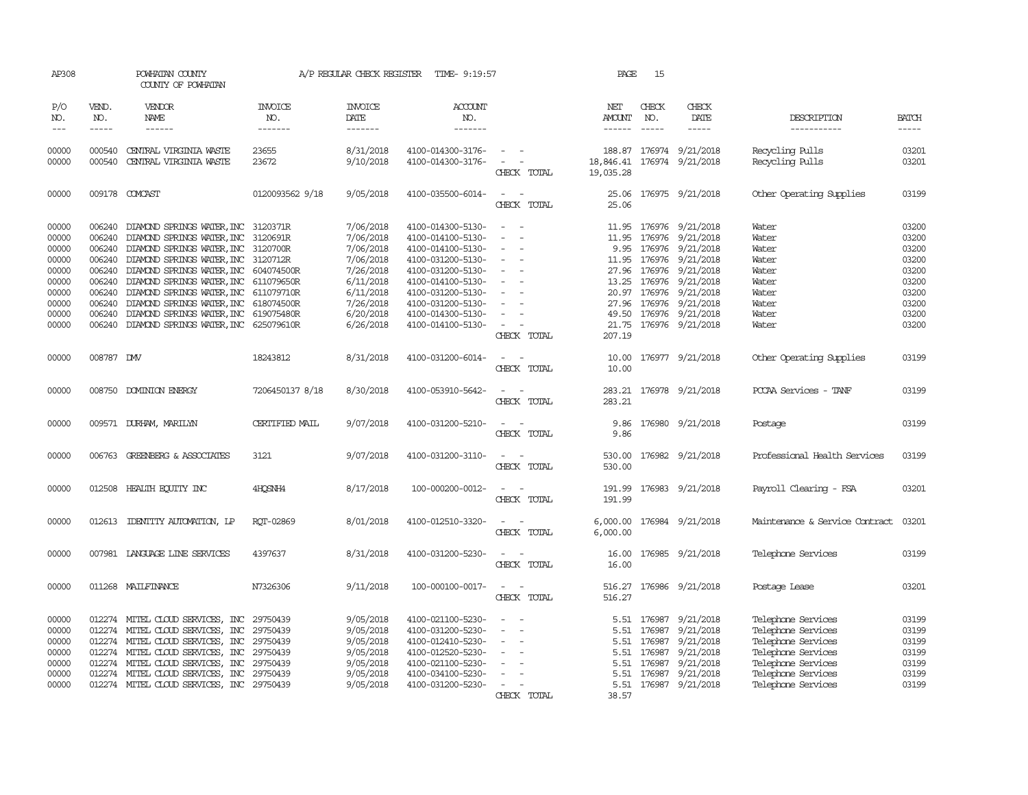| AP308                                                                                                                                                                                                                                                                                                                                                                                                      |                                                          | POWHATAN COUNTY<br>COUNTY OF POWHATAN                                                                                                                                                                                                                                                                                                         |                                                                                                                      | A/P REGULAR CHECK REGISTER                                                                                                     | TIME- 9:19:57                                                                                                                                                                                                  |                                                                                                 | PAGE                                       | 15                                                                 |                                                                                                                                                                                                                     |                                                                                                                                                        |                                                                                        |
|------------------------------------------------------------------------------------------------------------------------------------------------------------------------------------------------------------------------------------------------------------------------------------------------------------------------------------------------------------------------------------------------------------|----------------------------------------------------------|-----------------------------------------------------------------------------------------------------------------------------------------------------------------------------------------------------------------------------------------------------------------------------------------------------------------------------------------------|----------------------------------------------------------------------------------------------------------------------|--------------------------------------------------------------------------------------------------------------------------------|----------------------------------------------------------------------------------------------------------------------------------------------------------------------------------------------------------------|-------------------------------------------------------------------------------------------------|--------------------------------------------|--------------------------------------------------------------------|---------------------------------------------------------------------------------------------------------------------------------------------------------------------------------------------------------------------|--------------------------------------------------------------------------------------------------------------------------------------------------------|----------------------------------------------------------------------------------------|
| P/O<br>NO.<br>$\frac{1}{2} \frac{1}{2} \frac{1}{2} \frac{1}{2} \frac{1}{2} \frac{1}{2} \frac{1}{2} \frac{1}{2} \frac{1}{2} \frac{1}{2} \frac{1}{2} \frac{1}{2} \frac{1}{2} \frac{1}{2} \frac{1}{2} \frac{1}{2} \frac{1}{2} \frac{1}{2} \frac{1}{2} \frac{1}{2} \frac{1}{2} \frac{1}{2} \frac{1}{2} \frac{1}{2} \frac{1}{2} \frac{1}{2} \frac{1}{2} \frac{1}{2} \frac{1}{2} \frac{1}{2} \frac{1}{2} \frac{$ | VEND.<br>NO.<br>$- - - - -$                              | VENDOR<br>NAME<br>$- - - - - -$                                                                                                                                                                                                                                                                                                               | <b>INVOICE</b><br>NO.<br>-------                                                                                     | <b>INVOICE</b><br>DATE<br>-------                                                                                              | ACCOUNT<br>NO.<br>-------                                                                                                                                                                                      |                                                                                                 | NET<br>AMOUNT                              | CHECK<br>NO.<br>$- - - - -$                                        | CHECK<br>DATE<br>-----                                                                                                                                                                                              | DESCRIPTION<br>-----------                                                                                                                             | <b>BATCH</b><br>$- - - - -$                                                            |
| 00000<br>00000                                                                                                                                                                                                                                                                                                                                                                                             | 000540<br>000540                                         | CENTRAL VIRGINIA WASTE<br>CENTRAL VIRGINIA WASTE                                                                                                                                                                                                                                                                                              | 23655<br>23672                                                                                                       | 8/31/2018<br>9/10/2018                                                                                                         | 4100-014300-3176-<br>4100-014300-3176-                                                                                                                                                                         | $\sim$ $ -$<br>CHECK TOTAL                                                                      | 188.87<br>18,846.41<br>19,035.28           |                                                                    | 176974 9/21/2018<br>176974 9/21/2018                                                                                                                                                                                | Recycling Pulls<br>Recycling Pulls                                                                                                                     | 03201<br>03201                                                                         |
| 00000                                                                                                                                                                                                                                                                                                                                                                                                      |                                                          | 009178 COMCAST                                                                                                                                                                                                                                                                                                                                | 0120093562 9/18                                                                                                      | 9/05/2018                                                                                                                      | 4100-035500-6014-                                                                                                                                                                                              | $\overline{\phantom{a}}$<br>CHECK TOTAL                                                         | 25.06<br>25.06                             |                                                                    | 176975 9/21/2018                                                                                                                                                                                                    | Other Operating Supplies                                                                                                                               | 03199                                                                                  |
| 00000<br>00000<br>00000<br>00000<br>00000<br>00000<br>00000<br>00000<br>00000<br>00000                                                                                                                                                                                                                                                                                                                     | 006240<br>006240<br>006240<br>006240<br>006240<br>006240 | DIAMOND SPRINGS WATER, INC<br>DIAMOND SPRINGS WATER, INC<br>DIAMOND SPRINGS WATER, INC<br>006240 DIAMOND SPRINGS WATER, INC 3120712R<br>006240 DIAMOND SPRINGS WATER, INC<br>006240 DIAMOND SPRINGS WATER, INC<br>DIAMOND SPRINGS WATER, INC<br>DIAMOND SPRINGS WATER, INC<br>DIAMOND SPRINGS WATER, INC<br>006240 DIAMOND SPRINGS WATER, INC | 3120371R<br>3120691R<br>3120700R<br>604074500R<br>611079650R<br>611079710R<br>618074500R<br>619075480R<br>625079610R | 7/06/2018<br>7/06/2018<br>7/06/2018<br>7/06/2018<br>7/26/2018<br>6/11/2018<br>6/11/2018<br>7/26/2018<br>6/20/2018<br>6/26/2018 | 4100-014300-5130-<br>4100-014100-5130-<br>4100-014100-5130-<br>4100-031200-5130-<br>4100-031200-5130-<br>4100-014100-5130-<br>4100-031200-5130-<br>4100-031200-5130-<br>4100-014300-5130-<br>4100-014100-5130- | $\overline{\phantom{a}}$<br>$\overline{\phantom{a}}$<br>$\overline{\phantom{a}}$<br>CHECK TOTAL | 11.95<br>11.95<br>11.95<br>49.50<br>207.19 | 176976<br>27.96 176976                                             | 9/21/2018<br>176976 9/21/2018<br>9.95 176976 9/21/2018<br>176976 9/21/2018<br>9/21/2018<br>13.25 176976 9/21/2018<br>20.97 176976 9/21/2018<br>27.96 176976 9/21/2018<br>176976 9/21/2018<br>21.75 176976 9/21/2018 | Water<br>Water<br>Water<br>Water<br>Water<br>Water<br>Water<br>Water<br>Water<br>Water                                                                 | 03200<br>03200<br>03200<br>03200<br>03200<br>03200<br>03200<br>03200<br>03200<br>03200 |
| 00000                                                                                                                                                                                                                                                                                                                                                                                                      | 008787 DMV                                               |                                                                                                                                                                                                                                                                                                                                               | 18243812                                                                                                             | 8/31/2018                                                                                                                      | 4100-031200-6014-                                                                                                                                                                                              | CHECK TOTAL                                                                                     | 10.00<br>10.00                             |                                                                    | 176977 9/21/2018                                                                                                                                                                                                    | Other Operating Supplies                                                                                                                               | 03199                                                                                  |
| 00000                                                                                                                                                                                                                                                                                                                                                                                                      |                                                          | 008750 DOMINION ENERGY                                                                                                                                                                                                                                                                                                                        | 7206450137 8/18                                                                                                      | 8/30/2018                                                                                                                      | 4100-053910-5642-                                                                                                                                                                                              | CHECK TOTAL                                                                                     | 283.21<br>283.21                           |                                                                    | 176978 9/21/2018                                                                                                                                                                                                    | PCCAA Services - TANF                                                                                                                                  | 03199                                                                                  |
| 00000                                                                                                                                                                                                                                                                                                                                                                                                      |                                                          | 009571 DURHAM, MARILYN                                                                                                                                                                                                                                                                                                                        | CERTIFIED MAIL                                                                                                       | 9/07/2018                                                                                                                      | 4100-031200-5210-                                                                                                                                                                                              | CHECK TOTAL                                                                                     | 9.86<br>9.86                               |                                                                    | 176980 9/21/2018                                                                                                                                                                                                    | Postage                                                                                                                                                | 03199                                                                                  |
| 00000                                                                                                                                                                                                                                                                                                                                                                                                      |                                                          | 006763 GREENBERG & ASSOCIATES                                                                                                                                                                                                                                                                                                                 | 3121                                                                                                                 | 9/07/2018                                                                                                                      | 4100-031200-3110-                                                                                                                                                                                              | $\sim$<br>$\sim$<br>CHECK TOTAL                                                                 | 530.00                                     |                                                                    | 530.00 176982 9/21/2018                                                                                                                                                                                             | Professional Health Services                                                                                                                           | 03199                                                                                  |
| 00000                                                                                                                                                                                                                                                                                                                                                                                                      |                                                          | 012508 HEALTH EQUITY INC                                                                                                                                                                                                                                                                                                                      | 4HQSNH4                                                                                                              | 8/17/2018                                                                                                                      | 100-000200-0012-                                                                                                                                                                                               | $\sim$<br>CHECK TOTAL                                                                           | 191.99<br>191.99                           |                                                                    | 176983 9/21/2018                                                                                                                                                                                                    | Payroll Clearing - FSA                                                                                                                                 | 03201                                                                                  |
| 00000                                                                                                                                                                                                                                                                                                                                                                                                      |                                                          | 012613 IDENTITY AUTOMATION, LP                                                                                                                                                                                                                                                                                                                | ROT-02869                                                                                                            | 8/01/2018                                                                                                                      | 4100-012510-3320-                                                                                                                                                                                              | $\overline{\phantom{a}}$<br>$\sim$<br>CHECK TOTAL                                               | 6,000.00                                   |                                                                    | 6,000.00 176984 9/21/2018                                                                                                                                                                                           | Maintenance & Service Contract                                                                                                                         | 03201                                                                                  |
| 00000                                                                                                                                                                                                                                                                                                                                                                                                      |                                                          | 007981 LANGLAGE LINE SERVICES                                                                                                                                                                                                                                                                                                                 | 4397637                                                                                                              | 8/31/2018                                                                                                                      | 4100-031200-5230-                                                                                                                                                                                              | $\sim$<br>CHECK TOTAL                                                                           | 16.00                                      |                                                                    | 16.00 176985 9/21/2018                                                                                                                                                                                              | Telephone Services                                                                                                                                     | 03199                                                                                  |
| 00000                                                                                                                                                                                                                                                                                                                                                                                                      |                                                          | 011268 MAILFINANCE                                                                                                                                                                                                                                                                                                                            | N7326306                                                                                                             | 9/11/2018                                                                                                                      | 100-000100-0017-                                                                                                                                                                                               | $\overline{\phantom{a}}$<br>$\sim$<br>CHECK TOTAL                                               | 516.27<br>516.27                           |                                                                    | 176986 9/21/2018                                                                                                                                                                                                    | Postage Lease                                                                                                                                          | 03201                                                                                  |
| 00000<br>00000<br>00000<br>00000<br>00000<br>00000<br>00000                                                                                                                                                                                                                                                                                                                                                |                                                          | 012274 MITEL CLOUD SERVICES, INC<br>012274 MITEL CLOUD SERVICES, INC<br>012274 MITEL CLOUD SERVICES, INC<br>012274 MITEL CLOUD SERVICES, INC<br>012274 MITEL CLOUD SERVICES, INC<br>012274 MITEL CLOUD SERVICES, INC<br>012274 MITEL CLOUD SERVICES, INC 29750439                                                                             | 29750439<br>29750439<br>29750439<br>29750439<br>29750439<br>29750439                                                 | 9/05/2018<br>9/05/2018<br>9/05/2018<br>9/05/2018<br>9/05/2018<br>9/05/2018<br>9/05/2018                                        | 4100-021100-5230-<br>4100-031200-5230-<br>4100-012410-5230-<br>4100-012520-5230-<br>4100-021100-5230-<br>4100-034100-5230-<br>4100-031200-5230-                                                                | $\overline{\phantom{a}}$<br>CHECK TOTAL                                                         | 5.51<br>5.51<br>5.51<br>5.51<br>38.57      | 5.51 176987<br>176987<br>176987<br>5.51 176987<br>176987<br>176987 | 9/21/2018<br>9/21/2018<br>9/21/2018<br>9/21/2018<br>9/21/2018<br>9/21/2018<br>5.51 176987 9/21/2018                                                                                                                 | Telephone Services<br>Telephone Services<br>Telephone Services<br>Telephone Services<br>Telephone Services<br>Telephone Services<br>Telephone Services | 03199<br>03199<br>03199<br>03199<br>03199<br>03199<br>03199                            |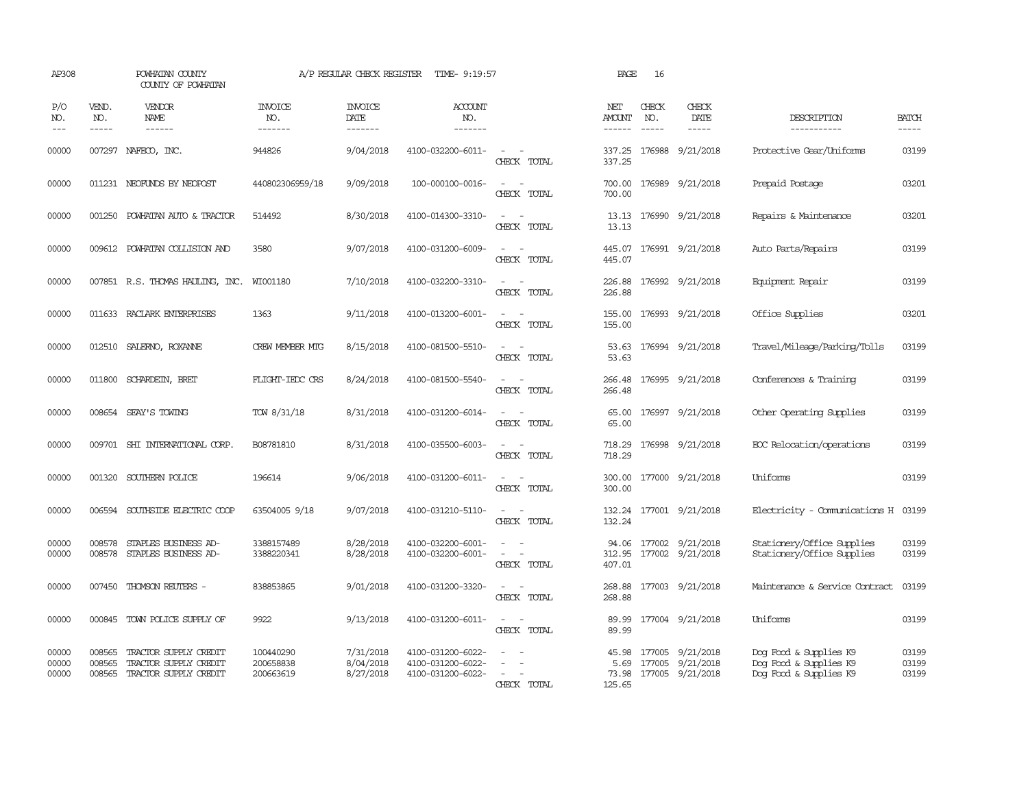| AP308                   |                             | POWHATAN COUNTY<br>COUNTY OF POWHATAN                                          |                                     | A/P REGULAR CHECK REGISTER          | TIME- 9:19:57                                               |                                   | PAGE                      | 16                            |                                                                |                                                                            |                         |
|-------------------------|-----------------------------|--------------------------------------------------------------------------------|-------------------------------------|-------------------------------------|-------------------------------------------------------------|-----------------------------------|---------------------------|-------------------------------|----------------------------------------------------------------|----------------------------------------------------------------------------|-------------------------|
| P/O<br>NO.<br>$---$     | VEND.<br>NO.<br>$- - - - -$ | VENDOR<br>NAME<br>$- - - - - -$                                                | <b>INVOICE</b><br>NO.<br>--------   | <b>INVOICE</b><br>DATE<br>-------   | <b>ACCOUNT</b><br>NO.<br>-------                            |                                   | NET<br>AMOUNT<br>------   | CHECK<br>NO.<br>$\frac{1}{2}$ | CHECK<br>DATE<br>$- - - - -$                                   | DESCRIPTION<br>-----------                                                 | <b>BATCH</b><br>-----   |
| 00000                   |                             | 007297 NAFECO, INC.                                                            | 944826                              | 9/04/2018                           | 4100-032200-6011-                                           | $\sim$<br>CHECK TOTAL             | 337.25<br>337.25          |                               | 176988 9/21/2018                                               | Protective Gear/Uniforms                                                   | 03199                   |
| 00000                   |                             | 011231 NEOFUNDS BY NEOPOST                                                     | 440802306959/18                     | 9/09/2018                           | 100-000100-0016-                                            | $\sim$<br>CHECK TOTAL             | 700.00<br>700.00          |                               | 176989 9/21/2018                                               | Prepaid Postage                                                            | 03201                   |
| 00000                   | 001250                      | POWHATAN AUTO & TRACTOR                                                        | 514492                              | 8/30/2018                           | 4100-014300-3310-                                           | $\sim$<br>CHECK TOTAL             | 13.13<br>13.13            |                               | 176990 9/21/2018                                               | Repairs & Maintenance                                                      | 03201                   |
| 00000                   |                             | 009612 POWHATAN COLLISION AND                                                  | 3580                                | 9/07/2018                           | 4100-031200-6009-                                           | $\sim$<br>CHECK TOTAL             | 445.07<br>445.07          |                               | 176991 9/21/2018                                               | Auto Parts/Repairs                                                         | 03199                   |
| 00000                   |                             | 007851 R.S. THOMAS HAULING, INC.                                               | WI001180                            | 7/10/2018                           | 4100-032200-3310-                                           | $\sim$<br>CHECK TOTAL             | 226.88<br>226.88          |                               | 176992 9/21/2018                                               | Equipment Repair                                                           | 03199                   |
| 00000                   |                             | 011633 RACLARK ENTERPRISES                                                     | 1363                                | 9/11/2018                           | 4100-013200-6001-                                           | $\sim$<br>CHECK TOTAL             | 155.00<br>155.00          |                               | 176993 9/21/2018                                               | Office Supplies                                                            | 03201                   |
| 00000                   |                             | 012510 SALERNO, ROXANNE                                                        | <b>CREW MEMBER MIG</b>              | 8/15/2018                           | 4100-081500-5510-                                           | $\equiv$<br>CHECK TOTAL           | 53.63<br>53.63            |                               | 176994 9/21/2018                                               | Travel/Mileage/Parking/Tolls                                               | 03199                   |
| 00000                   |                             | 011800 SCHARDEIN, BRET                                                         | FLIGHT-IEDC CRS                     | 8/24/2018                           | 4100-081500-5540-                                           | $\sim$<br>CHRCK TOTAL             | 266.48<br>266.48          |                               | 176995 9/21/2018                                               | Conferences & Training                                                     | 03199                   |
| 00000                   |                             | 008654 SEAY'S TOWING                                                           | TOW 8/31/18                         | 8/31/2018                           | 4100-031200-6014-                                           | CHECK TOTAL                       | 65.00<br>65.00            |                               | 176997 9/21/2018                                               | Other Operating Supplies                                                   | 03199                   |
| 00000                   |                             | 009701 SHI INTERNATIONAL CORP.                                                 | B08781810                           | 8/31/2018                           | 4100-035500-6003-                                           | $\sim$<br>CHECK TOTAL             | 718.29<br>718.29          |                               | 176998 9/21/2018                                               | ECC Relocation/operations                                                  | 03199                   |
| 00000                   |                             | 001320 SOUTHERN POLICE                                                         | 196614                              | 9/06/2018                           | 4100-031200-6011-                                           | CHECK TOTAL                       | 300.00<br>300.00          |                               | 177000 9/21/2018                                               | <b>Iniforms</b>                                                            | 03199                   |
| 00000                   |                             | 006594 SOUTHSIDE ELECTRIC COOP                                                 | 63504005 9/18                       | 9/07/2018                           | 4100-031210-5110-                                           | $\equiv$<br>$\sim$<br>CHECK TOTAL | 132.24                    |                               | 132.24 177001 9/21/2018                                        | Electricity - Comunications H                                              | 03199                   |
| 00000<br>00000          | 008578<br>008578            | STAPLES BUSINESS AD-<br>STAPLES BUSINESS AD-                                   | 3388157489<br>3388220341            | 8/28/2018<br>8/28/2018              | 4100-032200-6001-<br>4100-032200-6001-                      | $\sim$<br>$\equiv$<br>CHECK TOTAL | 94.06<br>312.95<br>407.01 |                               | 177002 9/21/2018<br>177002 9/21/2018                           | Stationery/Office Supplies<br>Stationery/Office Supplies                   | 03199<br>03199          |
| 00000                   |                             | 007450 THOMSON REUTERS -                                                       | 838853865                           | 9/01/2018                           | 4100-031200-3320-                                           | $\sim$<br>$\sim$<br>CHECK TOTAL   | 268.88<br>268.88          |                               | 177003 9/21/2018                                               | Maintenance & Service Contract                                             | 03199                   |
| 00000                   |                             | 000845 TOWN POLICE SUPPLY OF                                                   | 9922                                | 9/13/2018                           | 4100-031200-6011-                                           | $ -$<br>CHECK TOTAL               | 89.99<br>89.99            |                               | 177004 9/21/2018                                               | Uniforms                                                                   | 03199                   |
| 00000<br>00000<br>00000 | 008565<br>008565            | TRACTOR SUPPLY CREDIT<br>TRACTOR SUPPLY CREDIT<br>008565 TRACTOR SUPPLY CREDIT | 100440290<br>200658838<br>200663619 | 7/31/2018<br>8/04/2018<br>8/27/2018 | 4100-031200-6022-<br>4100-031200-6022-<br>4100-031200-6022- | $\sim$<br>CHECK TOTAL             | 45.98<br>5.69<br>125.65   |                               | 177005 9/21/2018<br>177005 9/21/2018<br>73.98 177005 9/21/2018 | Dog Food & Supplies K9<br>Dog Food & Supplies K9<br>Dog Food & Supplies K9 | 03199<br>03199<br>03199 |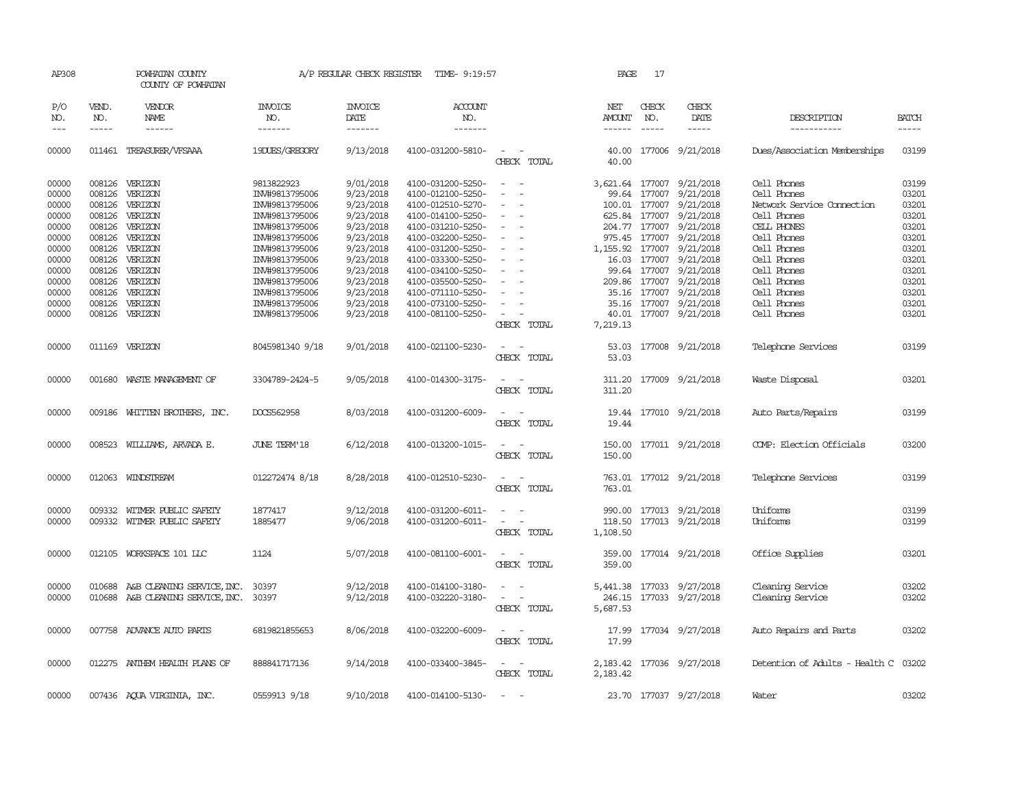| AP308                                                                |                            | POWHATAN COUNTY<br>COUNTY OF POWHATAN                                                                                   |                                                                                                                                     | A/P REGULAR CHECK REGISTER                                                                           | TIME- 9:19:57                                                                                                                                                        |                                                                                                | PAGE             | 17            |                                                                                                                                                                                                          |                                                                                                                                     |                                                                      |
|----------------------------------------------------------------------|----------------------------|-------------------------------------------------------------------------------------------------------------------------|-------------------------------------------------------------------------------------------------------------------------------------|------------------------------------------------------------------------------------------------------|----------------------------------------------------------------------------------------------------------------------------------------------------------------------|------------------------------------------------------------------------------------------------|------------------|---------------|----------------------------------------------------------------------------------------------------------------------------------------------------------------------------------------------------------|-------------------------------------------------------------------------------------------------------------------------------------|----------------------------------------------------------------------|
| P/O<br>NO.                                                           | VEND.<br>NO.               | <b>VENDOR</b><br>NAME                                                                                                   | <b>INVOICE</b><br>NO.                                                                                                               | <b>INVOICE</b><br>DATE                                                                               | <b>ACCOUNT</b><br>NO.                                                                                                                                                |                                                                                                | NET<br>AMOUNT    | CHECK<br>NO.  | CHECK<br>DATE                                                                                                                                                                                            | DESCRIPTION                                                                                                                         | <b>BATCH</b>                                                         |
| $---$                                                                | $- - - - -$                |                                                                                                                         | -------                                                                                                                             | -------                                                                                              | -------                                                                                                                                                              |                                                                                                | $- - - - - -$    | $\frac{1}{2}$ | -----                                                                                                                                                                                                    | -----------                                                                                                                         | -----                                                                |
| 00000                                                                |                            | 011461 TREASURER/VFSAAA                                                                                                 | 19DUES/GREGORY                                                                                                                      | 9/13/2018                                                                                            | 4100-031200-5810-                                                                                                                                                    | $\sim$ 100 $\mu$<br>CHECK TOTAL                                                                | 40.00            |               | 40.00 177006 9/21/2018                                                                                                                                                                                   | Dues/Association Memberships                                                                                                        | 03199                                                                |
| 00000<br>00000<br>00000<br>00000<br>00000<br>00000<br>00000<br>00000 | 008126<br>008126<br>008126 | 008126 VERIZON<br>VERIZON<br>VERIZON<br>008126 VERIZON<br>008126 VERIZON<br>VERIZON<br>008126 VERIZON<br>008126 VERIZON | 9813822923<br>IN#9813795006<br>IN#9813795006<br>IN#9813795006<br>INV#9813795006<br>IN#9813795006<br>INV#9813795006<br>IN#9813795006 | 9/01/2018<br>9/23/2018<br>9/23/2018<br>9/23/2018<br>9/23/2018<br>9/23/2018<br>9/23/2018<br>9/23/2018 | 4100-031200-5250-<br>4100-012100-5250-<br>4100-012510-5270-<br>4100-014100-5250-<br>4100-031210-5250-<br>4100-032200-5250-<br>4100-031200-5250-<br>4100-033300-5250- | $\sim$<br>$\sim$<br>$\sim$<br>$\overline{\phantom{a}}$<br>$\equiv$<br>$\overline{\phantom{a}}$ | 975.45           | 177007        | 3,621.64 177007 9/21/2018<br>99.64 177007 9/21/2018<br>100.01 177007 9/21/2018<br>625.84 177007 9/21/2018<br>204.77 177007 9/21/2018<br>9/21/2018<br>1,155.92 177007 9/21/2018<br>16.03 177007 9/21/2018 | Cell Phones<br>Cell Phones<br>Network Service Connection<br>Cell Phones<br>CELL PHONES<br>Cell Phones<br>Cell Phones<br>Cell Phones | 03199<br>03201<br>03201<br>03201<br>03201<br>03201<br>03201<br>03201 |
| 00000<br>00000<br>00000<br>00000<br>00000                            | 008126                     | 008126 VERIZON<br>008126 VERIZON<br>VERIZON<br>008126 VERIZON<br>008126 VERIZON                                         | IN#9813795006<br>IN#9813795006<br>IN#9813795006<br>INV#9813795006<br>IN#9813795006                                                  | 9/23/2018<br>9/23/2018<br>9/23/2018<br>9/23/2018<br>9/23/2018                                        | 4100-034100-5250-<br>4100-035500-5250-<br>4100-071110-5250-<br>4100-073100-5250-<br>4100-081100-5250-                                                                | $\overline{\phantom{a}}$<br>CHECK TOTAL                                                        | 7,219.13         | 99.64 177007  | 9/21/2018<br>209.86 177007 9/21/2018<br>35.16 177007 9/21/2018<br>35.16 177007 9/21/2018<br>40.01 177007 9/21/2018                                                                                       | Cell Phones<br>Cell Phones<br>Cell Phones<br>Cell Phones<br>Cell Phones                                                             | 03201<br>03201<br>03201<br>03201<br>03201                            |
| 00000                                                                |                            | 011169 VERIZON                                                                                                          | 8045981340 9/18                                                                                                                     | 9/01/2018                                                                                            | 4100-021100-5230-                                                                                                                                                    | $\overline{\phantom{a}}$<br>CHECK TOTAL                                                        | 53.03<br>53.03   |               | 177008 9/21/2018                                                                                                                                                                                         | Telephone Services                                                                                                                  | 03199                                                                |
| 00000                                                                | 001680                     | WASTE MANAGEMENT OF                                                                                                     | 3304789-2424-5                                                                                                                      | 9/05/2018                                                                                            | 4100-014300-3175-                                                                                                                                                    | $\overline{\phantom{a}}$<br>CHECK TOTAL                                                        | 311.20<br>311.20 |               | 177009 9/21/2018                                                                                                                                                                                         | Waste Disposal                                                                                                                      | 03201                                                                |
| 00000                                                                |                            | 009186 WHITTEN BROTHERS, INC.                                                                                           | DOCS562958                                                                                                                          | 8/03/2018                                                                                            | 4100-031200-6009-                                                                                                                                                    | CHECK TOTAL                                                                                    | 19.44            |               | 19.44 177010 9/21/2018                                                                                                                                                                                   | Auto Parts/Repairs                                                                                                                  | 03199                                                                |
| 00000                                                                |                            | 008523 WILLIAMS, ARVADA E.                                                                                              | <b>JUNE TERM'18</b>                                                                                                                 | 6/12/2018                                                                                            | 4100-013200-1015-                                                                                                                                                    | CHECK TOTAL                                                                                    | 150.00           |               | 150.00 177011 9/21/2018                                                                                                                                                                                  | COMP: Election Officials                                                                                                            | 03200                                                                |
| 00000                                                                |                            | 012063 WINDSTREAM                                                                                                       | 012272474 8/18                                                                                                                      | 8/28/2018                                                                                            | 4100-012510-5230-                                                                                                                                                    | CHECK TOTAL                                                                                    | 763.01           |               | 763.01 177012 9/21/2018                                                                                                                                                                                  | Telephone Services                                                                                                                  | 03199                                                                |
| 00000<br>00000                                                       | 009332                     | WITMER PUBLIC SAFETY<br>009332 WITMER PUBLIC SAFETY                                                                     | 1877417<br>1885477                                                                                                                  | 9/12/2018<br>9/06/2018                                                                               | 4100-031200-6011-<br>4100-031200-6011-                                                                                                                               | $\sim$<br>$\overline{\phantom{a}}$<br>CHECK TOTAL                                              | 1,108.50         |               | 990.00 177013 9/21/2018<br>118.50 177013 9/21/2018                                                                                                                                                       | Uniforms<br>Uniforms                                                                                                                | 03199<br>03199                                                       |
| 00000                                                                |                            | 012105 WORKSPACE 101 LLC                                                                                                | 1124                                                                                                                                | 5/07/2018                                                                                            | 4100-081100-6001-                                                                                                                                                    | $\sim$ $ \sim$<br>CHECK TOTAL                                                                  | 359.00<br>359.00 |               | 177014 9/21/2018                                                                                                                                                                                         | Office Supplies                                                                                                                     | 03201                                                                |
| 00000<br>00000                                                       |                            | 010688 A&B CLEANING SERVICE, INC.<br>010688 A&B CLEANING SERVICE, INC. 30397                                            | 30397                                                                                                                               | 9/12/2018<br>9/12/2018                                                                               | 4100-014100-3180-<br>4100-032220-3180-                                                                                                                               | CHECK TOTAL                                                                                    | 5,687.53         |               | 5,441.38 177033 9/27/2018<br>246.15 177033 9/27/2018                                                                                                                                                     | Cleaning Service<br>Cleaning Service                                                                                                | 03202<br>03202                                                       |
| 00000                                                                |                            | 007758 ADVANCE AUTO PARTS                                                                                               | 6819821855653                                                                                                                       | 8/06/2018                                                                                            | 4100-032200-6009-                                                                                                                                                    | CHECK TOTAL                                                                                    | 17.99<br>17.99   |               | 177034 9/27/2018                                                                                                                                                                                         | Auto Repairs and Parts                                                                                                              | 03202                                                                |
| 00000                                                                |                            | 012275 ANTHEM HEALTH PLANS OF                                                                                           | 888841717136                                                                                                                        | 9/14/2018                                                                                            | 4100-033400-3845-                                                                                                                                                    | CHECK TOTAL                                                                                    | 2,183.42         |               | 2, 183.42 177036 9/27/2018                                                                                                                                                                               | Detention of Adults - Health C                                                                                                      | 03202                                                                |
| 00000                                                                |                            | 007436 AQUA VIRGINIA, INC.                                                                                              | 0559913 9/18                                                                                                                        | 9/10/2018                                                                                            | 4100-014100-5130-                                                                                                                                                    | $\sim$                                                                                         |                  |               | 23.70 177037 9/27/2018                                                                                                                                                                                   | Water                                                                                                                               | 03202                                                                |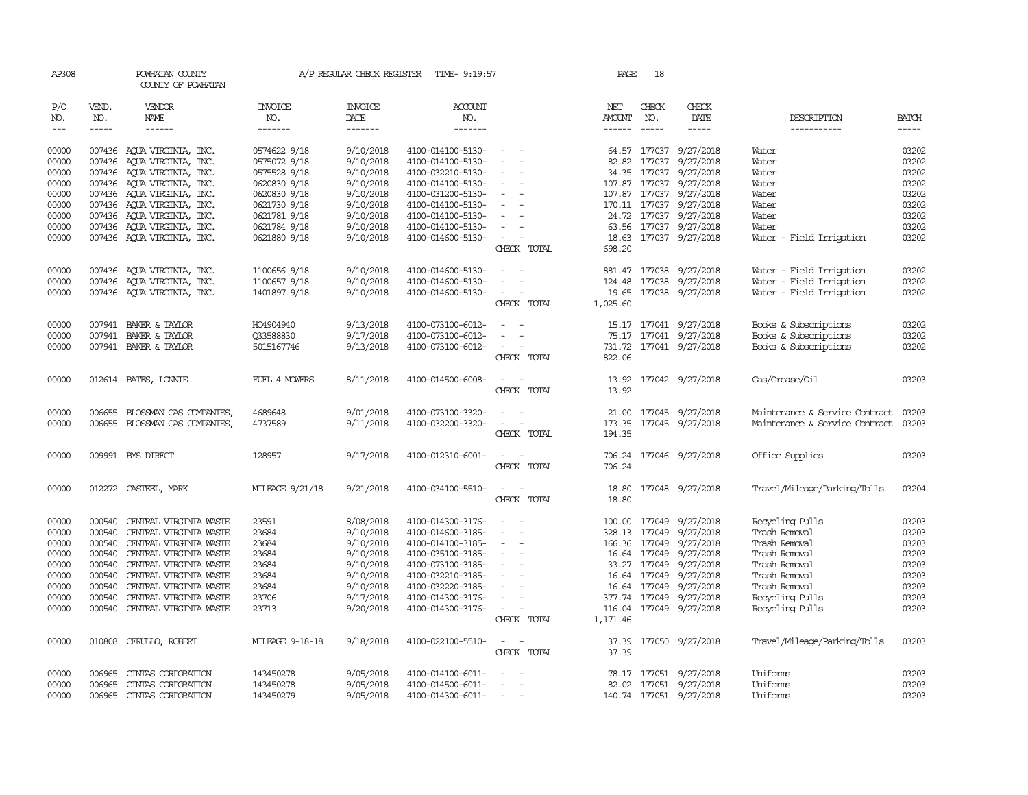| AP308               |              | POWHATAN COUNTY<br>COUNTY OF POWHATAN |                       | A/P REGULAR CHECK REGISTER | TIME- 9:19:57         |                                        | PAGE          | 18                      |                         |                                |              |
|---------------------|--------------|---------------------------------------|-----------------------|----------------------------|-----------------------|----------------------------------------|---------------|-------------------------|-------------------------|--------------------------------|--------------|
| P/O<br>NO.          | VEND.<br>NO. | VENDOR<br>NAME                        | <b>INVOICE</b><br>NO. | <b>INVOICE</b><br>DATE     | <b>ACCOUNT</b><br>NO. |                                        | NET<br>AMOUNT | CHECK<br>NO.            | CHECK<br>DATE           | DESCRIPTION                    | <b>BATCH</b> |
| $\qquad \qquad - -$ | $- - - - -$  | ------                                | -------               | -------                    | -------               |                                        | $- - - - - -$ | $- - - - -$             | -----                   | -----------                    | -----        |
| 00000               |              | 007436 AQUA VIRGINIA, INC.            | 0574622 9/18          | 9/10/2018                  | 4100-014100-5130-     | $\sim$<br>$\sim$                       |               |                         | 64.57 177037 9/27/2018  | Water                          | 03202        |
| 00000               | 007436       | AQUA VIRGINIA, INC.                   | 0575072 9/18          | 9/10/2018                  | 4100-014100-5130-     | $\sim$<br>$\overline{\phantom{a}}$     | 82.82         | 177037                  | 9/27/2018               | Water                          | 03202        |
| 00000               |              | 007436 AOUA VIRGINIA, INC.            | 0575528 9/18          | 9/10/2018                  | 4100-032210-5130-     | $\sim$                                 |               | 34.35 177037            | 9/27/2018               | Water                          | 03202        |
| 00000               |              | 007436 AQUA VIRGINIA, INC.            | 0620830 9/18          | 9/10/2018                  | 4100-014100-5130-     | $\sim$<br>$\overline{\phantom{a}}$     |               | 107.87 177037           | 9/27/2018               | Water                          | 03202        |
| 00000               |              | 007436 AQUA VIRGINIA, INC.            | 0620830 9/18          | 9/10/2018                  | 4100-031200-5130-     | $\overline{\phantom{a}}$               | 107.87 177037 |                         | 9/27/2018               | Water                          | 03202        |
| 00000               |              | 007436 AQUA VIRGINIA, INC.            | 0621730 9/18          | 9/10/2018                  | 4100-014100-5130-     | $\overline{\phantom{a}}$               |               | 170.11 177037           | 9/27/2018               | Water                          | 03202        |
| 00000               |              | 007436 AQUA VIRGINIA, INC.            | 0621781 9/18          | 9/10/2018                  | 4100-014100-5130-     | $\equiv$                               |               |                         | 24.72 177037 9/27/2018  | Water                          | 03202        |
| 00000               |              | 007436 AQUA VIRGINIA, INC.            | 0621784 9/18          | 9/10/2018                  | 4100-014100-5130-     | $\sim$<br>$\sim$                       |               |                         | 63.56 177037 9/27/2018  | Water                          | 03202        |
| 00000               |              | 007436 AQUA VIRGINIA, INC.            | 0621880 9/18          | 9/10/2018                  | 4100-014600-5130-     | $\sim$                                 |               |                         | 18.63 177037 9/27/2018  | Water - Field Irrigation       | 03202        |
|                     |              |                                       |                       |                            |                       | CHECK TOTAL                            | 698.20        |                         |                         |                                |              |
| 00000               |              | 007436 AQUA VIRGINIA, INC.            | 1100656 9/18          | 9/10/2018                  | 4100-014600-5130-     |                                        |               | 881.47 177038           | 9/27/2018               | Water - Field Irrigation       | 03202        |
| 00000               |              | 007436 AQUA VIRGINIA, INC.            | 1100657 9/18          | 9/10/2018                  | 4100-014600-5130-     |                                        | 124.48        | 177038                  | 9/27/2018               | Water - Field Irrigation       | 03202        |
| 00000               |              | 007436 AQUA VIRGINIA, INC.            | 1401897 9/18          | 9/10/2018                  | 4100-014600-5130-     | $\sim$                                 |               |                         | 19.65 177038 9/27/2018  | Water - Field Irrigation       | 03202        |
|                     |              |                                       |                       |                            |                       | CHECK TOTAL                            | 1,025.60      |                         |                         |                                |              |
| 00000               | 007941       | BAKER & TAYLOR                        | HO4904940             | 9/13/2018                  | 4100-073100-6012-     |                                        |               |                         | 15.17 177041 9/27/2018  | Books & Subscriptions          | 03202        |
| 00000               |              | 007941 BAKER & TAYLOR                 | 033588830             | 9/17/2018                  | 4100-073100-6012-     | $\equiv$<br>$\sim$                     |               |                         | 75.17 177041 9/27/2018  | Books & Subscriptions          | 03202        |
| 00000               |              | 007941 BAKER & TAYLOR                 | 5015167746            | 9/13/2018                  | 4100-073100-6012-     | $\sim$<br>$\overline{\phantom{a}}$     | 731.72        |                         | 177041 9/27/2018        | Books & Subscriptions          | 03202        |
|                     |              |                                       |                       |                            |                       | CHECK TOTAL                            | 822.06        |                         |                         |                                |              |
| 00000               |              | 012614 BATES, LONNIE                  | FUEL 4 MOWERS         | 8/11/2018                  | 4100-014500-6008-     | $\sim$<br>$\sim$                       | 13.92         |                         | 177042 9/27/2018        | Gas/Grease/Oil                 | 03203        |
|                     |              |                                       |                       |                            |                       | CHECK TOTAL                            | 13.92         |                         |                         |                                |              |
| 00000               | 006655       | BLOSSMAN GAS COMPANIES                | 4689648               | 9/01/2018                  | 4100-073100-3320-     |                                        |               |                         | 21.00 177045 9/27/2018  | Maintenance & Service Contract | 03203        |
| 00000               | 006655       | BLOSSMAN GAS COMPANIES,               | 4737589               | 9/11/2018                  | 4100-032200-3320-     | $\sim$<br>$\sim$                       | 173.35        |                         | 177045 9/27/2018        | Maintenance & Service Contract | 03203        |
|                     |              |                                       |                       |                            |                       | CHECK TOTAL                            | 194.35        |                         |                         |                                |              |
| 00000               |              | 009991 BMS DIRECT                     | 128957                | 9/17/2018                  | 4100-012310-6001-     | $\overline{\phantom{a}}$               |               |                         | 706.24 177046 9/27/2018 | Office Supplies                | 03203        |
|                     |              |                                       |                       |                            |                       | CHECK TOTAL                            | 706.24        |                         |                         |                                |              |
| 00000               |              | 012272 CASTEEL, MARK                  | MILEAGE 9/21/18       | 9/21/2018                  | 4100-034100-5510-     | $\sim$                                 |               |                         | 18.80 177048 9/27/2018  | Travel/Mileage/Parking/Tolls   | 03204        |
|                     |              |                                       |                       |                            |                       | CHECK TOTAL                            | 18.80         |                         |                         |                                |              |
| 00000               | 000540       | CENTRAL VIRGINIA WASTE                | 23591                 | 8/08/2018                  | 4100-014300-3176-     | $\sim$<br>$\overline{\phantom{a}}$     |               |                         | 9/27/2018               | Recycling Pulls                | 03203        |
| 00000               | 000540       | CENTRAL VIRGINIA WASTE                | 23684                 | 9/10/2018                  | 4100-014600-3185-     | $\overline{\phantom{a}}$<br>$\sim$     | 328.13        | 100.00 177049<br>177049 | 9/27/2018               | Trash Removal                  | 03203        |
| 00000               | 000540       | CENTRAL VIRGINIA WASTE                | 23684                 | 9/10/2018                  | 4100-014100-3185-     | $\overline{\phantom{a}}$               |               | 166.36 177049           | 9/27/2018               | Trash Removal                  | 03203        |
| 00000               | 000540       | CENIRAL VIRGINIA WASTE                | 23684                 | 9/10/2018                  | 4100-035100-3185-     | $\sim$                                 |               | 16.64 177049            | 9/27/2018               | Trash Removal                  | 03203        |
| 00000               | 000540       | CENTRAL VIRGINIA WASTE                | 23684                 | 9/10/2018                  | 4100-073100-3185-     | $\sim$<br>$\overline{\phantom{a}}$     |               | 33.27 177049            | 9/27/2018               | Trash Removal                  | 03203        |
| 00000               | 000540       | CENTRAL VIRGINIA WASTE                | 23684                 | 9/10/2018                  | 4100-032210-3185-     | $\overline{\phantom{a}}$               | 16.64         | 177049                  | 9/27/2018               | Trash Removal                  | 03203        |
| 00000               | 000540       | CENTRAL VIRGINIA WASTE                | 23684                 | 9/10/2018                  | 4100-032220-3185-     |                                        |               | 16.64 177049            | 9/27/2018               | Trash Removal                  | 03203        |
| 00000               | 000540       | CENTRAL VIRGINIA WASTE                | 23706                 | 9/17/2018                  | 4100-014300-3176-     | $\sim$<br>$\overline{\phantom{a}}$     |               |                         | 377.74 177049 9/27/2018 | Recycling Pulls                | 03203        |
| 00000               | 000540       | CENTRAL VIRGINIA WASTE                | 23713                 | 9/20/2018                  | 4100-014300-3176-     | $\sim$<br>$\sim$                       | 116.04        |                         | 177049 9/27/2018        | Recycling Pulls                | 03203        |
|                     |              |                                       |                       |                            |                       | CHECK TOTAL                            | 1,171.46      |                         |                         |                                |              |
| 00000               | 010808       | CERULLO, ROBERT                       | MILEAGE 9-18-18       | 9/18/2018                  | 4100-022100-5510-     | $\overline{\phantom{a}}$               | 37.39         |                         | 177050 9/27/2018        | Travel/Mileage/Parking/Tolls   | 03203        |
|                     |              |                                       |                       |                            |                       | CHECK TOTAL                            | 37.39         |                         |                         |                                |              |
| 00000               | 006965       | CINIAS CORPORATION                    | 143450278             | 9/05/2018                  | 4100-014100-6011-     | $\overline{\phantom{a}}$<br>$\sim$     |               |                         | 78.17 177051 9/27/2018  | Uniforms                       | 03203        |
| 00000               | 006965       | CINIAS CORPORATION                    | 143450278             | 9/05/2018                  | 4100-014500-6011-     | $\sim$                                 |               |                         | 82.02 177051 9/27/2018  | Uniforms                       | 03203        |
| 00000               | 006965       | CINIAS CORPORATION                    | 143450279             | 9/05/2018                  | 4100-014300-6011-     | $\sim$ $-$<br>$\overline{\phantom{a}}$ |               |                         | 140.74 177051 9/27/2018 | Uniforms                       | 03203        |
|                     |              |                                       |                       |                            |                       |                                        |               |                         |                         |                                |              |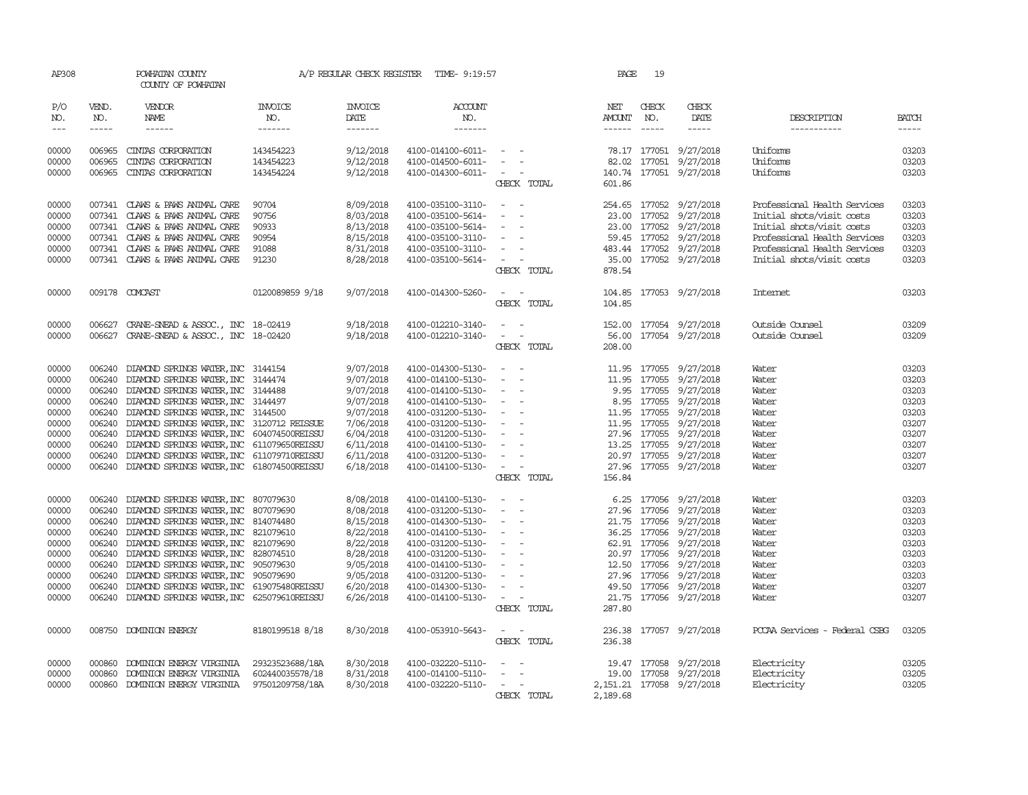| AP308               |                             | POWHATAN COUNTY<br>COUNTY OF POWHATAN                                                                  |                           | A/P REGULAR CHECK REGISTER         | TIME- 9:19:57                          |                                             | PAGE          | 19           |                                                  |                               |                             |
|---------------------|-----------------------------|--------------------------------------------------------------------------------------------------------|---------------------------|------------------------------------|----------------------------------------|---------------------------------------------|---------------|--------------|--------------------------------------------------|-------------------------------|-----------------------------|
| P/O<br>NO.<br>$---$ | VEND.<br>NO.<br>$- - - - -$ | VENDOR<br>NAME<br>$- - - - - -$                                                                        | INVOICE<br>NO.<br>------- | <b>INVOICE</b><br>DATE<br>$------$ | <b>ACCOUNT</b><br>NO.<br>-------       |                                             | NET<br>AMOUNT | CHECK<br>NO. | CHECK<br>DATE<br>$\cdots$                        | DESCRIPTION<br>-----------    | <b>BATCH</b><br>$- - - - -$ |
| 00000               | 006965                      | CINIAS CORPORATION                                                                                     | 143454223                 | 9/12/2018                          | 4100-014100-6011-                      | $\sim$ $ \sim$ $ -$                         |               |              | 78.17 177051 9/27/2018                           | Uniforms                      | 03203                       |
| 00000               | 006965                      | CINIAS CORPORATION                                                                                     | 143454223                 | 9/12/2018                          | 4100-014500-6011-                      | $\sim$                                      |               |              | 82.02 177051 9/27/2018                           | Uniforms                      | 03203                       |
| 00000               |                             | 006965 CINIAS CORPORATION                                                                              | 143454224                 | 9/12/2018                          | 4100-014300-6011-                      | $\omega_{\rm{max}}$ and $\omega_{\rm{max}}$ |               |              | 140.74 177051 9/27/2018                          | Uniforms                      | 03203                       |
|                     |                             |                                                                                                        |                           |                                    |                                        | CHECK TOTAL                                 | 601.86        |              |                                                  |                               |                             |
| 00000               |                             | 007341 CLAWS & PAWS ANIMAL CARE                                                                        | 90704                     | 8/09/2018                          | 4100-035100-3110-                      | $\sim$<br>$\sim$ $-$                        |               |              | 254.65 177052 9/27/2018                          | Professional Health Services  | 03203                       |
| 00000               |                             | 007341 CLAWS & PAWS ANIMAL CARE                                                                        | 90756                     | 8/03/2018                          | 4100-035100-5614-                      | $\sim$                                      |               |              | 23.00 177052 9/27/2018                           | Initial shots/visit costs     | 03203                       |
| 00000               |                             | 007341 CLAWS & PAWS ANIMAL CARE                                                                        | 90933                     | 8/13/2018                          | 4100-035100-5614-                      | $\sim$ $ \sim$<br>$\sim$                    |               |              | 23.00 177052 9/27/2018                           | Initial shots/visit costs     | 03203                       |
| 00000               |                             | 007341 CLAWS & PAWS ANIMAL CARE                                                                        | 90954                     | 8/15/2018                          | 4100-035100-3110-                      | $\sim$                                      |               |              | 59.45 177052 9/27/2018                           | Professional Health Services  | 03203                       |
| 00000               |                             | 007341 CLAWS & PAWS ANIMAL CARE                                                                        | 91088                     | 8/31/2018                          | 4100-035100-3110-                      | $\overline{\phantom{a}}$                    |               |              | 483.44 177052 9/27/2018                          | Professional Health Services  | 03203                       |
| 00000               |                             | 007341 CLAWS & PAWS ANIMAL CARE                                                                        | 91230                     | 8/28/2018                          | 4100-035100-5614-                      | $\alpha = 1$ , $\alpha = 1$<br>CHECK TOTAL  | 878.54        |              | 35.00 177052 9/27/2018                           | Initial shots/visit costs     | 03203                       |
| 00000               |                             | 009178 COMCAST                                                                                         | 0120089859 9/18           | 9/07/2018                          | 4100-014300-5260-                      | $\sim$ $  -$<br>CHECK TOTAL                 | 104.85        |              | 104.85 177053 9/27/2018                          | Internet                      | 03203                       |
| 00000               |                             | 006627 CRANE-SNEAD & ASSOC., INC 18-02419                                                              |                           | 9/18/2018                          | 4100-012210-3140-                      |                                             |               |              | 152.00 177054 9/27/2018                          | Outside Counsel               | 03209                       |
| 00000               |                             | 006627 CRANE-SNEAD & ASSOC., INC 18-02420                                                              |                           | 9/18/2018                          | 4100-012210-3140-                      | $\mathcal{L}_{\rm{max}}$                    |               |              | 56.00 177054 9/27/2018                           | Outside Counsel               | 03209                       |
|                     |                             |                                                                                                        |                           |                                    |                                        | CHECK TOTAL                                 | 208.00        |              |                                                  |                               |                             |
| 00000               |                             | 006240 DIAMOND SPRINGS WATER, INC 3144154                                                              |                           | 9/07/2018                          | 4100-014300-5130-                      | $\sim$<br>$\sim$                            |               |              | 11.95 177055 9/27/2018                           | Water                         | 03203                       |
| 00000               |                             | 006240 DIAMOND SPRINGS WATER, INC 3144474                                                              |                           | 9/07/2018                          | 4100-014100-5130-                      | $\sim$<br>$\sim$                            |               |              | 11.95 177055 9/27/2018                           | Water                         | 03203                       |
| 00000               |                             | 006240 DIAMOND SPRINGS WATER, INC 3144488                                                              |                           | 9/07/2018                          | 4100-014100-5130-                      | $\sim$ $-$<br>$\sim$                        |               |              | 9.95 177055 9/27/2018                            | Water                         | 03203                       |
| 00000               |                             | 006240 DIAMOND SPRINGS WATER, INC 3144497                                                              |                           | 9/07/2018                          | 4100-014100-5130-                      | $\sim$ $ \sim$<br>$\overline{\phantom{a}}$  |               |              | 8.95 177055 9/27/2018                            | Water                         | 03203                       |
| 00000               |                             | 006240 DIAMOND SPRINGS WATER, INC 3144500                                                              |                           | 9/07/2018                          | 4100-031200-5130-                      | $\alpha = 1$ , $\alpha = 1$                 |               |              | 11.95 177055 9/27/2018                           | Water                         | 03203                       |
| 00000               |                             | 006240 DIAMOND SPRINGS WATER, INC 3120712 REISSUE                                                      |                           | 7/06/2018                          | 4100-031200-5130-                      | $\sim$ $ \sim$<br>$\sim$                    |               |              | 11.95 177055 9/27/2018                           | Water                         | 03207                       |
| 00000               |                             | 006240 DIAMOND SPRINGS WATER, INC 604074500REISSU                                                      |                           | 6/04/2018                          | 4100-031200-5130-                      | $\sim$ $-$                                  |               |              | 27.96 177055 9/27/2018                           | Water                         | 03207                       |
| 00000               |                             | 006240 DIAMOND SPRINGS WATER, INC 611079650REISSU                                                      |                           | 6/11/2018                          | 4100-014100-5130-                      | $\sim$ $-$<br>$\sim$                        |               |              | 13.25 177055 9/27/2018                           | Water                         | 03207                       |
| 00000               |                             | 006240 DIAMOND SPRINGS WATER, INC 611079710REISSU                                                      |                           | 6/11/2018                          | 4100-031200-5130-                      | $\sim$ $-$                                  |               |              | 20.97 177055 9/27/2018                           | Water                         | 03207                       |
| 00000               |                             | 006240 DIAMOND SPRINGS WATER, INC 618074500REISSU                                                      |                           | 6/18/2018                          | 4100-014100-5130-                      | $\sim$ $ \sim$ $-$                          |               |              | 27.96 177055 9/27/2018                           | Water                         | 03207                       |
|                     |                             |                                                                                                        |                           |                                    |                                        | CHECK TOTAL                                 | 156.84        |              |                                                  |                               |                             |
| 00000               | 006240                      | DIAMOND SPRINGS WATER, INC 807079630                                                                   |                           | 8/08/2018                          | 4100-014100-5130-                      | $\sim$                                      |               |              | 6.25 177056 9/27/2018                            | Water                         | 03203                       |
| 00000               |                             | 006240 DIAMOND SPRINGS WATER, INC 807079690                                                            |                           | 8/08/2018                          | 4100-031200-5130-                      | $\sim$                                      |               |              | 27.96 177056 9/27/2018                           | Water                         | 03203                       |
| 00000               |                             | 006240 DIAMOND SPRINGS WATER, INC 814074480                                                            |                           | 8/15/2018                          | 4100-014300-5130-                      | $\sim$ $-$<br>$\sim$                        |               |              | 21.75 177056 9/27/2018                           | Water                         | 03203                       |
| 00000               |                             | 006240 DIAMOND SPRINGS WATER, INC 821079610                                                            |                           | 8/22/2018                          | 4100-014100-5130-                      | $\sim$ $-$<br>$\sim$                        |               |              | 36.25 177056 9/27/2018                           | Water                         | 03203                       |
| 00000               |                             | 006240 DIAMOND SPRINGS WATER, INC 821079690                                                            |                           | 8/22/2018                          | 4100-031200-5130-                      | $\sim$ $ \sim$<br>$\sim$                    |               |              | 62.91 177056 9/27/2018                           | Water                         | 03203                       |
| 00000               |                             | 006240 DIAMOND SPRINGS WATER, INC                                                                      | 828074510                 | 8/28/2018                          | 4100-031200-5130-                      | $\sim$<br>$\sim$                            |               |              | 20.97 177056 9/27/2018                           | Water                         | 03203                       |
| 00000               |                             | 006240 DIAMOND SPRINGS WATER, INC 905079630                                                            |                           | 9/05/2018                          | 4100-014100-5130-                      | $\sim$ $ \sim$<br>$\sim$                    |               |              | 12.50 177056 9/27/2018                           | Water                         | 03203                       |
| 00000               |                             | 006240 DIAMOND SPRINGS WATER, INC 905079690                                                            |                           | 9/05/2018                          | 4100-031200-5130-                      | $\sim$                                      |               |              | 27.96 177056 9/27/2018                           | Water                         | 03203                       |
| 00000<br>00000      |                             | 006240 DIAMOND SPRINGS WATER, INC 619075480REISSU<br>006240 DIAMOND SPRINGS WATER, INC 625079610REISSU |                           | 6/20/2018<br>6/26/2018             | 4100-014300-5130-<br>4100-014100-5130- | $\alpha = 1$ , $\alpha = 1$                 |               |              | 49.50 177056 9/27/2018<br>21.75 177056 9/27/2018 | Water<br>Water                | 03207<br>03207              |
|                     |                             |                                                                                                        |                           |                                    |                                        | CHECK TOTAL                                 | 287.80        |              |                                                  |                               |                             |
| 00000               |                             | 008750 DOMINION ENERGY                                                                                 | 8180199518 8/18           | 8/30/2018                          | 4100-053910-5643-                      | $\sim$ $ -$                                 |               |              | 236.38 177057 9/27/2018                          | PCCAA Services - Federal CSBG | 03205                       |
|                     |                             |                                                                                                        |                           |                                    |                                        | CHECK TOTAL                                 | 236.38        |              |                                                  |                               |                             |
| 00000               | 000860                      | DOMINION ENERGY VIRGINIA                                                                               | 29323523688/18A           | 8/30/2018                          | 4100-032220-5110-                      |                                             |               |              | 19.47 177058 9/27/2018                           | Electricity                   | 03205                       |
| 00000               | 000860                      | DOMINION ENERGY VIRGINIA                                                                               | 602440035578/18           | 8/31/2018                          | 4100-014100-5110-                      | $\sim$<br>$\sim$ $-$                        |               |              | 19.00 177058 9/27/2018                           | Electricity                   | 03205                       |
| 00000               |                             | 000860 DOMINION ENERGY VIRGINIA                                                                        | 97501209758/18A           | 8/30/2018                          | 4100-032220-5110-                      | $\sim$ $  -$                                |               |              | 2, 151.21 177058 9/27/2018                       | Electricity                   | 03205                       |
|                     |                             |                                                                                                        |                           |                                    |                                        | CHECK TOTAL                                 | 2,189.68      |              |                                                  |                               |                             |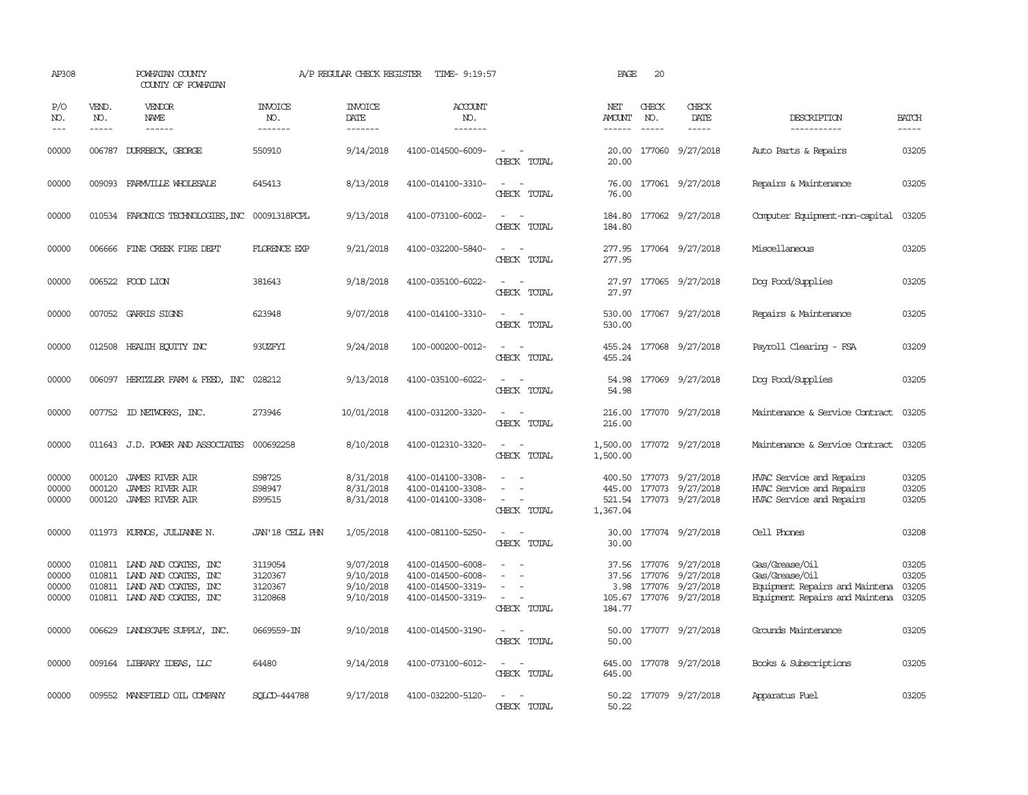| AP308                            |                             | POWHATAN COUNTY<br>COUNTY OF POWHATAN                                                                                    |                                          | A/P REGULAR CHECK REGISTER                       | TIME- 9:19:57                                                                    |                                                                                                                             | PAGE                           | 20                            |                                                                                                |                                                                                                      |                                  |
|----------------------------------|-----------------------------|--------------------------------------------------------------------------------------------------------------------------|------------------------------------------|--------------------------------------------------|----------------------------------------------------------------------------------|-----------------------------------------------------------------------------------------------------------------------------|--------------------------------|-------------------------------|------------------------------------------------------------------------------------------------|------------------------------------------------------------------------------------------------------|----------------------------------|
| P/O<br>NO.<br>$- - -$            | VEND.<br>NO.<br>$- - - - -$ | VENDOR<br>NAME<br>$- - - - - -$                                                                                          | <b>INVOICE</b><br>NO.<br>--------        | <b>INVOICE</b><br>DATE<br>$- - - - - - -$        | <b>ACCOUNT</b><br>NO.<br>-------                                                 |                                                                                                                             | NET<br><b>AMOUNT</b><br>------ | CHECK<br>NO.<br>$\frac{1}{2}$ | CHECK<br>DATE<br>$- - - - -$                                                                   | DESCRIPTION<br>-----------                                                                           | <b>BATCH</b><br>$- - - - -$      |
| 00000                            | 006787                      | DURRBECK, GEORGE                                                                                                         | 550910                                   | 9/14/2018                                        | 4100-014500-6009-                                                                | $\frac{1}{2} \left( \frac{1}{2} \right) \left( \frac{1}{2} \right) = \frac{1}{2} \left( \frac{1}{2} \right)$<br>CHECK TOTAL | 20.00<br>20.00                 |                               | 177060 9/27/2018                                                                               | Auto Parts & Repairs                                                                                 | 03205                            |
| 00000                            |                             | 009093 FARMVILLE WHOLESALE                                                                                               | 645413                                   | 8/13/2018                                        | 4100-014100-3310-                                                                | $\equiv$<br>$\sim$<br>CHECK TOTAL                                                                                           | 76.00                          |                               | 76.00 177061 9/27/2018                                                                         | Repairs & Maintenance                                                                                | 03205                            |
| 00000                            |                             | 010534 FARONICS TECHNOLOGIES, INC 00091318PCPL                                                                           |                                          | 9/13/2018                                        | 4100-073100-6002-                                                                | CHECK TOTAL                                                                                                                 | 184.80                         |                               | 184.80 177062 9/27/2018                                                                        | Computer Equipment-non-capital                                                                       | 03205                            |
| 00000                            |                             | 006666 FINE CREEK FIRE DEPT                                                                                              | <b>FLORENCE EXP</b>                      | 9/21/2018                                        | 4100-032200-5840-                                                                | $\sim$ $\sim$<br>CHECK TOTAL                                                                                                | 277.95                         |                               | 277.95 177064 9/27/2018                                                                        | Miscellaneous                                                                                        | 03205                            |
| 00000                            |                             | 006522 FOOD LION                                                                                                         | 381643                                   | 9/18/2018                                        | 4100-035100-6022-                                                                | $\overline{\phantom{a}}$<br>CHECK TOTAL                                                                                     | 27.97<br>27.97                 |                               | 177065 9/27/2018                                                                               | Dog Food/Supplies                                                                                    | 03205                            |
| 00000                            |                             | 007052 GARRIS SIGNS                                                                                                      | 623948                                   | 9/07/2018                                        | 4100-014100-3310-                                                                | $\overline{\phantom{a}}$<br>CHECK TOTAL                                                                                     | 530.00<br>530.00               |                               | 177067 9/27/2018                                                                               | Repairs & Maintenance                                                                                | 03205                            |
| 00000                            |                             | 012508 HEALTH ECUTTY INC                                                                                                 | 93UZFYI                                  | 9/24/2018                                        | 100-000200-0012-                                                                 | CHECK TOTAL                                                                                                                 | 455.24                         |                               | 455.24 177068 9/27/2018                                                                        | Payroll Clearing - FSA                                                                               | 03209                            |
| 00000                            |                             | 006097 HERTZLER FARM & FEED, INC                                                                                         | 028212                                   | 9/13/2018                                        | 4100-035100-6022-                                                                | CHECK TOTAL                                                                                                                 | 54.98<br>54.98                 |                               | 177069 9/27/2018                                                                               | Dog Food/Supplies                                                                                    | 03205                            |
| 00000                            |                             | 007752 ID NEIWORKS, INC.                                                                                                 | 273946                                   | 10/01/2018                                       | 4100-031200-3320-                                                                | $\frac{1}{2} \left( \frac{1}{2} \right) \left( \frac{1}{2} \right) = \frac{1}{2} \left( \frac{1}{2} \right)$<br>CHECK TOTAL | 216.00                         |                               | 216.00 177070 9/27/2018                                                                        | Maintenance & Service Contract                                                                       | 03205                            |
| 00000                            |                             | 011643 J.D. POWER AND ASSOCIATES                                                                                         | 000692258                                | 8/10/2018                                        | 4100-012310-3320-                                                                | CHECK TOTAL                                                                                                                 | 1,500.00<br>1,500.00           |                               | 177072 9/27/2018                                                                               | Maintenance & Service Contract                                                                       | 03205                            |
| 00000<br>00000<br>00000          | 000120<br>000120<br>000120  | JAMES RIVER AIR<br>JAMES RIVER AIR<br><b>JAMES RIVER AIR</b>                                                             | S98725<br>S98947<br>S99515               | 8/31/2018<br>8/31/2018<br>8/31/2018              | 4100-014100-3308-<br>4100-014100-3308-<br>4100-014100-3308-                      | CHECK TOTAL                                                                                                                 | 1,367.04                       |                               | 400.50 177073 9/27/2018<br>445.00 177073 9/27/2018<br>521.54 177073 9/27/2018                  | HVAC Service and Repairs<br>HVAC Service and Repairs<br>HVAC Service and Repairs                     | 03205<br>03205<br>03205          |
| 00000                            | 011973                      | KURNOS, JULIANNE N.                                                                                                      | JAN'18 CELL PHN                          | 1/05/2018                                        | 4100-081100-5250-                                                                | CHECK TOTAL                                                                                                                 | 30.00<br>30.00                 |                               | 177074 9/27/2018                                                                               | Cell Phones                                                                                          | 03208                            |
| 00000<br>00000<br>00000<br>00000 |                             | 010811 IAND AND COATES, INC<br>010811 LAND AND COATES, INC<br>010811 IAND AND COATES, INC<br>010811 IAND AND COATES, INC | 3119054<br>3120367<br>3120367<br>3120868 | 9/07/2018<br>9/10/2018<br>9/10/2018<br>9/10/2018 | 4100-014500-6008-<br>4100-014500-6008-<br>4100-014500-3319-<br>4100-014500-3319- | $\equiv$<br>$\equiv$<br>CHECK TOTAL                                                                                         | 37.56<br>184.77                |                               | 177076 9/27/2018<br>37.56 177076 9/27/2018<br>3.98 177076 9/27/2018<br>105.67 177076 9/27/2018 | Gas/Grease/Oil<br>Gas/Grease/Oil<br>Equipment Repairs and Maintena<br>Equipment Repairs and Maintena | 03205<br>03205<br>03205<br>03205 |
| 00000                            |                             | 006629 LANDSCAPE SUPPLY, INC.                                                                                            | 0669559-IN                               | 9/10/2018                                        | 4100-014500-3190-                                                                | CHECK TOTAL                                                                                                                 | 50.00                          |                               | 50.00 177077 9/27/2018                                                                         | Grounds Maintenance                                                                                  | 03205                            |
| 00000                            |                             | 009164 LIBRARY IDEAS, LLC                                                                                                | 64480                                    | 9/14/2018                                        | 4100-073100-6012-                                                                | $\sim$<br>CHECK TOTAL                                                                                                       | 645.00<br>645.00               |                               | 177078 9/27/2018                                                                               | Books & Subscriptions                                                                                | 03205                            |
| 00000                            |                             | 009552 MANSFIELD OIL COMPANY                                                                                             | SOLCD-444788                             | 9/17/2018                                        | 4100-032200-5120-                                                                | $\sim$<br>CHECK TOTAL                                                                                                       | 50.22                          |                               | 50.22 177079 9/27/2018                                                                         | Apparatus Fuel                                                                                       | 03205                            |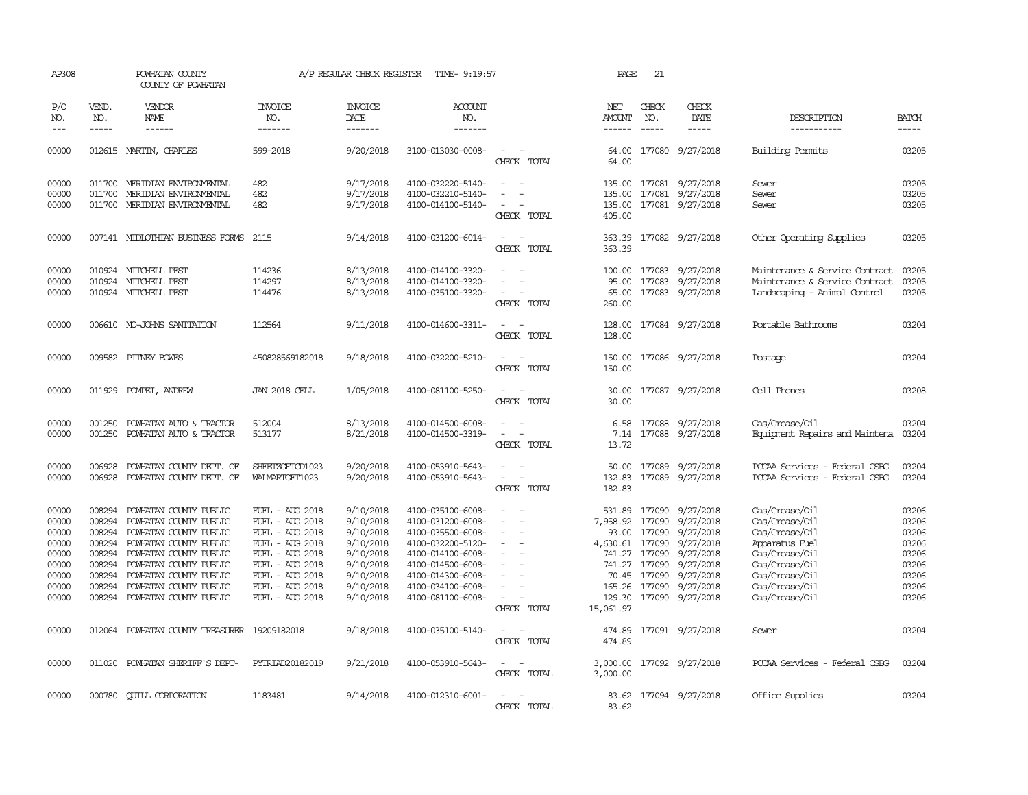| AP308                                                                         |                                                          | POWHATAN COUNTY<br>COUNTY OF POWHATAN                                                                                                                                                                                                                       |                                                                                                                                                                         | A/P REGULAR CHECK REGISTER                                                                                        | TIME- 9:19:57                                                                                                                                                                             |                                                                                                                             | PAGE                                               | 21                                                                                 |                                                                                                                                               |                                                                                                                                                                |                                                                               |
|-------------------------------------------------------------------------------|----------------------------------------------------------|-------------------------------------------------------------------------------------------------------------------------------------------------------------------------------------------------------------------------------------------------------------|-------------------------------------------------------------------------------------------------------------------------------------------------------------------------|-------------------------------------------------------------------------------------------------------------------|-------------------------------------------------------------------------------------------------------------------------------------------------------------------------------------------|-----------------------------------------------------------------------------------------------------------------------------|----------------------------------------------------|------------------------------------------------------------------------------------|-----------------------------------------------------------------------------------------------------------------------------------------------|----------------------------------------------------------------------------------------------------------------------------------------------------------------|-------------------------------------------------------------------------------|
| P/O<br>NO.<br>$---$                                                           | VEND.<br>NO.<br>$- - - - -$                              | VENDOR<br><b>NAME</b><br>$- - - - - -$                                                                                                                                                                                                                      | <b>INVOICE</b><br>NO.<br>-------                                                                                                                                        | <b>INVOICE</b><br>DATE<br>-------                                                                                 | ACCOUNT<br>NO.<br>-------                                                                                                                                                                 |                                                                                                                             | NET<br>AMOUNT                                      | CHECK<br>NO.<br>$\frac{1}{2}$                                                      | CHECK<br>DATE<br>-----                                                                                                                        | DESCRIPTION<br>-----------                                                                                                                                     | <b>BATCH</b><br>$- - - - -$                                                   |
| 00000                                                                         |                                                          | 012615 MARTIN, CHARLES                                                                                                                                                                                                                                      | 599-2018                                                                                                                                                                | 9/20/2018                                                                                                         | 3100-013030-0008-                                                                                                                                                                         | $\overline{a}$<br>CHECK TOTAL                                                                                               | 64.00                                              |                                                                                    | 64.00 177080 9/27/2018                                                                                                                        | <b>Building Permits</b>                                                                                                                                        | 03205                                                                         |
| 00000<br>00000<br>00000                                                       |                                                          | 011700 MERIDIAN ENVIRONMENTAL<br>011700 MERIDIAN ENVIRONMENTAL<br>011700 MERIDIAN ENVIRONMENTAL                                                                                                                                                             | 482<br>482<br>482                                                                                                                                                       | 9/17/2018<br>9/17/2018<br>9/17/2018                                                                               | 4100-032220-5140-<br>4100-032210-5140-<br>4100-014100-5140-                                                                                                                               | $\overline{\phantom{a}}$<br>$\overline{\phantom{a}}$<br>$\overline{\phantom{a}}$<br>$\overline{\phantom{a}}$<br>CHECK TOTAL | 135.00<br>405.00                                   |                                                                                    | 135.00 177081 9/27/2018<br>135.00 177081 9/27/2018<br>177081 9/27/2018                                                                        | Sewer<br>Sewer<br>Sewer                                                                                                                                        | 03205<br>03205<br>03205                                                       |
| 00000                                                                         |                                                          | 007141 MIDLOTHIAN BUSINESS FORMS                                                                                                                                                                                                                            | 2115                                                                                                                                                                    | 9/14/2018                                                                                                         | 4100-031200-6014-                                                                                                                                                                         | $\sim$<br>$\overline{\phantom{a}}$<br>CHECK TOTAL                                                                           | 363.39<br>363.39                                   |                                                                                    | 177082 9/27/2018                                                                                                                              | Other Operating Supplies                                                                                                                                       | 03205                                                                         |
| 00000<br>00000<br>00000                                                       |                                                          | 010924 MITCHELL PEST<br>010924 MITCHELL PEST<br>010924 MITCHELL PEST                                                                                                                                                                                        | 114236<br>114297<br>114476                                                                                                                                              | 8/13/2018<br>8/13/2018<br>8/13/2018                                                                               | 4100-014100-3320-<br>4100-014100-3320-<br>4100-035100-3320-                                                                                                                               | $\sim$<br>$\sim$<br>$\overline{\phantom{a}}$<br>CHECK TOTAL                                                                 | 95.00<br>260.00                                    |                                                                                    | 100.00 177083 9/27/2018<br>177083 9/27/2018<br>65.00 177083 9/27/2018                                                                         | Maintenance & Service Contract<br>Maintenance & Service Contract<br>Landscaping - Animal Control                                                               | 03205<br>03205<br>03205                                                       |
| 00000                                                                         |                                                          | 006610 MO-JOHNS SANITATION                                                                                                                                                                                                                                  | 112564                                                                                                                                                                  | 9/11/2018                                                                                                         | 4100-014600-3311-                                                                                                                                                                         | CHECK TOTAL                                                                                                                 | 128.00<br>128.00                                   |                                                                                    | 177084 9/27/2018                                                                                                                              | Portable Bathrooms                                                                                                                                             | 03204                                                                         |
| 00000                                                                         |                                                          | 009582 PITNEY BOWES                                                                                                                                                                                                                                         | 450828569182018                                                                                                                                                         | 9/18/2018                                                                                                         | 4100-032200-5210-                                                                                                                                                                         | CHECK TOTAL                                                                                                                 | 150.00<br>150.00                                   |                                                                                    | 177086 9/27/2018                                                                                                                              | Postage                                                                                                                                                        | 03204                                                                         |
| 00000                                                                         |                                                          | 011929 POMPEI, ANDREW                                                                                                                                                                                                                                       | <b>JAN 2018 CELL</b>                                                                                                                                                    | 1/05/2018                                                                                                         | 4100-081100-5250-                                                                                                                                                                         | $\sim$<br>÷.<br>CHECK TOTAL                                                                                                 | 30.00                                              |                                                                                    | 30.00 177087 9/27/2018                                                                                                                        | Cell Phones                                                                                                                                                    | 03208                                                                         |
| 00000<br>00000                                                                | 001250<br>001250                                         | POWHATAN AUTO & TRACTOR<br>POWHATAN AUTO & TRACTOR                                                                                                                                                                                                          | 512004<br>513177                                                                                                                                                        | 8/13/2018<br>8/21/2018                                                                                            | 4100-014500-6008-<br>4100-014500-3319-                                                                                                                                                    | $\overline{\phantom{a}}$<br>$\overline{\phantom{a}}$<br>$\sim$<br>$\overline{\phantom{a}}$<br>CHECK TOTAL                   | 6.58<br>7.14<br>13.72                              | 177088<br>177088                                                                   | 9/27/2018<br>9/27/2018                                                                                                                        | Gas/Grease/Oil<br>Equipment Repairs and Maintena                                                                                                               | 03204<br>03204                                                                |
| 00000<br>00000                                                                | 006928<br>006928                                         | POWHATAN COUNTY DEPT. OF<br>POWHATAN COUNTY DEPT. OF                                                                                                                                                                                                        | SHEETZGFTCD1023<br>WALMARIGFT1023                                                                                                                                       | 9/20/2018<br>9/20/2018                                                                                            | 4100-053910-5643-<br>4100-053910-5643-                                                                                                                                                    | $\sim$<br>$\overline{\phantom{a}}$<br>CHECK TOTAL                                                                           | 50.00<br>132.83<br>182.83                          | 177089                                                                             | 177089 9/27/2018<br>9/27/2018                                                                                                                 | PCCAA Services - Federal CSBG<br>PCCAA Services - Federal CSBG                                                                                                 | 03204<br>03204                                                                |
| 00000<br>00000<br>00000<br>00000<br>00000<br>00000<br>00000<br>00000<br>00000 | 008294<br>008294<br>008294<br>008294<br>008294<br>008294 | 008294 POWHATAN COUNTY PUBLIC<br>POWHATAN COUNTY PUBLIC<br>POWHATAN COUNTY PUBLIC<br>POWHATAN COUNTY PUBLIC<br>008294 POWHATAN COUNTY PUBLIC<br>POWHATAN COUNTY PUBLIC<br>POWHATAN COUNTY PUBLIC<br>POWHATAN COUNTY PUBLIC<br>008294 POWHATAN COUNTY PUBLIC | FUEL - AUG 2018<br>FUEL - AUG 2018<br>FUEL - AUG 2018<br>FUEL - AUG 2018<br>FUEL - AUG 2018<br>FUEL - AUG 2018<br>FUEL - AUG 2018<br>FUEL - AUG 2018<br>FUEL - AUG 2018 | 9/10/2018<br>9/10/2018<br>9/10/2018<br>9/10/2018<br>9/10/2018<br>9/10/2018<br>9/10/2018<br>9/10/2018<br>9/10/2018 | 4100-035100-6008-<br>4100-031200-6008-<br>4100-035500-6008-<br>4100-032200-5120-<br>4100-014100-6008-<br>4100-014500-6008-<br>4100-014300-6008-<br>4100-034100-6008-<br>4100-081100-6008- | $\sim$<br>$\overline{a}$<br>$\overline{\phantom{a}}$<br>$\equiv$<br>$\equiv$<br>$\sim$<br>$\equiv$<br>$\sim$<br>CHECK TOTAL | 7,958.92<br>4,630.61 177090<br>129.30<br>15,061.97 | 177090<br>93.00 177090<br>741.27 177090<br>741.27 177090<br>70.45 177090<br>177090 | 531.89 177090 9/27/2018<br>9/27/2018<br>9/27/2018<br>9/27/2018<br>9/27/2018<br>9/27/2018<br>9/27/2018<br>165.26 177090 9/27/2018<br>9/27/2018 | Gas/Grease/Oil<br>Gas/Grease/Oil<br>Gas/Grease/Oil<br>Apparatus Fuel<br>Gas/Grease/Oil<br>Gas/Grease/Oil<br>Gas/Grease/Oil<br>Gas/Grease/Oil<br>Gas/Grease/Oil | 03206<br>03206<br>03206<br>03206<br>03206<br>03206<br>03206<br>03206<br>03206 |
| 00000                                                                         |                                                          | 012064 POWHATAN COUNTY TREASURER 19209182018                                                                                                                                                                                                                |                                                                                                                                                                         | 9/18/2018                                                                                                         | 4100-035100-5140-                                                                                                                                                                         | $\sim$<br>$\overline{\phantom{a}}$<br>CHECK TOTAL                                                                           | 474.89                                             |                                                                                    | 474.89 177091 9/27/2018                                                                                                                       | Sewer                                                                                                                                                          | 03204                                                                         |
| 00000                                                                         |                                                          | 011020 POWHATAN SHERIFF'S DEPT-                                                                                                                                                                                                                             | PYTRIAD20182019                                                                                                                                                         | 9/21/2018                                                                                                         | 4100-053910-5643-                                                                                                                                                                         | ÷.<br>CHECK TOTAL                                                                                                           | 3,000.00                                           |                                                                                    | 3,000.00 177092 9/27/2018                                                                                                                     | PCCAA Services - Federal CSBG                                                                                                                                  | 03204                                                                         |
| 00000                                                                         |                                                          | 000780 CUILL CORPORATION                                                                                                                                                                                                                                    | 1183481                                                                                                                                                                 | 9/14/2018                                                                                                         | 4100-012310-6001-                                                                                                                                                                         | CHECK<br>TOTAL                                                                                                              | 83.62                                              |                                                                                    | 83.62 177094 9/27/2018                                                                                                                        | Office Supplies                                                                                                                                                | 03204                                                                         |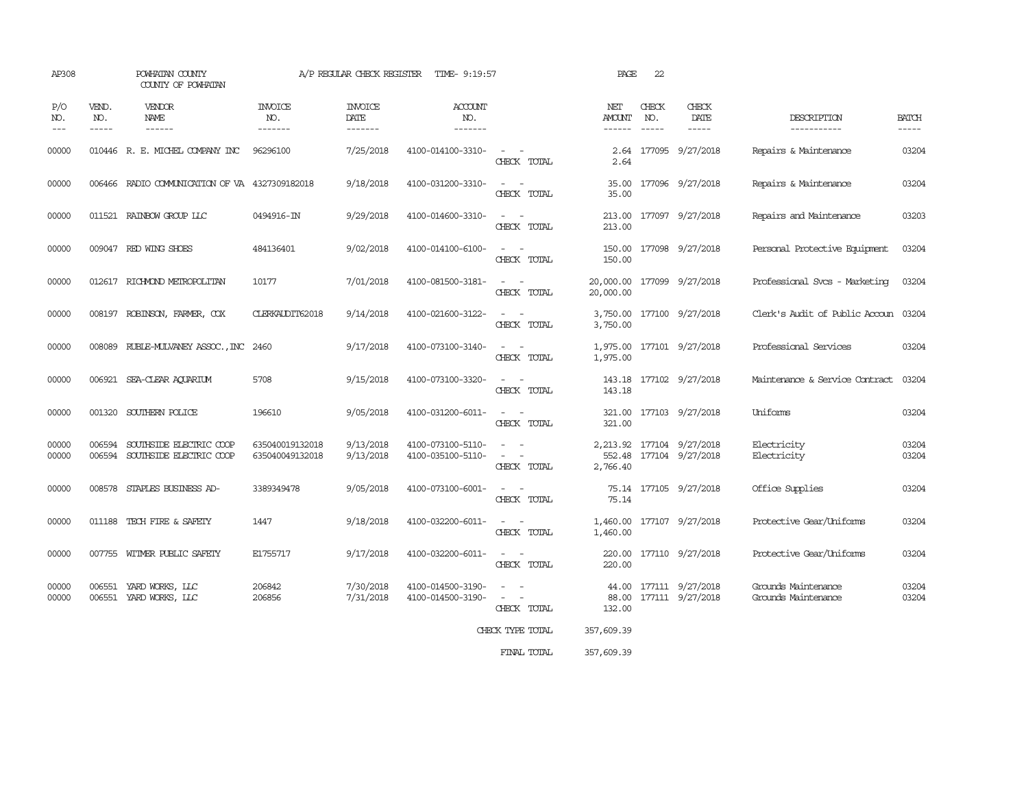| AP308               |                               | POWHATAN COUNTY<br>COUNTY OF POWHATAN                     |                                    | A/P REGULAR CHECK REGISTER        | TIME- 9:19:57                          |                                                                                                                             | PAGE                                    | 22                            |                                                       |                                            |                             |
|---------------------|-------------------------------|-----------------------------------------------------------|------------------------------------|-----------------------------------|----------------------------------------|-----------------------------------------------------------------------------------------------------------------------------|-----------------------------------------|-------------------------------|-------------------------------------------------------|--------------------------------------------|-----------------------------|
| P/O<br>NO.<br>$---$ | VEND.<br>NO.<br>$\frac{1}{2}$ | <b>VENDOR</b><br>NAME<br>------                           | INVOICE<br>NO.<br>-------          | <b>INVOICE</b><br>DATE<br>------- | <b>ACCOUNT</b><br>NO.<br>-------       |                                                                                                                             | NET<br>AMOUNT<br>$- - - - - -$          | CHECK<br>NO.<br>$\frac{1}{2}$ | CHECK<br>DATE<br>$- - - - -$                          | DESCRIPTION<br>-----------                 | <b>BATCH</b><br>$- - - - -$ |
| 00000               |                               | 010446 R. E. MICHEL COMPANY INC                           | 96296100                           | 7/25/2018                         | 4100-014100-3310-                      | $\sim$ $ -$<br>CHECK TOTAL                                                                                                  | 2.64                                    |                               | 2.64 177095 9/27/2018                                 | Repairs & Maintenance                      | 03204                       |
| 00000               |                               | 006466 RADIO COMMUNICATION OF VA 4327309182018            |                                    | 9/18/2018                         | 4100-031200-3310-                      | $\overline{\phantom{a}}$<br>CHECK TOTAL                                                                                     | 35.00<br>35.00                          |                               | 177096 9/27/2018                                      | Repairs & Maintenance                      | 03204                       |
| 00000               |                               | 011521 RAINBOW GROUP LLC                                  | 0494916-IN                         | 9/29/2018                         | 4100-014600-3310-                      | $\sim$ $  -$<br>CHECK TOTAL                                                                                                 | 213.00                                  |                               | 213.00 177097 9/27/2018                               | Repairs and Maintenance                    | 03203                       |
| 00000               |                               | 009047 RED WING SHOES                                     | 484136401                          | 9/02/2018                         | 4100-014100-6100-                      | $\sim$ $\sim$<br>CHECK TOTAL                                                                                                | 150.00                                  |                               | 150.00 177098 9/27/2018                               | Personal Protective Equipment              | 03204                       |
| 00000               |                               | 012617 RICHMOND METROPOLITAN                              | 10177                              | 7/01/2018                         | 4100-081500-3181-                      | $\frac{1}{2} \left( \frac{1}{2} \right) \left( \frac{1}{2} \right) = \frac{1}{2} \left( \frac{1}{2} \right)$<br>CHECK TOTAL | 20,000.00 177099 9/27/2018<br>20,000.00 |                               |                                                       | Professional Svcs - Marketing              | 03204                       |
| 00000               |                               | 008197 ROBINSON, FARMER, COX                              | CLERKALDIT62018                    | 9/14/2018                         | 4100-021600-3122-                      | CHECK TOTAL                                                                                                                 | 3,750.00                                |                               | 3,750.00 177100 9/27/2018                             | Clerk's Audit of Public Accoun 03204       |                             |
| 00000               |                               | 008089 RUBLE-MULVANEY ASSOC., INC 2460                    |                                    | 9/17/2018                         | 4100-073100-3140-                      | CHECK TOTAL                                                                                                                 | 1,975.00                                |                               | 1,975.00 177101 9/27/2018                             | Professional Services                      | 03204                       |
| 00000               |                               | 006921 SEA-CLEAR AQUARIUM                                 | 5708                               | 9/15/2018                         | 4100-073100-3320-                      | $\frac{1}{2} \left( \frac{1}{2} \right) \left( \frac{1}{2} \right) = \frac{1}{2} \left( \frac{1}{2} \right)$<br>CHECK TOTAL | 143.18                                  |                               | 143.18 177102 9/27/2018                               | Maintenance & Service Contract             | 03204                       |
| 00000               |                               | 001320 SOUTHERN POLICE                                    | 196610                             | 9/05/2018                         | 4100-031200-6011-                      | $\frac{1}{2} \left( \frac{1}{2} \right) \left( \frac{1}{2} \right) = \frac{1}{2} \left( \frac{1}{2} \right)$<br>CHECK TOTAL | 321.00                                  |                               | 321.00 177103 9/27/2018                               | Uniforms                                   | 03204                       |
| 00000<br>00000      | 006594                        | SOUTHSIDE ELECTRIC COOP<br>006594 SOUTHSIDE ELECTRIC COOP | 635040019132018<br>635040049132018 | 9/13/2018<br>9/13/2018            | 4100-073100-5110-<br>4100-035100-5110- | $\equiv$<br>CHECK TOTAL                                                                                                     | 2,766.40                                |                               | 2, 213.92 177104 9/27/2018<br>552.48 177104 9/27/2018 | Electricity<br>Electricity                 | 03204<br>03204              |
| 00000               |                               | 008578 STAPLES BUSINESS AD-                               | 3389349478                         | 9/05/2018                         | 4100-073100-6001-                      | $\sim$ $-$<br>CHECK TOTAL                                                                                                   | 75.14                                   |                               | 75.14 177105 9/27/2018                                | Office Supplies                            | 03204                       |
| 00000               |                               | 011188 TECH FIRE & SAFETY                                 | 1447                               | 9/18/2018                         | 4100-032200-6011-                      | $\sim$ $ -$<br>CHECK TOTAL                                                                                                  | 1,460.00                                |                               | 1,460.00 177107 9/27/2018                             | Protective Gear/Uniforms                   | 03204                       |
| 00000               |                               | 007755 WITMER PUBLIC SAFETY                               | E1755717                           | 9/17/2018                         | 4100-032200-6011-                      | $\sim$ 100 $\sim$<br>CHECK TOTAL                                                                                            | 220.00                                  |                               | 220.00 177110 9/27/2018                               | Protective Gear/Uniforms                   | 03204                       |
| 00000<br>00000      |                               | 006551 YARD WORKS, LLC<br>006551 YARD WORKS, LLC          | 206842<br>206856                   | 7/30/2018<br>7/31/2018            | 4100-014500-3190-<br>4100-014500-3190- | $\overline{\phantom{a}}$<br>$\sim$<br>CHECK TOTAL<br>CHECK TYPE TOTAL                                                       | 132.00<br>357,609.39                    |                               | 44.00 177111 9/27/2018<br>88.00 177111 9/27/2018      | Grounds Maintenance<br>Grounds Maintenance | 03204<br>03204              |
|                     |                               |                                                           |                                    |                                   |                                        |                                                                                                                             |                                         |                               |                                                       |                                            |                             |

FINAL TOTAL 357,609.39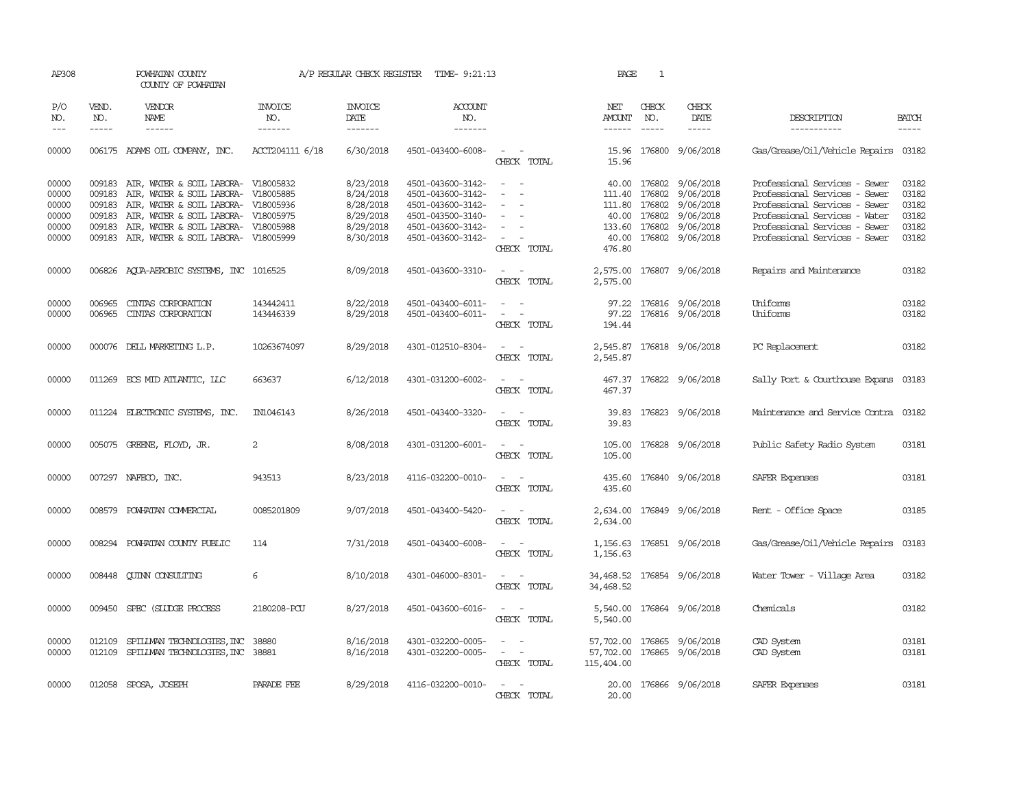| AP308          |              | POWHATAN COUNTY<br>COUNTY OF POWHATAN                                                    | A/P REGULAR CHECK REGISTER TIME- 9:21:13 |                        |                                        |                                                                                                                                                                            | PAGE<br>1               |                               |                                                  |                                                                |                                                                                                                                                                                                                                                                                                                                                                                              |
|----------------|--------------|------------------------------------------------------------------------------------------|------------------------------------------|------------------------|----------------------------------------|----------------------------------------------------------------------------------------------------------------------------------------------------------------------------|-------------------------|-------------------------------|--------------------------------------------------|----------------------------------------------------------------|----------------------------------------------------------------------------------------------------------------------------------------------------------------------------------------------------------------------------------------------------------------------------------------------------------------------------------------------------------------------------------------------|
| P/O<br>NO.     | VEND.<br>NO. | VENDOR<br>NAME                                                                           | INVOICE<br>NO.                           | <b>INVOICE</b><br>DATE | <b>ACCOUNT</b><br>NO.                  |                                                                                                                                                                            | NET<br><b>AMOUNT</b>    | CHECK<br>NO.                  | CHECK<br>DATE                                    | DESCRIPTION                                                    | <b>BATCH</b>                                                                                                                                                                                                                                                                                                                                                                                 |
| $---$          | $- - - - -$  | $- - - - - -$                                                                            | -------                                  | $- - - - - - -$        | $- - - - - - -$                        |                                                                                                                                                                            |                         | $\qquad \qquad - - - - -$     | $- - - - -$                                      | ------------                                                   | $\frac{1}{2} \frac{1}{2} \frac{1}{2} \frac{1}{2} \frac{1}{2} \frac{1}{2} \frac{1}{2} \frac{1}{2} \frac{1}{2} \frac{1}{2} \frac{1}{2} \frac{1}{2} \frac{1}{2} \frac{1}{2} \frac{1}{2} \frac{1}{2} \frac{1}{2} \frac{1}{2} \frac{1}{2} \frac{1}{2} \frac{1}{2} \frac{1}{2} \frac{1}{2} \frac{1}{2} \frac{1}{2} \frac{1}{2} \frac{1}{2} \frac{1}{2} \frac{1}{2} \frac{1}{2} \frac{1}{2} \frac{$ |
| 00000          |              | 006175 ADAMS OIL COMPANY, INC.                                                           | ACCT204111 6/18                          | 6/30/2018              | 4501-043400-6008-                      | $\sim$ $ \sim$<br>CHECK TOTAL                                                                                                                                              | 15.96                   |                               | 15.96 176800 9/06/2018                           | Gas/Grease/Oil/Vehicle Repairs 03182                           |                                                                                                                                                                                                                                                                                                                                                                                              |
| 00000<br>00000 |              | 009183 AIR, WATER & SOIL LABORA- V18005832<br>009183 AIR, WATER & SOIL LABORA- V18005885 |                                          | 8/23/2018<br>8/24/2018 | 4501-043600-3142-<br>4501-043600-3142- | $\sim$ $ \sim$<br>$\sim$<br>$\sim$                                                                                                                                         |                         | 111.40 176802                 | 40.00 176802 9/06/2018<br>9/06/2018              | Professional Services - Sewer<br>Professional Services - Sewer | 03182<br>03182                                                                                                                                                                                                                                                                                                                                                                               |
| 00000<br>00000 | 009183       | AIR, WATER & SOIL LABORA- V18005936<br>009183 AIR, WATER & SOIL LABORA- V18005975        |                                          | 8/28/2018<br>8/29/2018 | 4501-043600-3142-<br>4501-043500-3140- | $\overline{\phantom{a}}$<br>$\overline{\phantom{a}}$                                                                                                                       |                         | 111.80 176802<br>40.00 176802 | 9/06/2018<br>9/06/2018                           | Professional Services - Sewer<br>Professional Services - Water | 03182<br>03182                                                                                                                                                                                                                                                                                                                                                                               |
| 00000<br>00000 |              | 009183 AIR, WATER & SOIL LABORA- V18005988<br>009183 AIR, WATER & SOIL LABORA- V18005999 |                                          | 8/29/2018<br>8/30/2018 | 4501-043600-3142-<br>4501-043600-3142- | $\hspace{0.1mm}-\hspace{0.1mm}$<br>$\alpha = 1$ , $\alpha = 1$<br>CHECK TOTAL                                                                                              | 40.00<br>476.80         |                               | 133.60 176802 9/06/2018<br>176802 9/06/2018      | Professional Services - Sewer<br>Professional Services - Sewer | 03182<br>03182                                                                                                                                                                                                                                                                                                                                                                               |
| 00000          |              | 006826 AQUA-AEROBIC SYSTEMS, INC 1016525                                                 |                                          | 8/09/2018              | 4501-043600-3310-                      | $\sim$ $ \sim$<br>CHECK TOTAL                                                                                                                                              | 2,575.00                |                               | 2,575.00 176807 9/06/2018                        | Repairs and Maintenance                                        | 03182                                                                                                                                                                                                                                                                                                                                                                                        |
| 00000<br>00000 | 006965       | CINIAS CORPORATION<br>006965 CINIAS CORPORATION                                          | 143442411<br>143446339                   | 8/22/2018<br>8/29/2018 | 4501-043400-6011-<br>4501-043400-6011- | $\sim$ $ -$<br>$\mathcal{L}_{\text{max}}$ , and $\mathcal{L}_{\text{max}}$                                                                                                 |                         |                               | 97.22 176816 9/06/2018<br>97.22 176816 9/06/2018 | Uniforms<br>Uniforms                                           | 03182<br>03182                                                                                                                                                                                                                                                                                                                                                                               |
|                |              |                                                                                          |                                          |                        |                                        | CHECK TOTAL                                                                                                                                                                | 194.44                  |                               |                                                  |                                                                |                                                                                                                                                                                                                                                                                                                                                                                              |
| 00000          |              | 000076 DELL MARKETING L.P.                                                               | 10263674097                              | 8/29/2018              | 4301-012510-8304-                      | $\sim$ $  -$<br>CHECK TOTAL                                                                                                                                                | 2,545.87                |                               | 2,545.87 176818 9/06/2018                        | PC Replacement                                                 | 03182                                                                                                                                                                                                                                                                                                                                                                                        |
| 00000          |              | 011269 ECS MID ATLANTIC, LLC                                                             | 663637                                   | 6/12/2018              | 4301-031200-6002-                      | $\sim$ 100 $\sim$ 100 $\sim$<br>CHECK TOTAL                                                                                                                                | 467.37                  |                               | 467.37 176822 9/06/2018                          | Sally Port & Courthouse Expans 03183                           |                                                                                                                                                                                                                                                                                                                                                                                              |
| 00000          |              | 011224 ELECTRONIC SYSTEMS, INC.                                                          | IN1046143                                | 8/26/2018              | 4501-043400-3320-                      | $\sim$ $ -$<br>CHECK TOTAL                                                                                                                                                 | 39.83                   |                               | 39.83 176823 9/06/2018                           | Maintenance and Service Contra 03182                           |                                                                                                                                                                                                                                                                                                                                                                                              |
| 00000          |              | 005075 GREENE, FLOYD, JR.                                                                | 2                                        | 8/08/2018              | 4301-031200-6001-                      | $\sim$ $  -$<br>CHECK TOTAL                                                                                                                                                | 105.00                  |                               | 105.00 176828 9/06/2018                          | Public Safety Radio System                                     | 03181                                                                                                                                                                                                                                                                                                                                                                                        |
| 00000          |              | 007297 NAFECO, INC.                                                                      | 943513                                   | 8/23/2018              | 4116-032200-0010-                      | $\mathcal{L}_{\text{max}}$ , and $\mathcal{L}_{\text{max}}$<br>CHECK TOTAL                                                                                                 | 435.60                  |                               | 435.60 176840 9/06/2018                          | SAFER Expenses                                                 | 03181                                                                                                                                                                                                                                                                                                                                                                                        |
| 00000          | 008579       | POWHATAN COMMERCIAL                                                                      | 0085201809                               | 9/07/2018              | 4501-043400-5420-                      | $\sim$ $ -$<br>CHECK TOTAL                                                                                                                                                 | 2,634.00                |                               | 2,634.00 176849 9/06/2018                        | Rent - Office Space                                            | 03185                                                                                                                                                                                                                                                                                                                                                                                        |
| 00000          |              | 008294 POWHATAN COUNTY PUBLIC                                                            | 114                                      | 7/31/2018              | 4501-043400-6008-                      | $\frac{1}{2} \left( \frac{1}{2} \right) \left( \frac{1}{2} \right) \left( \frac{1}{2} \right) \left( \frac{1}{2} \right)$<br>CHECK TOTAL                                   | 1,156.63                |                               | 1,156.63 176851 9/06/2018                        | Gas/Grease/Oil/Vehicle Repairs                                 | 03183                                                                                                                                                                                                                                                                                                                                                                                        |
| 00000          | 008448       | QUINN CONSULTING                                                                         | 6                                        | 8/10/2018              | 4301-046000-8301-                      | $\sim$<br>$\sim$<br>CHECK TOTAL                                                                                                                                            | 34,468.52               |                               | 34,468.52 176854 9/06/2018                       | Water Tower - Village Area                                     | 03182                                                                                                                                                                                                                                                                                                                                                                                        |
| 00000          |              | 009450 SPEC (SILIDGE PROCESS                                                             | 2180208-PCU                              | 8/27/2018              | 4501-043600-6016-                      | $\sim$<br>$\sim$<br>CHECK TOTAL                                                                                                                                            | 5,540.00                |                               | 5,540.00 176864 9/06/2018                        | Chemicals                                                      | 03182                                                                                                                                                                                                                                                                                                                                                                                        |
| 00000<br>00000 | 012109       | SPILLMAN TECHNOLOGIES, INC 38880<br>012109 SPILLMAN TECHNOLOGIES, INC 38881              |                                          | 8/16/2018<br>8/16/2018 | 4301-032200-0005-<br>4301-032200-0005- | $\frac{1}{2} \left( \frac{1}{2} \right) \left( \frac{1}{2} \right) = \frac{1}{2} \left( \frac{1}{2} \right)$<br>$\omega_{\rm{max}}$ and $\omega_{\rm{max}}$<br>CHECK TOTAL | 57,702.00<br>115,404.00 |                               | 57,702.00 176865 9/06/2018<br>176865 9/06/2018   | CAD System<br>CAD System                                       | 03181<br>03181                                                                                                                                                                                                                                                                                                                                                                               |
| 00000          |              | 012058 SPOSA, JOSEPH                                                                     | PARADE FEE                               | 8/29/2018              | 4116-032200-0010-                      | CHECK TOTAL                                                                                                                                                                | 20.00                   |                               | 20.00 176866 9/06/2018                           | SAFER Expenses                                                 | 03181                                                                                                                                                                                                                                                                                                                                                                                        |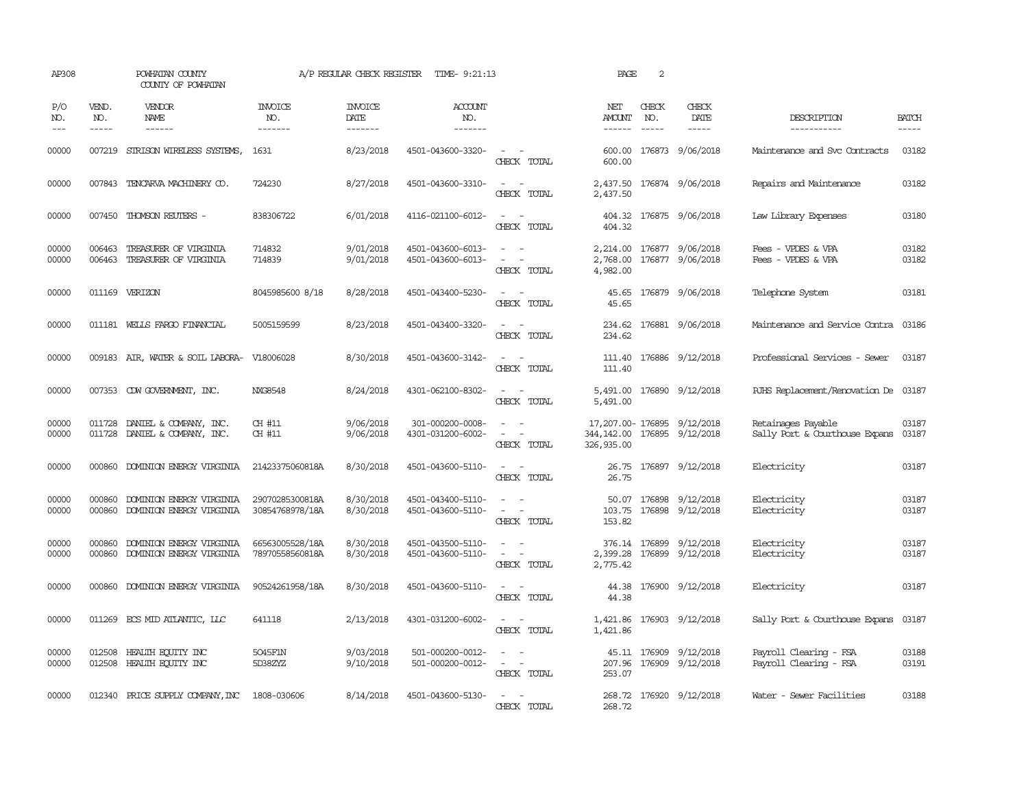| AP308               |                               | POWHATAN COUNTY<br>COUNTY OF POWHATAN                                                                                                                                                                                                                                                                                                                                                                                                                                                        |                                    |                                   | A/P REGULAR CHECK REGISTER TIME- 9:21:13 |                                                                                                | PAGE                       | 2                             |                                                   |                                                      |                       |
|---------------------|-------------------------------|----------------------------------------------------------------------------------------------------------------------------------------------------------------------------------------------------------------------------------------------------------------------------------------------------------------------------------------------------------------------------------------------------------------------------------------------------------------------------------------------|------------------------------------|-----------------------------------|------------------------------------------|------------------------------------------------------------------------------------------------|----------------------------|-------------------------------|---------------------------------------------------|------------------------------------------------------|-----------------------|
| P/O<br>NO.<br>$---$ | VEND.<br>NO.<br>$\frac{1}{2}$ | VENDOR<br>NAME<br>$\frac{1}{2} \left( \frac{1}{2} \right) \left( \frac{1}{2} \right) \left( \frac{1}{2} \right) \left( \frac{1}{2} \right) \left( \frac{1}{2} \right) \left( \frac{1}{2} \right) \left( \frac{1}{2} \right) \left( \frac{1}{2} \right) \left( \frac{1}{2} \right) \left( \frac{1}{2} \right) \left( \frac{1}{2} \right) \left( \frac{1}{2} \right) \left( \frac{1}{2} \right) \left( \frac{1}{2} \right) \left( \frac{1}{2} \right) \left( \frac{1}{2} \right) \left( \frac$ | <b>INVOICE</b><br>NO.<br>-------   | <b>INVOICE</b><br>DATE<br>------- | <b>ACCOUNT</b><br>NO.<br>-------         |                                                                                                | NET<br>AMOUNT<br>------    | CHECK<br>NO.<br>$\frac{1}{2}$ | CHECK<br>DATE<br>$\frac{1}{2}$                    | DESCRIPTION<br>-----------                           | <b>BATCH</b><br>----- |
| 00000               |                               | 007219 STRISON WIRELESS SYSTEMS,                                                                                                                                                                                                                                                                                                                                                                                                                                                             | 1631                               | 8/23/2018                         | 4501-043600-3320-                        | $\sim$ $ \sim$<br>CHECK TOTAL                                                                  | 600.00<br>600.00           |                               | 176873 9/06/2018                                  | Maintenance and Svc Contracts                        | 03182                 |
| 00000               |                               | 007843 TENCARVA MACHINERY CO.                                                                                                                                                                                                                                                                                                                                                                                                                                                                | 724230                             | 8/27/2018                         | 4501-043600-3310-                        | $\sim$<br>$\sim$<br>CHECK TOTAL                                                                | 2,437.50                   |                               | 2,437.50 176874 9/06/2018                         | Repairs and Maintenance                              | 03182                 |
| 00000               |                               | 007450 THOMSON REUTERS -                                                                                                                                                                                                                                                                                                                                                                                                                                                                     | 838306722                          | 6/01/2018                         | 4116-021100-6012-                        | CHECK TOTAL                                                                                    | 404.32                     |                               | 404.32 176875 9/06/2018                           | Law Library Expenses                                 | 03180                 |
| 00000<br>00000      | 006463<br>006463              | TREASURER OF VIRGINIA<br>TREASURER OF VIRGINIA                                                                                                                                                                                                                                                                                                                                                                                                                                               | 714832<br>714839                   | 9/01/2018<br>9/01/2018            | 4501-043600-6013-<br>4501-043600-6013-   | $\sim$ 100 $\sim$<br>CHECK TOTAL                                                               | 2,768.00<br>4,982.00       |                               | 2,214.00 176877 9/06/2018<br>176877 9/06/2018     | Fees - VPDES & VPA<br>Fees - VPDES & VPA             | 03182<br>03182        |
| 00000               |                               | 011169 VERIZON                                                                                                                                                                                                                                                                                                                                                                                                                                                                               | 8045985600 8/18                    | 8/28/2018                         | 4501-043400-5230-                        | $\sim$ $ \sim$<br>CHECK TOTAL                                                                  | 45.65                      |                               | 45.65 176879 9/06/2018                            | Telephone System                                     | 03181                 |
| 00000               |                               | 011181 WELLS FARGO FINANCIAL                                                                                                                                                                                                                                                                                                                                                                                                                                                                 | 5005159599                         | 8/23/2018                         | 4501-043400-3320-                        | CHECK TOTAL                                                                                    | 234.62                     |                               | 234.62 176881 9/06/2018                           | Maintenance and Service Contra 03186                 |                       |
| 00000               |                               | 009183 AIR, WATER & SOIL LABORA- V18006028                                                                                                                                                                                                                                                                                                                                                                                                                                                   |                                    | 8/30/2018                         | 4501-043600-3142-                        | $\sim$ $ \sim$<br>CHECK TOTAL                                                                  | 111.40<br>111.40           |                               | 176886 9/12/2018                                  | Professional Services - Sewer                        | 03187                 |
| 00000               |                               | 007353 CDW GOVERNMENT, INC.                                                                                                                                                                                                                                                                                                                                                                                                                                                                  | NXG8548                            | 8/24/2018                         | 4301-062100-8302-                        | $\sim$ $ -$<br>CHECK TOTAL                                                                     | 5,491.00<br>5,491.00       |                               | 176890 9/12/2018                                  | RJHS Replacement/Renovation De 03187                 |                       |
| 00000<br>00000      |                               | 011728 DANIEL & COMPANY, INC.<br>011728 DANIEL & COMPANY, INC.                                                                                                                                                                                                                                                                                                                                                                                                                               | CH #11<br>CH #11                   | 9/06/2018<br>9/06/2018            | 301-000200-0008-<br>4301-031200-6002-    | $\overline{\phantom{a}}$<br>$\equiv$<br>$\overline{\phantom{a}}$<br>CHECK TOTAL                | 344, 142.00<br>326, 935.00 |                               | 17, 207.00-176895 9/12/2018<br>176895 9/12/2018   | Retainages Payable<br>Sally Port & Courthouse Expans | 03187<br>03187        |
| 00000               |                               | 000860 DOMINION ENERGY VIRGINIA                                                                                                                                                                                                                                                                                                                                                                                                                                                              | 21423375060818A                    | 8/30/2018                         | 4501-043600-5110-                        | $\sim$ $ \sim$<br>CHECK TOTAL                                                                  | 26.75                      |                               | 26.75 176897 9/12/2018                            | Electricity                                          | 03187                 |
| 00000<br>00000      | 000860                        | DOMINION ENERGY VIRGINIA<br>000860 DOMINION ENERGY VIRGINIA                                                                                                                                                                                                                                                                                                                                                                                                                                  | 29070285300818A<br>30854768978/18A | 8/30/2018<br>8/30/2018            | 4501-043400-5110-<br>4501-043600-5110-   | $\sim$<br>$\sim$<br>$\sim$ $-$<br>$\sim$<br>CHECK TOTAL                                        | 103.75<br>153.82           |                               | 50.07 176898 9/12/2018<br>176898 9/12/2018        | Electricity<br>Electricity                           | 03187<br>03187        |
| 00000<br>00000      | 000860<br>000860              | DOMINION ENERGY VIRGINIA<br>DOMINION ENERGY VIRGINIA                                                                                                                                                                                                                                                                                                                                                                                                                                         | 66563005528/18A<br>78970558560818A | 8/30/2018<br>8/30/2018            | 4501-043500-5110-<br>4501-043600-5110-   | $\overline{\phantom{a}}$<br>$\overline{\phantom{a}}$<br>$\sim$<br>CHECK TOTAL                  | 2,399.28<br>2,775.42       |                               | 376.14 176899 9/12/2018<br>176899 9/12/2018       | Electricity<br>Electricity                           | 03187<br>03187        |
| 00000               |                               | 000860 DOMINION ENERGY VIRGINIA                                                                                                                                                                                                                                                                                                                                                                                                                                                              | 90524261958/18A                    | 8/30/2018                         | 4501-043600-5110-                        | $\sim$ $ \sim$<br>CHECK TOTAL                                                                  | 44.38                      |                               | 44.38 176900 9/12/2018                            | Electricity                                          | 03187                 |
| 00000               |                               | 011269 ECS MID ATLANTIC, LLC                                                                                                                                                                                                                                                                                                                                                                                                                                                                 | 641118                             | 2/13/2018                         | 4301-031200-6002-                        | $\sim$ $ \sim$<br>CHECK TOTAL                                                                  | 1,421.86                   |                               | 1,421.86 176903 9/12/2018                         | Sally Port & Courthouse Expans                       | 03187                 |
| 00000<br>00000      |                               | 012508 HEALTH ECUTTY INC<br>012508 HEALTH ECUTTY INC                                                                                                                                                                                                                                                                                                                                                                                                                                         | 5045F1N<br>5D38ZYZ                 | 9/03/2018<br>9/10/2018            | 501-000200-0012-<br>501-000200-0012-     | $\overline{\phantom{a}}$<br>$\overline{\phantom{a}}$<br>$\sim$ 10 $\sim$ $\sim$<br>CHECK TOTAL | 253.07                     |                               | 45.11 176909 9/12/2018<br>207.96 176909 9/12/2018 | Payroll Clearing - FSA<br>Payroll Clearing - FSA     | 03188<br>03191        |
| 00000               |                               | 012340 PRICE SUPPLY COMPANY, INC                                                                                                                                                                                                                                                                                                                                                                                                                                                             | 1808-030606                        | 8/14/2018                         | 4501-043600-5130-                        | CHECK TOTAL                                                                                    | 268.72                     |                               | 268.72 176920 9/12/2018                           | Water - Sewer Facilities                             | 03188                 |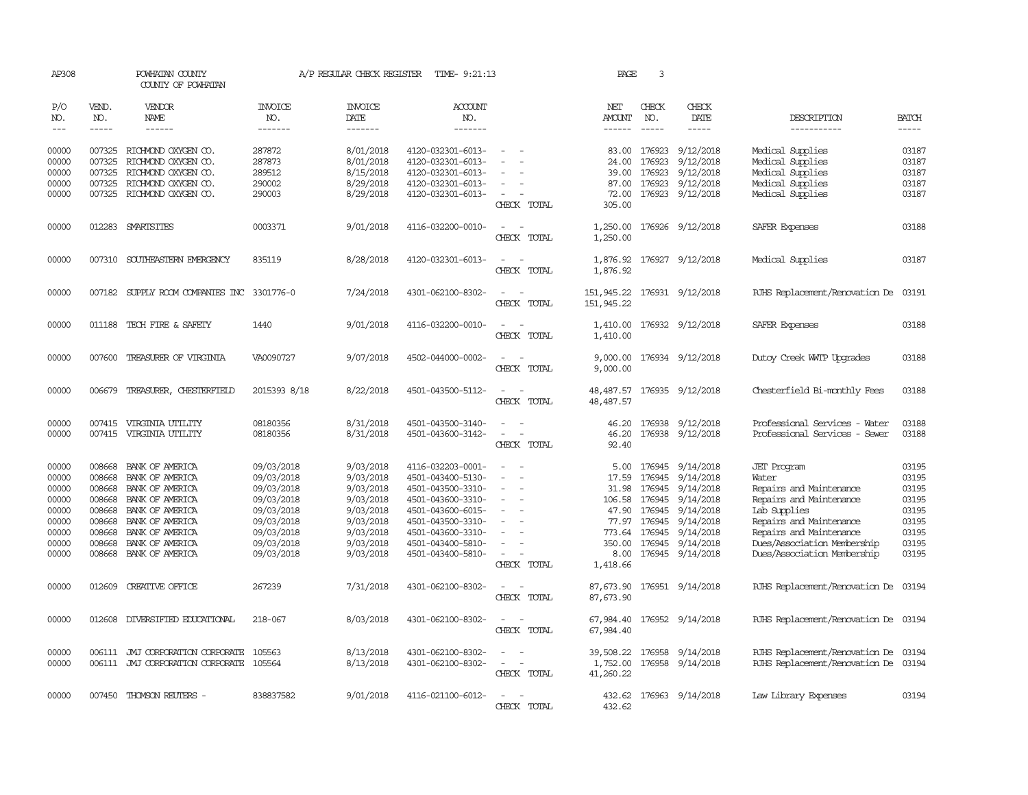| AP308                                                       |                                                                    | POWHATAN COUNTY<br>COUNTY OF POWHATAN                                                                                             |                                                                                                | A/P REGULAR CHECK REGISTER                                                              | TIME- 9:21:13                                                                                                                                   |                                                                                                                             | PAGE                               | 3                      |                                                                                                                                                     |                                                                                                                                                         |                                                                                                                                                                                                                                                                                                                                                                                                                                                                               |
|-------------------------------------------------------------|--------------------------------------------------------------------|-----------------------------------------------------------------------------------------------------------------------------------|------------------------------------------------------------------------------------------------|-----------------------------------------------------------------------------------------|-------------------------------------------------------------------------------------------------------------------------------------------------|-----------------------------------------------------------------------------------------------------------------------------|------------------------------------|------------------------|-----------------------------------------------------------------------------------------------------------------------------------------------------|---------------------------------------------------------------------------------------------------------------------------------------------------------|-------------------------------------------------------------------------------------------------------------------------------------------------------------------------------------------------------------------------------------------------------------------------------------------------------------------------------------------------------------------------------------------------------------------------------------------------------------------------------|
| P/O<br>NO.                                                  | VEND.<br>NO.                                                       | VENDOR<br>NAME                                                                                                                    | INVOICE<br>NO.                                                                                 | <b>INVOICE</b><br>DATE                                                                  | ACCOUNT<br>NO.                                                                                                                                  |                                                                                                                             | NET<br>AMOUNT                      | CHECK<br>NO.           | CHECK<br>DATE                                                                                                                                       | DESCRIPTION                                                                                                                                             | <b>BATCH</b>                                                                                                                                                                                                                                                                                                                                                                                                                                                                  |
| $---$                                                       | $- - - - -$                                                        | $- - - - - -$                                                                                                                     | -------                                                                                        | -------                                                                                 | -------                                                                                                                                         |                                                                                                                             | $- - - - - -$                      | $- - - - -$            | -----                                                                                                                                               | -----------                                                                                                                                             | $\begin{tabular}{ccccc} \multicolumn{2}{c }{\multicolumn{2}{c }{\multicolumn{2}{c }{\multicolumn{2}{c}}}{\multicolumn{2}{c }{\multicolumn{2}{c}}}\end{tabular} \end{tabular} \begin{tabular}{c c }{\multicolumn{2}{c }{\multicolumn{2}{c }{\multicolumn{2}{c}}}{\multicolumn{2}{c }{\multicolumn{2}{c}}}{\multicolumn{2}{c }{\multicolumn{2}{c}}}{\multicolumn{2}{c }{\multicolumn{2}{c}}}{\end{tabular} \begin{tabular}{c c }{\multicolumn{2}{c }{\multicolumn{2}{c }{\mult$ |
| 00000<br>00000                                              | 007325                                                             | 007325 RICHMOND OXYGEN CO.<br>RICHMOND OXYGEN CO.                                                                                 | 287872<br>287873                                                                               | 8/01/2018<br>8/01/2018                                                                  | 4120-032301-6013-<br>4120-032301-6013-                                                                                                          |                                                                                                                             | 24.00                              | 83.00 176923<br>176923 | 9/12/2018<br>9/12/2018                                                                                                                              | Medical Supplies<br>Medical Supplies                                                                                                                    | 03187<br>03187                                                                                                                                                                                                                                                                                                                                                                                                                                                                |
| 00000<br>00000                                              | 007325<br>007325                                                   | RICHMOND OXYGEN CO.                                                                                                               | 289512<br>290002                                                                               | 8/15/2018                                                                               | 4120-032301-6013-                                                                                                                               |                                                                                                                             | 39.00                              | 176923<br>176923       | 9/12/2018                                                                                                                                           | Medical Supplies                                                                                                                                        | 03187<br>03187                                                                                                                                                                                                                                                                                                                                                                                                                                                                |
| 00000                                                       |                                                                    | RICHMOND OXYGEN CO.<br>007325 RICHMOND OXYGEN CO.                                                                                 | 290003                                                                                         | 8/29/2018<br>8/29/2018                                                                  | 4120-032301-6013-<br>4120-032301-6013-                                                                                                          | $\overline{\phantom{a}}$<br>CHECK TOTAL                                                                                     | 87.00<br>72.00<br>305.00           | 176923                 | 9/12/2018<br>9/12/2018                                                                                                                              | Medical Supplies<br>Medical Supplies                                                                                                                    | 03187                                                                                                                                                                                                                                                                                                                                                                                                                                                                         |
| 00000                                                       |                                                                    | 012283 SMARTSITES                                                                                                                 | 0003371                                                                                        | 9/01/2018                                                                               | 4116-032200-0010-                                                                                                                               | $\overline{\phantom{a}}$<br>CHECK TOTAL                                                                                     | 1,250.00                           |                        | 1,250.00 176926 9/12/2018                                                                                                                           | SAFER Expenses                                                                                                                                          | 03188                                                                                                                                                                                                                                                                                                                                                                                                                                                                         |
| 00000                                                       |                                                                    | 007310 SOUTHEASTERN EMERGENCY                                                                                                     | 835119                                                                                         | 8/28/2018                                                                               | 4120-032301-6013-                                                                                                                               | $\frac{1}{2} \left( \frac{1}{2} \right) \left( \frac{1}{2} \right) = \frac{1}{2} \left( \frac{1}{2} \right)$<br>CHECK TOTAL | 1,876.92<br>1,876.92               |                        | 176927 9/12/2018                                                                                                                                    | Medical Supplies                                                                                                                                        | 03187                                                                                                                                                                                                                                                                                                                                                                                                                                                                         |
| 00000                                                       |                                                                    | 007182 SUPPLY ROOM COMPANIES INC 3301776-0                                                                                        |                                                                                                | 7/24/2018                                                                               | 4301-062100-8302-                                                                                                                               | $\overline{\phantom{a}}$<br>CHECK TOTAL                                                                                     | 151,945.22<br>151,945.22           |                        | 176931 9/12/2018                                                                                                                                    | RJHS Replacement/Renovation De                                                                                                                          | 03191                                                                                                                                                                                                                                                                                                                                                                                                                                                                         |
| 00000                                                       |                                                                    | 011188 TECH FIRE & SAFETY                                                                                                         | 1440                                                                                           | 9/01/2018                                                                               | 4116-032200-0010-                                                                                                                               | CHECK TOTAL                                                                                                                 | 1,410.00<br>1,410.00               |                        | 176932 9/12/2018                                                                                                                                    | SAFER Expenses                                                                                                                                          | 03188                                                                                                                                                                                                                                                                                                                                                                                                                                                                         |
| 00000                                                       |                                                                    | 007600 TREASURER OF VIRGINIA                                                                                                      | VA0090727                                                                                      | 9/07/2018                                                                               | 4502-044000-0002-                                                                                                                               | CHECK TOTAL                                                                                                                 | 9,000.00<br>9,000.00               |                        | 176934 9/12/2018                                                                                                                                    | Dutoy Creek WITP Upgrades                                                                                                                               | 03188                                                                                                                                                                                                                                                                                                                                                                                                                                                                         |
| 00000                                                       | 006679                                                             | TREASURER, CHESTERFIELD                                                                                                           | 2015393 8/18                                                                                   | 8/22/2018                                                                               | 4501-043500-5112-                                                                                                                               | $\overline{\phantom{a}}$<br>$\overline{\phantom{a}}$<br>CHECK TOTAL                                                         | 48, 487.57                         |                        | 48, 487.57 176935 9/12/2018                                                                                                                         | Chesterfield Bi-monthly Fees                                                                                                                            | 03188                                                                                                                                                                                                                                                                                                                                                                                                                                                                         |
| 00000<br>00000                                              |                                                                    | 007415 VIRGINIA UTILITY<br>007415 VIRGINIA UTILITY                                                                                | 08180356<br>08180356                                                                           | 8/31/2018<br>8/31/2018                                                                  | 4501-043500-3140-<br>4501-043600-3142-                                                                                                          | $\overline{\phantom{a}}$<br>CHECK TOTAL                                                                                     | 46.20<br>46.20<br>92.40            |                        | 176938 9/12/2018<br>176938 9/12/2018                                                                                                                | Professional Services - Water<br>Professional Services - Sewer                                                                                          | 03188<br>03188                                                                                                                                                                                                                                                                                                                                                                                                                                                                |
| 00000<br>00000<br>00000<br>00000<br>00000<br>00000<br>00000 | 008668<br>008668<br>008668<br>008668<br>008668<br>008668<br>008668 | BANK OF AMERICA<br>BANK OF AMERICA<br>BANK OF AMERICA<br>BANK OF AMERICA<br>BANK OF AMERICA<br>BANK OF AMERICA<br>BANK OF AMERICA | 09/03/2018<br>09/03/2018<br>09/03/2018<br>09/03/2018<br>09/03/2018<br>09/03/2018<br>09/03/2018 | 9/03/2018<br>9/03/2018<br>9/03/2018<br>9/03/2018<br>9/03/2018<br>9/03/2018<br>9/03/2018 | 4116-032203-0001-<br>4501-043400-5130-<br>4501-043500-3310-<br>4501-043600-3310-<br>4501-043600-6015-<br>4501-043500-3310-<br>4501-043600-3310- | $\overline{\phantom{a}}$<br>$\equiv$                                                                                        | 17.59<br>106.58<br>77.97           | 47.90 176945           | 5.00 176945 9/14/2018<br>176945 9/14/2018<br>31.98 176945 9/14/2018<br>176945 9/14/2018<br>9/14/2018<br>176945 9/14/2018<br>773.64 176945 9/14/2018 | <b>JET</b> Program<br>Water<br>Repairs and Maintenance<br>Repairs and Maintenance<br>Lab Supplies<br>Repairs and Maintenance<br>Repairs and Maintenance | 03195<br>03195<br>03195<br>03195<br>03195<br>03195<br>03195                                                                                                                                                                                                                                                                                                                                                                                                                   |
| 00000<br>00000                                              | 008668                                                             | BANK OF AMERICA<br>008668 BANK OF AMERICA                                                                                         | 09/03/2018<br>09/03/2018                                                                       | 9/03/2018<br>9/03/2018                                                                  | 4501-043400-5810-<br>4501-043400-5810-                                                                                                          | $\equiv$<br>$\overline{a}$<br>CHECK TOTAL                                                                                   | 350.00<br>8.00<br>1,418.66         |                        | 176945 9/14/2018<br>176945 9/14/2018                                                                                                                | Dues/Association Membership<br>Dues/Association Membership                                                                                              | 03195<br>03195                                                                                                                                                                                                                                                                                                                                                                                                                                                                |
| 00000                                                       |                                                                    | 012609 CREATIVE OFFICE                                                                                                            | 267239                                                                                         | 7/31/2018                                                                               | 4301-062100-8302-                                                                                                                               | $\sim$ 100 $\mu$<br>$\sim$<br>CHECK TOTAL                                                                                   | 87,673.90<br>87,673.90             |                        | 176951 9/14/2018                                                                                                                                    | RJHS Replacement/Renovation De 03194                                                                                                                    |                                                                                                                                                                                                                                                                                                                                                                                                                                                                               |
| 00000                                                       |                                                                    | 012608 DIVERSIFIED EDUCATIONAL                                                                                                    | 218-067                                                                                        | 8/03/2018                                                                               | 4301-062100-8302-                                                                                                                               | $\overline{\phantom{a}}$<br>- -<br>CHECK TOTAL                                                                              | 67,984.40                          |                        | 67,984.40 176952 9/14/2018                                                                                                                          | RJHS Replacement/Renovation De 03194                                                                                                                    |                                                                                                                                                                                                                                                                                                                                                                                                                                                                               |
| 00000<br>00000                                              |                                                                    | 006111 JMJ CORPORATION CORPORATE<br>006111 JMJ CORPORATION CORPORATE                                                              | 105563<br>105564                                                                               | 8/13/2018<br>8/13/2018                                                                  | 4301-062100-8302-<br>4301-062100-8302-                                                                                                          | $\sim$<br>$\sim$<br>CHECK TOTAL                                                                                             | 39,508.22<br>1,752.00<br>41,260.22 |                        | 176958 9/14/2018<br>176958 9/14/2018                                                                                                                | RJHS Replacement/Renovation De 03194<br>RJHS Replacement/Renovation De 03194                                                                            |                                                                                                                                                                                                                                                                                                                                                                                                                                                                               |
| 00000                                                       |                                                                    | 007450 THOMSON REUTERS -                                                                                                          | 838837582                                                                                      | 9/01/2018                                                                               | 4116-021100-6012-                                                                                                                               | $\overline{\phantom{a}}$<br><b>CHECK</b><br>TOTAL.                                                                          | 432.62                             |                        | 432.62 176963 9/14/2018                                                                                                                             | Law Library Expenses                                                                                                                                    | 03194                                                                                                                                                                                                                                                                                                                                                                                                                                                                         |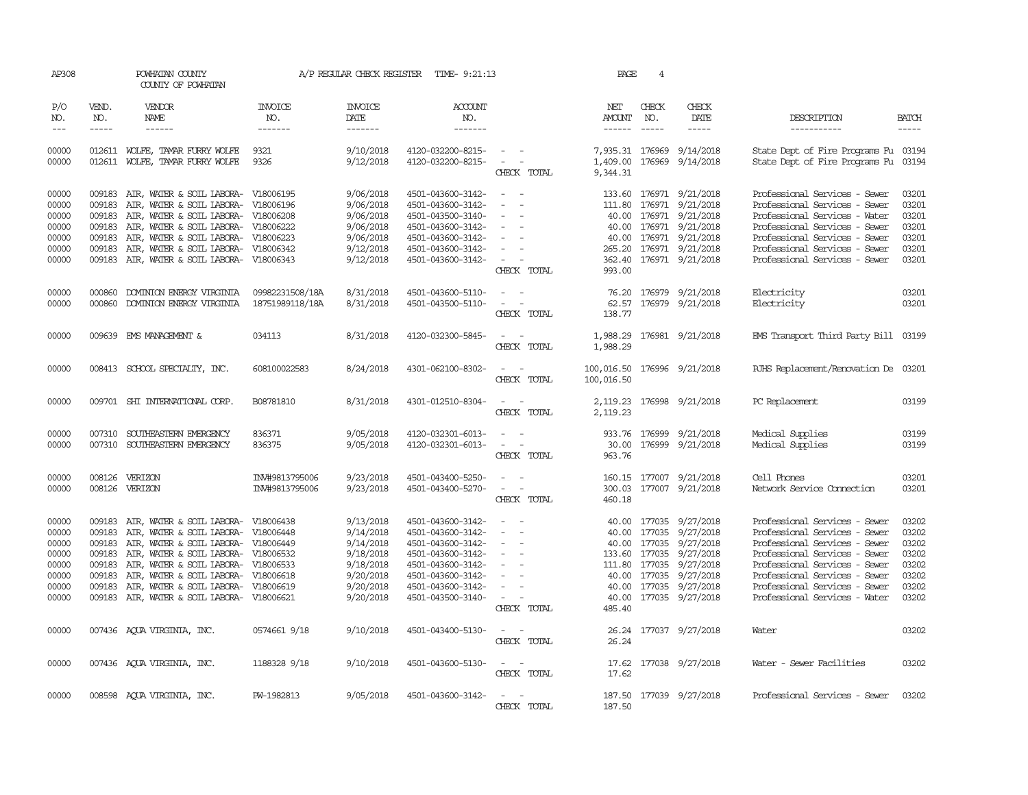| AP308                                                                |                                      | POWHATAN COUNTY<br>COUNTY OF POWHATAN                                                                                                                                                                                                                                                                                                      |                                | A/P REGULAR CHECK REGISTER                                                                           | TIME- 9:21:13                                                                                                                                                        |                                                                                                                                                              | PAGE                                      | 4            |                                                                                                                                                                                                                                                                                                                                                                                                                                                                                                      |                                                                                                                                                                                                                                                                      |                                                                      |
|----------------------------------------------------------------------|--------------------------------------|--------------------------------------------------------------------------------------------------------------------------------------------------------------------------------------------------------------------------------------------------------------------------------------------------------------------------------------------|--------------------------------|------------------------------------------------------------------------------------------------------|----------------------------------------------------------------------------------------------------------------------------------------------------------------------|--------------------------------------------------------------------------------------------------------------------------------------------------------------|-------------------------------------------|--------------|------------------------------------------------------------------------------------------------------------------------------------------------------------------------------------------------------------------------------------------------------------------------------------------------------------------------------------------------------------------------------------------------------------------------------------------------------------------------------------------------------|----------------------------------------------------------------------------------------------------------------------------------------------------------------------------------------------------------------------------------------------------------------------|----------------------------------------------------------------------|
| P/O<br>NO.<br>$\frac{1}{2}$                                          | VEND.<br>NO.<br>$- - - - -$          | VENDOR<br><b>NAME</b><br>$- - - - - -$                                                                                                                                                                                                                                                                                                     | INVOICE<br>NO.<br>-------      | <b>INVOICE</b><br>DATE<br>-------                                                                    | <b>ACCOUNT</b><br>NO.<br>$- - - - - - -$                                                                                                                             |                                                                                                                                                              | NET<br>AMOUNT<br>$- - - - - -$            | CHECK<br>NO. | CHECK<br>DATE<br>$\begin{tabular}{ccccc} \multicolumn{2}{c}{} & \multicolumn{2}{c}{} & \multicolumn{2}{c}{} & \multicolumn{2}{c}{} & \multicolumn{2}{c}{} & \multicolumn{2}{c}{} & \multicolumn{2}{c}{} & \multicolumn{2}{c}{} & \multicolumn{2}{c}{} & \multicolumn{2}{c}{} & \multicolumn{2}{c}{} & \multicolumn{2}{c}{} & \multicolumn{2}{c}{} & \multicolumn{2}{c}{} & \multicolumn{2}{c}{} & \multicolumn{2}{c}{} & \multicolumn{2}{c}{} & \multicolumn{2}{c}{} & \multicolumn{2}{c}{} & \mult$ | DESCRIPTION<br>-----------                                                                                                                                                                                                                                           | <b>BATCH</b><br>$- - - - -$                                          |
| 00000<br>00000                                                       |                                      | 012611 WOLFE, TAMAR FURRY WOLFE<br>012611 WOLFE, TAMAR FURRY WOLFE                                                                                                                                                                                                                                                                         | 9321<br>9326                   | 9/10/2018<br>9/12/2018                                                                               | 4120-032200-8215-<br>4120-032200-8215-                                                                                                                               | <b>Service</b><br>$\alpha = 1, \ldots, \alpha$<br>CHECK TOTAL                                                                                                | 1,409.00<br>9,344.31                      |              | 7,935.31 176969 9/14/2018<br>176969 9/14/2018                                                                                                                                                                                                                                                                                                                                                                                                                                                        | State Dept of Fire Programs Fu 03194<br>State Dept of Fire Programs Fu                                                                                                                                                                                               | 03194                                                                |
| 00000<br>00000<br>00000<br>00000<br>00000<br>00000<br>00000          | 009183<br>009183<br>009183<br>009183 | 009183 AIR, WATER & SOIL LABORA- V18006195<br>AIR, WATER & SOIL LABORA-<br>AIR, WATER & SOIL LABORA- V18006208<br>AIR, WATER & SOIL LABORA- V18006222<br>AIR, WATER & SOIL LABORA- V18006223<br>009183 AIR, WATER & SOIL LABORA- V18006342<br>009183 AIR, WATER & SOIL LABORA- V18006343                                                   | V18006196                      | 9/06/2018<br>9/06/2018<br>9/06/2018<br>9/06/2018<br>9/06/2018<br>9/12/2018<br>9/12/2018              | 4501-043600-3142-<br>4501-043600-3142-<br>4501-043500-3140-<br>4501-043600-3142-<br>4501-043600-3142-<br>4501-043600-3142-<br>4501-043600-3142-                      | $\sim$ $ -$<br>$\overline{\phantom{a}}$<br>$\overline{\phantom{a}}$<br>$\sim$<br>$\overline{\phantom{a}}$<br><b><i><u>Participate</u></i></b><br>CHECK TOTAL | 111.80<br>993.00                          |              | 133.60 176971 9/21/2018<br>176971 9/21/2018<br>40.00 176971 9/21/2018<br>40.00 176971 9/21/2018<br>40.00 176971 9/21/2018<br>265.20 176971 9/21/2018<br>362.40 176971 9/21/2018                                                                                                                                                                                                                                                                                                                      | Professional Services - Sewer<br>Professional Services - Sewer<br>Professional Services - Water<br>Professional Services - Sewer<br>Professional Services - Sewer<br>Professional Services - Sewer<br>Professional Services - Sewer                                  | 03201<br>03201<br>03201<br>03201<br>03201<br>03201<br>03201          |
| 00000<br>00000                                                       | 000860                               | DOMINION ENERGY VIRGINIA<br>000860 DOMINION ENERGY VIRGINIA 18751989118/18A                                                                                                                                                                                                                                                                | 09982231508/18A                | 8/31/2018<br>8/31/2018                                                                               | 4501-043600-5110-<br>4501-043500-5110-                                                                                                                               | $\sim$ $\sim$<br>$\sim$ 100 $\sim$<br>CHECK TOTAL                                                                                                            | 138.77                                    |              | 76.20 176979 9/21/2018<br>62.57 176979 9/21/2018                                                                                                                                                                                                                                                                                                                                                                                                                                                     | Electricity<br>Electricity                                                                                                                                                                                                                                           | 03201<br>03201                                                       |
| 00000                                                                |                                      | 009639 EMS MANAGEMENT &                                                                                                                                                                                                                                                                                                                    | 034113                         | 8/31/2018                                                                                            | 4120-032300-5845-                                                                                                                                                    | $\sim$ $ \sim$<br>CHECK TOTAL                                                                                                                                | 1,988.29                                  |              | 1,988.29 176981 9/21/2018                                                                                                                                                                                                                                                                                                                                                                                                                                                                            | EMS Transport Third Party Bill 03199                                                                                                                                                                                                                                 |                                                                      |
| 00000                                                                |                                      | 008413 SCHOOL SPECIALITY, INC.                                                                                                                                                                                                                                                                                                             | 608100022583                   | 8/24/2018                                                                                            | 4301-062100-8302-                                                                                                                                                    | $\sim$ $  -$<br>CHECK TOTAL                                                                                                                                  | 100,016.50 176996 9/21/2018<br>100,016.50 |              |                                                                                                                                                                                                                                                                                                                                                                                                                                                                                                      | RJHS Replacement/Renovation De 03201                                                                                                                                                                                                                                 |                                                                      |
| 00000                                                                |                                      | 009701 SHI INTERNATIONAL CORP.                                                                                                                                                                                                                                                                                                             | B08781810                      | 8/31/2018                                                                                            | 4301-012510-8304-                                                                                                                                                    | $\sim$ $ \sim$<br>CHECK TOTAL                                                                                                                                | 2,119.23<br>2,119.23                      |              | 176998 9/21/2018                                                                                                                                                                                                                                                                                                                                                                                                                                                                                     | PC Replacement                                                                                                                                                                                                                                                       | 03199                                                                |
| 00000<br>00000                                                       |                                      | 007310 SOUTHEASTERN EMERGENCY<br>007310 SOUTHEASTERN EMERGENCY                                                                                                                                                                                                                                                                             | 836371<br>836375               | 9/05/2018<br>9/05/2018                                                                               | 4120-032301-6013-<br>4120-032301-6013-                                                                                                                               | $\sim$ $ \sim$<br>$\omega_{\rm{max}}$ and $\omega_{\rm{max}}$<br>CHECK TOTAL                                                                                 | 30.00<br>963.76                           |              | 933.76 176999 9/21/2018<br>176999 9/21/2018                                                                                                                                                                                                                                                                                                                                                                                                                                                          | Medical Supplies<br>Medical Supplies                                                                                                                                                                                                                                 | 03199<br>03199                                                       |
| 00000<br>00000                                                       |                                      | 008126 VERIZON<br>008126 VERIZON                                                                                                                                                                                                                                                                                                           | IN#9813795006<br>IN#9813795006 | 9/23/2018<br>9/23/2018                                                                               | 4501-043400-5250-<br>4501-043400-5270-                                                                                                                               | $\sim$ $ -$<br>$\mathcal{L}_{\text{max}}$ , $\mathcal{L}_{\text{max}}$<br>CHECK TOTAL                                                                        | 460.18                                    |              | 160.15 177007 9/21/2018<br>300.03 177007 9/21/2018                                                                                                                                                                                                                                                                                                                                                                                                                                                   | Cell Phones<br>Network Service Connection                                                                                                                                                                                                                            | 03201<br>03201                                                       |
| 00000<br>00000<br>00000<br>00000<br>00000<br>00000<br>00000<br>00000 | 009183<br>009183                     | 009183 AIR, WATER & SOIL LABORA- V18006438<br>009183 AIR, WATER & SOIL LABORA- V18006448<br>009183 AIR, WATER & SOIL LABORA- V18006449<br>009183 AIR, WATER & SOIL LABORA- V18006532<br>AIR, WATER & SOIL LABORA-<br>AIR, WATER & SOIL LABORA-<br>009183 AIR, WATER & SOIL LABORA- V18006619<br>009183 AIR, WATER & SOIL LABORA- V18006621 | V18006533<br>V18006618         | 9/13/2018<br>9/14/2018<br>9/14/2018<br>9/18/2018<br>9/18/2018<br>9/20/2018<br>9/20/2018<br>9/20/2018 | 4501-043600-3142-<br>4501-043600-3142-<br>4501-043600-3142-<br>4501-043600-3142-<br>4501-043600-3142-<br>4501-043600-3142-<br>4501-043600-3142-<br>4501-043500-3140- | $\sim$ $\sim$<br>$\sim$<br>$\sim$<br>$\overline{\phantom{a}}$<br>$\overline{\phantom{a}}$<br>$\overline{\phantom{a}}$<br>$\equiv$<br>$\sim$<br>CHECK TOTAL   | 40.00<br>485.40                           |              | 40.00 177035 9/27/2018<br>40.00 177035 9/27/2018<br>40.00 177035 9/27/2018<br>133.60 177035 9/27/2018<br>111.80 177035 9/27/2018<br>40.00 177035 9/27/2018<br>40.00 177035 9/27/2018<br>177035 9/27/2018                                                                                                                                                                                                                                                                                             | Professional Services - Sewer<br>Professional Services - Sewer<br>Professional Services - Sewer<br>Professional Services - Sewer<br>Professional Services - Sewer<br>Professional Services - Sewer<br>Professional Services - Sewer<br>Professional Services - Water | 03202<br>03202<br>03202<br>03202<br>03202<br>03202<br>03202<br>03202 |
| 00000                                                                |                                      | 007436 AQUA VIRGINIA, INC.                                                                                                                                                                                                                                                                                                                 | 0574661 9/18                   | 9/10/2018                                                                                            | 4501-043400-5130-                                                                                                                                                    | $\sim$ $ \sim$<br>CHECK TOTAL                                                                                                                                | 26.24                                     |              | 26.24 177037 9/27/2018                                                                                                                                                                                                                                                                                                                                                                                                                                                                               | Water                                                                                                                                                                                                                                                                | 03202                                                                |
| 00000                                                                |                                      | 007436 AQUA VIRGINIA, INC.                                                                                                                                                                                                                                                                                                                 | 1188328 9/18                   | 9/10/2018                                                                                            | 4501-043600-5130-                                                                                                                                                    | $\sim$ $ \sim$<br>CHECK TOTAL                                                                                                                                | 17.62                                     |              | 17.62 177038 9/27/2018                                                                                                                                                                                                                                                                                                                                                                                                                                                                               | Water - Sewer Facilities                                                                                                                                                                                                                                             | 03202                                                                |
| 00000                                                                |                                      | 008598 AQUA VIRGINIA, INC.                                                                                                                                                                                                                                                                                                                 | PW-1982813                     | 9/05/2018                                                                                            | 4501-043600-3142-                                                                                                                                                    | $\sim$ $-$<br>CHECK TOTAL                                                                                                                                    | 187.50                                    |              | 187.50 177039 9/27/2018                                                                                                                                                                                                                                                                                                                                                                                                                                                                              | Professional Services - Sewer                                                                                                                                                                                                                                        | 03202                                                                |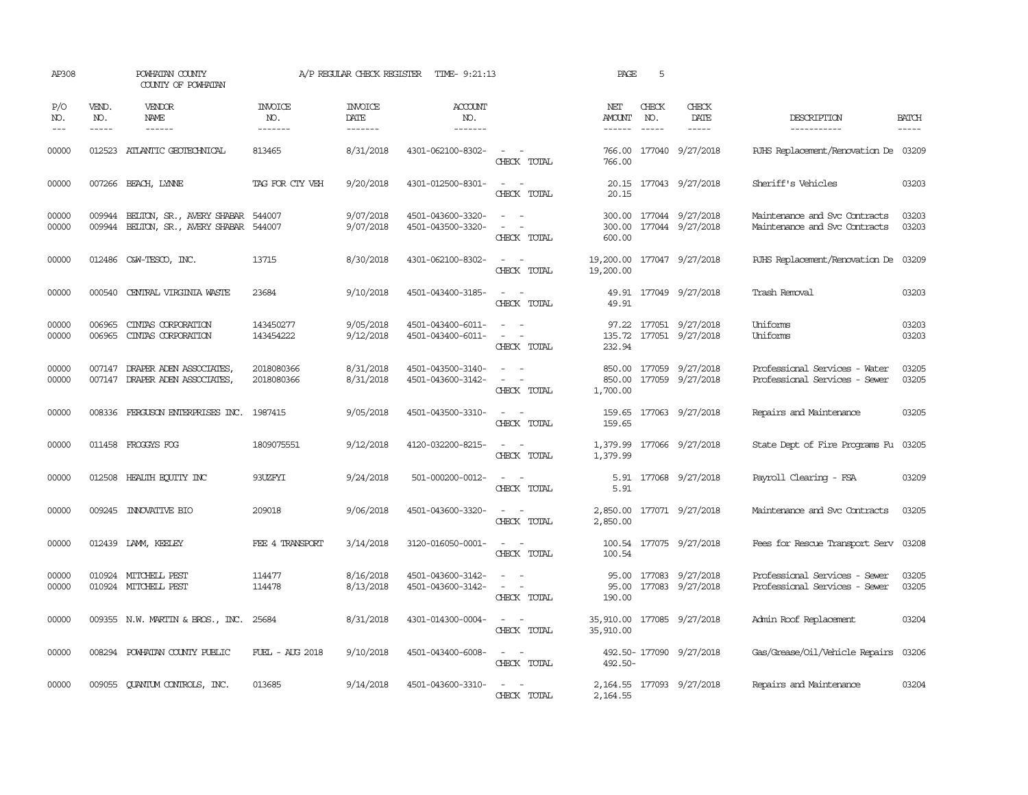| AP308               |                             | POWHATAN COUNTY<br>COUNTY OF POWHATAN                                              | A/P REGULAR CHECK REGISTER       | TIME- 9:21:13                     | PAGE                                   | 5                                                                                                                           |                                         |                               |                                             |                                                                |                       |
|---------------------|-----------------------------|------------------------------------------------------------------------------------|----------------------------------|-----------------------------------|----------------------------------------|-----------------------------------------------------------------------------------------------------------------------------|-----------------------------------------|-------------------------------|---------------------------------------------|----------------------------------------------------------------|-----------------------|
| P/O<br>NO.<br>$---$ | VEND.<br>NO.<br>$- - - - -$ | VENDOR<br>NAME<br>$- - - - - -$                                                    | <b>INVOICE</b><br>NO.<br>------- | <b>INVOICE</b><br>DATE<br>------- | <b>ACCOUNT</b><br>NO.<br>-------       |                                                                                                                             | NET<br>AMOUNT<br>$- - - - - -$          | CHECK<br>NO.<br>$\frac{1}{2}$ | CHECK<br>DATE<br>-----                      | DESCRIPTION<br>-----------                                     | <b>BATCH</b><br>----- |
| 00000               |                             | 012523 ATLANTIC GEOTECHNICAL                                                       | 813465                           | 8/31/2018                         | 4301-062100-8302-                      | $\frac{1}{2} \left( \frac{1}{2} \right) \left( \frac{1}{2} \right) = \frac{1}{2} \left( \frac{1}{2} \right)$<br>CHECK TOTAL | 766.00<br>766.00                        |                               | 177040 9/27/2018                            | RJHS Replacement/Renovation De 03209                           |                       |
| 00000               |                             | 007266 BEACH, LYNNE                                                                | TAG FOR CTY VEH                  | 9/20/2018                         | 4301-012500-8301-                      | $\sim$ $ \sim$<br>CHECK TOTAL                                                                                               | 20.15                                   |                               | 20.15 177043 9/27/2018                      | Sheriff's Vehicles                                             | 03203                 |
| 00000<br>00000      |                             | 009944 BELTON, SR., AVERY SHABAR 544007<br>009944 BELTON, SR., AVERY SHABAR 544007 |                                  | 9/07/2018<br>9/07/2018            | 4501-043600-3320-<br>4501-043500-3320- | $\sim$<br>$\sim$<br>$\overline{\phantom{a}}$<br>CHECK TOTAL                                                                 | 300.00<br>600.00                        |                               | 300.00 177044 9/27/2018<br>177044 9/27/2018 | Maintenance and Svc Contracts<br>Maintenance and Svc Contracts | 03203<br>03203        |
| 00000               |                             | 012486 C&W-TESCO, INC.                                                             | 13715                            | 8/30/2018                         | 4301-062100-8302-                      | $\frac{1}{2} \left( \frac{1}{2} \right) \left( \frac{1}{2} \right) = \frac{1}{2} \left( \frac{1}{2} \right)$<br>CHECK TOTAL | 19,200.00<br>19,200.00                  |                               | 177047 9/27/2018                            | RJHS Replacement/Renovation De                                 | 03209                 |
| 00000               |                             | 000540 CENTRAL VIRGINIA WASTE                                                      | 23684                            | 9/10/2018                         | 4501-043400-3185-                      | $\sim$<br>CHECK TOTAL                                                                                                       | 49.91                                   |                               | 49.91 177049 9/27/2018                      | Trash Removal                                                  | 03203                 |
| 00000<br>00000      | 006965<br>006965            | CINIAS CORPORATION<br>CINIAS CORPORATION                                           | 143450277<br>143454222           | 9/05/2018<br>9/12/2018            | 4501-043400-6011-<br>4501-043400-6011- | $\equiv$<br>$\sim$<br>CHECK TOTAL                                                                                           | 97.22<br>232.94                         |                               | 177051 9/27/2018<br>135.72 177051 9/27/2018 | Uniforms<br>Uniforms                                           | 03203<br>03203        |
| 00000<br>00000      |                             | 007147 DRAPER ADEN ASSOCIATES<br>007147 DRAPER ADEN ASSOCIATES,                    | 2018080366<br>2018080366         | 8/31/2018<br>8/31/2018            | 4501-043500-3140-<br>4501-043600-3142- | $\omega_{\rm{max}}$<br>$\sim$<br>$\sim$<br>CHECK TOTAL                                                                      | 850.00<br>1,700.00                      |                               | 850.00 177059 9/27/2018<br>177059 9/27/2018 | Professional Services - Water<br>Professional Services - Sewer | 03205<br>03205        |
| 00000               |                             | 008336 FERGUSON ENTERPRISES INC.                                                   | 1987415                          | 9/05/2018                         | 4501-043500-3310-                      | $\sim$ $ \sim$<br>CHECK TOTAL                                                                                               | 159.65<br>159.65                        |                               | 177063 9/27/2018                            | Repairs and Maintenance                                        | 03205                 |
| 00000               |                             | 011458 FROGGYS FOG                                                                 | 1809075551                       | 9/12/2018                         | 4120-032200-8215-                      | $ -$<br>CHECK TOTAL                                                                                                         | 1,379.99                                |                               | 1,379.99 177066 9/27/2018                   | State Dept of Fire Programs Fu                                 | 03205                 |
| 00000               |                             | 012508 HEALTH ECUTTY INC                                                           | 93UZFYI                          | 9/24/2018                         | 501-000200-0012-                       | $\frac{1}{2} \left( \frac{1}{2} \right) \left( \frac{1}{2} \right) \left( \frac{1}{2} \right)$<br>CHECK TOTAL               | 5.91                                    |                               | 5.91 177068 9/27/2018                       | Payroll Clearing - FSA                                         | 03209                 |
| 00000               |                             | 009245 INNOVATIVE BIO                                                              | 209018                           | 9/06/2018                         | 4501-043600-3320-                      | CHECK TOTAL                                                                                                                 | 2,850.00                                |                               | 2,850.00 177071 9/27/2018                   | Maintenance and Svc Contracts                                  | 03205                 |
| 00000               |                             | 012439 LAMM, KEELEY                                                                | FEE 4 TRANSPORT                  | 3/14/2018                         | 3120-016050-0001-                      | $\sim$ $\sim$<br>CHECK TOTAL                                                                                                | 100.54                                  |                               | 100.54 177075 9/27/2018                     | Fees for Rescue Transport Serv                                 | 03208                 |
| 00000<br>00000      |                             | 010924 MITCHELL PEST<br>010924 MITCHELL PEST                                       | 114477<br>114478                 | 8/16/2018<br>8/13/2018            | 4501-043600-3142-<br>4501-043600-3142- | $\sim$ $ \sim$<br>CHECK TOTAL                                                                                               | 95.00<br>95.00<br>190.00                |                               | 177083 9/27/2018<br>177083 9/27/2018        | Professional Services - Sewer<br>Professional Services - Sewer | 03205<br>03205        |
| 00000               |                             | 009355 N.W. MARTIN & BROS., INC.                                                   | 25684                            | 8/31/2018                         | 4301-014300-0004-                      | $\sim$ 100 $\sim$<br>CHECK TOTAL                                                                                            | 35,910.00 177085 9/27/2018<br>35,910.00 |                               |                                             | Admin Roof Replacement                                         | 03204                 |
| 00000               |                             | 008294 POWHATAN COUNTY PUBLIC                                                      | FUEL - AUG 2018                  | 9/10/2018                         | 4501-043400-6008-                      | CHECK TOTAL                                                                                                                 | 492.50-                                 |                               | 492.50-177090 9/27/2018                     | Gas/Grease/Oil/Vehicle Repairs                                 | 03206                 |
| 00000               |                             | 009055 QUANTUM CONTROLS, INC.                                                      | 013685                           | 9/14/2018                         | 4501-043600-3310-                      | $\sim$<br>CHECK TOTAL                                                                                                       | 2,164.55                                |                               | 2, 164.55 177093 9/27/2018                  | Repairs and Maintenance                                        | 03204                 |